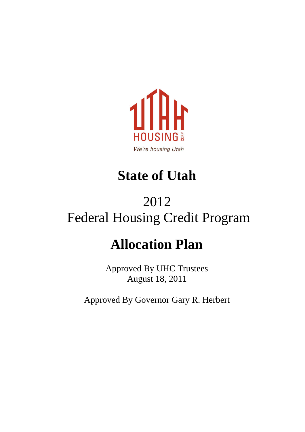

### **State of Utah**

### 2012 Federal Housing Credit Program

### **Allocation Plan**

Approved By UHC Trustees August 18, 2011

Approved By Governor Gary R. Herbert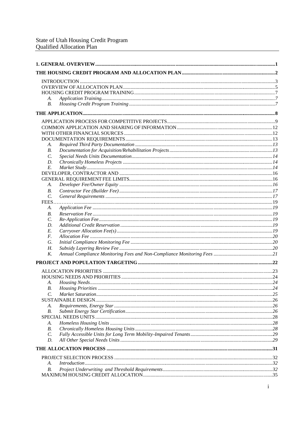| А.              |                              |  |
|-----------------|------------------------------|--|
| В.              |                              |  |
|                 |                              |  |
|                 |                              |  |
|                 |                              |  |
|                 |                              |  |
|                 |                              |  |
|                 |                              |  |
| А.              |                              |  |
| В.              |                              |  |
| $\mathcal{C}$ . |                              |  |
| D.              |                              |  |
| E.              |                              |  |
|                 |                              |  |
|                 |                              |  |
| А.              |                              |  |
| В.              |                              |  |
| $\mathcal{C}$ . |                              |  |
|                 |                              |  |
| А.              |                              |  |
| В.              |                              |  |
| $\mathcal{C}$ . |                              |  |
| D.              |                              |  |
| E.              |                              |  |
| F.              |                              |  |
| G.              |                              |  |
| Н.              |                              |  |
| K.              |                              |  |
|                 |                              |  |
|                 |                              |  |
|                 |                              |  |
| А.              |                              |  |
|                 | <b>B.</b> Housing Priorities |  |
| C.              |                              |  |
|                 |                              |  |
| А.              |                              |  |
| В.              |                              |  |
|                 |                              |  |
| А.              |                              |  |
| В.              |                              |  |
| $\mathcal{C}$ . |                              |  |
| D.              |                              |  |
|                 |                              |  |
|                 |                              |  |
| А.              |                              |  |
| В.              |                              |  |
|                 |                              |  |
|                 |                              |  |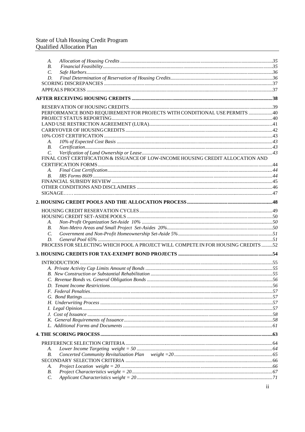## State of Utah Housing Credit Program<br>Qualified Allocation Plan

| А.              |                                                                                   |  |
|-----------------|-----------------------------------------------------------------------------------|--|
| В.              |                                                                                   |  |
| $\mathcal{C}$ . |                                                                                   |  |
| D.              |                                                                                   |  |
|                 |                                                                                   |  |
|                 |                                                                                   |  |
|                 |                                                                                   |  |
|                 |                                                                                   |  |
|                 | PERFORMANCE BOND REQUIREMENT FOR PROJECTS WITH CONDITIONAL USE PERMITS 40         |  |
|                 |                                                                                   |  |
|                 |                                                                                   |  |
|                 |                                                                                   |  |
|                 |                                                                                   |  |
| А.              |                                                                                   |  |
| В.              |                                                                                   |  |
| $\mathcal{C}$ . |                                                                                   |  |
|                 | FINAL COST CERTIFICATION & ISSUANCE OF LOW-INCOME HOUSING CREDIT ALLOCATION AND   |  |
|                 |                                                                                   |  |
| А.              |                                                                                   |  |
| B.              |                                                                                   |  |
|                 |                                                                                   |  |
|                 |                                                                                   |  |
|                 |                                                                                   |  |
|                 |                                                                                   |  |
|                 |                                                                                   |  |
|                 |                                                                                   |  |
| А.              |                                                                                   |  |
| В.              |                                                                                   |  |
| $\mathcal{C}$ . |                                                                                   |  |
| D.              |                                                                                   |  |
|                 | PROCESS FOR SELECTING WHICH POOL A PROJECT WILL COMPETE IN FOR HOUSING CREDITS 52 |  |
|                 |                                                                                   |  |
|                 |                                                                                   |  |
|                 |                                                                                   |  |
|                 |                                                                                   |  |
|                 |                                                                                   |  |
|                 |                                                                                   |  |
|                 |                                                                                   |  |
|                 |                                                                                   |  |
|                 |                                                                                   |  |
|                 |                                                                                   |  |
|                 |                                                                                   |  |
|                 |                                                                                   |  |
|                 |                                                                                   |  |
|                 |                                                                                   |  |
|                 |                                                                                   |  |
| А.              |                                                                                   |  |
| В.              |                                                                                   |  |
|                 |                                                                                   |  |
| А.              |                                                                                   |  |
| В.              |                                                                                   |  |
| $\mathcal{C}$ . |                                                                                   |  |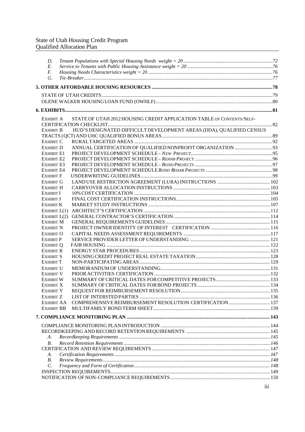#### State of Utah Housing Credit Program Qualified Allocation Plan

| D.                             |                                                                       |  |
|--------------------------------|-----------------------------------------------------------------------|--|
| E.                             |                                                                       |  |
| F.<br>G.                       |                                                                       |  |
|                                |                                                                       |  |
|                                |                                                                       |  |
|                                |                                                                       |  |
|                                |                                                                       |  |
|                                |                                                                       |  |
| EXHIBIT A                      | STATE OF UTAH 2012 HOUSING CREDIT APPLICATION TABLE OF CONTENTS/SELF- |  |
| EXHIBIT B                      | HUD'S DESIGNATED DIFFICULT DEVELOPMENT AREAS (DDA), QUALIFIED CENSUS  |  |
|                                |                                                                       |  |
| <b>EXHIBIT C</b>               |                                                                       |  |
| <b>EXHIBIT D</b>               |                                                                       |  |
| <b>EXHIBIT E1</b>              |                                                                       |  |
| <b>EXHIBIT E2</b>              |                                                                       |  |
| <b>EXHIBIT E3</b>              |                                                                       |  |
| EXHIBIT E4<br><b>EXHIBIT F</b> |                                                                       |  |
| <b>EXHIBIT G</b>               |                                                                       |  |
| EXHIBIT H                      |                                                                       |  |
| <b>EXHIBIT I</b>               |                                                                       |  |
| <b>EXHIBIT J</b>               |                                                                       |  |
| <b>EXHIBIT K</b>               |                                                                       |  |
| EXHIBIT $L(1)$                 |                                                                       |  |
|                                |                                                                       |  |
| <b>EXHIBIT M</b>               |                                                                       |  |
| <b>EXHIBIT N</b>               |                                                                       |  |
| <b>EXHIBIT O</b>               |                                                                       |  |
| <b>EXHIBIT P</b>               |                                                                       |  |
| <b>EXHIBIT Q</b>               |                                                                       |  |
| <b>EXHIBIT R</b>               |                                                                       |  |
| <b>EXHIBIT S</b>               |                                                                       |  |
| <b>EXHIBIT T</b>               |                                                                       |  |
| <b>EXHIBIT U</b>               |                                                                       |  |
| <b>EXHIBIT V</b>               |                                                                       |  |
| <b>EXHIBIT W</b>               |                                                                       |  |
| <b>EXHIBIT X</b>               |                                                                       |  |
| <b>EXHIBIT Y</b>               |                                                                       |  |
| EXHIBIT Z                      |                                                                       |  |
| EXHIBIT AA                     |                                                                       |  |
| <b>EXHIBIT BB</b>              |                                                                       |  |
|                                |                                                                       |  |
|                                |                                                                       |  |
|                                |                                                                       |  |
| А.                             |                                                                       |  |
| В.                             |                                                                       |  |
|                                |                                                                       |  |
| A.                             |                                                                       |  |
| $B$ .                          |                                                                       |  |
| C.                             |                                                                       |  |
|                                |                                                                       |  |
|                                |                                                                       |  |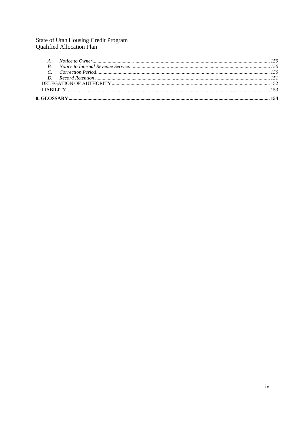## State of Utah Housing Credit Program<br>Qualified Allocation Plan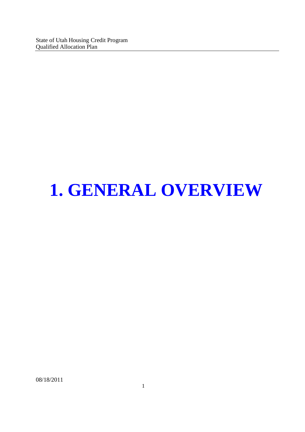State of Utah Housing Credit Program Qualified Allocation Plan

## **1. GENERAL OVERVIEW**

08/18/2011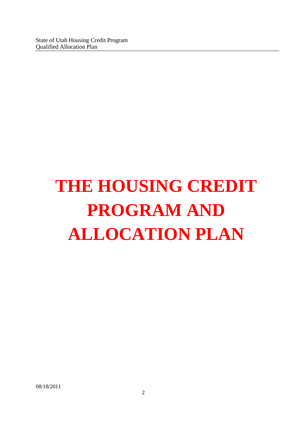# **THE HOUSING CREDIT PROGRAM AND ALLOCATION PLAN**

08/18/2011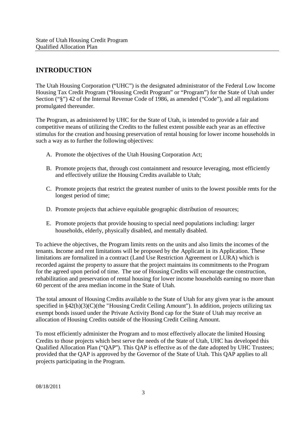#### **INTRODUCTION**

The Utah Housing Corporation ("UHC") is the designated administrator of the Federal Low Income Housing Tax Credit Program ("Housing Credit Program" or "Program") for the State of Utah under Section ("§") 42 of the Internal Revenue Code of 1986, as amended ("Code"), and all regulations promulgated thereunder.

The Program, as administered by UHC for the State of Utah, is intended to provide a fair and competitive means of utilizing the Credits to the fullest extent possible each year as an effective stimulus for the creation and housing preservation of rental housing for lower income households in such a way as to further the following objectives:

- A. Promote the objectives of the Utah Housing Corporation Act;
- B. Promote projects that, through cost containment and resource leveraging, most efficiently and effectively utilize the Housing Credits available to Utah;
- C. Promote projects that restrict the greatest number of units to the lowest possible rents for the longest period of time;
- D. Promote projects that achieve equitable geographic distribution of resources;
- E. Promote projects that provide housing to special need populations including: larger households, elderly, physically disabled, and mentally disabled.

To achieve the objectives, the Program limits rents on the units and also limits the incomes of the tenants. Income and rent limitations will be proposed by the Applicant in its Application. These limitations are formalized in a contract (Land Use Restriction Agreement or LURA) which is recorded against the property to assure that the project maintains its commitments to the Program for the agreed upon period of time. The use of Housing Credits will encourage the construction, rehabilitation and preservation of rental housing for lower income households earning no more than 60 percent of the area median income in the State of Utah.

The total amount of Housing Credits available to the State of Utah for any given year is the amount specified in §42(h)(3)(C)(the "Housing Credit Ceiling Amount"). In addition, projects utilizing tax exempt bonds issued under the Private Activity Bond cap for the State of Utah may receive an allocation of Housing Credits outside of the Housing Credit Ceiling Amount.

To most efficiently administer the Program and to most effectively allocate the limited Housing Credits to those projects which best serve the needs of the State of Utah, UHC has developed this Qualified Allocation Plan ("QAP"). This QAP is effective as of the date adopted by UHC Trustees; provided that the QAP is approved by the Governor of the State of Utah. This QAP applies to all projects participating in the Program.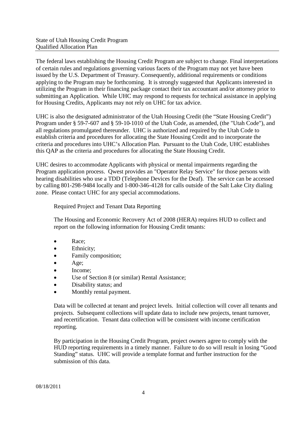The federal laws establishing the Housing Credit Program are subject to change. Final interpretations of certain rules and regulations governing various facets of the Program may not yet have been issued by the U.S. Department of Treasury. Consequently, additional requirements or conditions applying to the Program may be forthcoming. It is strongly suggested that Applicants interested in utilizing the Program in their financing package contact their tax accountant and/or attorney prior to submitting an Application. While UHC may respond to requests for technical assistance in applying for Housing Credits, Applicants may not rely on UHC for tax advice.

UHC is also the designated administrator of the Utah Housing Credit (the "State Housing Credit") Program under § 59-7-607 and § 59-10-1010 of the Utah Code, as amended, (the "Utah Code"), and all regulations promulgated thereunder. UHC is authorized and required by the Utah Code to establish criteria and procedures for allocating the State Housing Credit and to incorporate the criteria and procedures into UHC's Allocation Plan. Pursuant to the Utah Code, UHC establishes this QAP as the criteria and procedures for allocating the State Housing Credit.

UHC desires to accommodate Applicants with physical or mental impairments regarding the Program application process. Qwest provides an "Operator Relay Service" for those persons with hearing disabilities who use a TDD (Telephone Devices for the Deaf). The service can be accessed by calling 801-298-9484 locally and 1-800-346-4128 for calls outside of the Salt Lake City dialing zone. Please contact UHC for any special accommodations.

Required Project and Tenant Data Reporting

The Housing and Economic Recovery Act of 2008 (HERA) requires HUD to collect and report on the following information for Housing Credit tenants:

- Race;
- Ethnicity;
- Family composition;
- Age;
- Income;
- Use of Section 8 (or similar) Rental Assistance;
- Disability status; and
- Monthly rental payment.

Data will be collected at tenant and project levels. Initial collection will cover all tenants and projects. Subsequent collections will update data to include new projects, tenant turnover, and recertification. Tenant data collection will be consistent with income certification reporting.

By participation in the Housing Credit Program, project owners agree to comply with the HUD reporting requirements in a timely manner. Failure to do so will result in losing "Good Standing" status. UHC will provide a template format and further instruction for the submission of this data.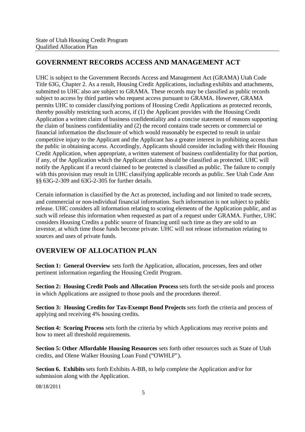#### **GOVERNMENT RECORDS ACCESS AND MANAGEMENT ACT**

UHC is subject to the Government Records Access and Management Act (GRAMA) Utah Code Title 63G, Chapter 2. As a result, Housing Credit Applications, including exhibits and attachments, submitted to UHC also are subject to GRAMA. These records may be classified as public records subject to access by third parties who request access pursuant to GRAMA. However, GRAMA permits UHC to consider classifying portions of Housing Credit Applications as protected records, thereby possibly restricting such access, if (1) the Applicant provides with the Housing Credit Application a written claim of business confidentiality and a concise statement of reasons supporting the claim of business confidentiality and (2) the record contains trade secrets or commercial or financial information the disclosure of which would reasonably be expected to result in unfair competitive injury to the Applicant and the Applicant has a greater interest in prohibiting access than the public in obtaining access. Accordingly, Applicants should consider including with their Housing Credit Application, when appropriate, a written statement of business confidentiality for that portion, if any, of the Application which the Applicant claims should be classified as protected. UHC will notify the Applicant if a record claimed to be protected is classified as public. The failure to comply with this provision may result in UHC classifying applicable records as public. See Utah Code Ann §§ 63G-2-309 and 63G-2-305 for further details.

Certain information is classified by the Act as protected, including and not limited to trade secrets, and commercial or non-individual financial information. Such information is not subject to public release. UHC considers all information relating to scoring elements of the Application public, and as such will release this information when requested as part of a request under GRAMA. Further, UHC considers Housing Credits a public source of financing until such time as they are sold to an investor, at which time those funds become private. UHC will not release information relating to sources and uses of private funds.

#### **OVERVIEW OF ALLOCATION PLAN**

**Section 1: General Overview** sets forth the Application, allocation, processes, fees and other pertinent information regarding the Housing Credit Program.

**Section 2: Housing Credit Pools and Allocation Process** sets forth the set-side pools and process in which Applications are assigned to those pools and the procedures thereof.

**Section 3: Housing Credits for Tax-Exempt Bond Projects** sets forth the criteria and process of applying and receiving 4% housing credits.

**Section 4: Scoring Process** sets forth the criteria by which Applications may receive points and how to meet all threshold requirements.

**Section 5: Other Affordable Housing Resources** sets forth other resources such as State of Utah credits, and Olene Walker Housing Loan Fund ("OWHLF").

**Section 6. Exhibits** sets forth Exhibits A-BB, to help complete the Application and/or for submission along with the Application.

08/18/2011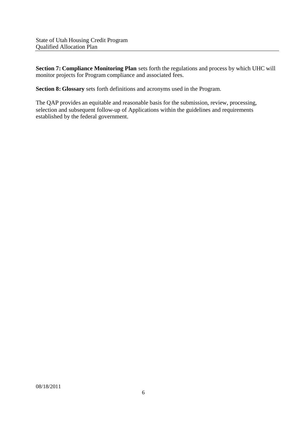**Section 7: Compliance Monitoring Plan** sets forth the regulations and process by which UHC will monitor projects for Program compliance and associated fees.

**Section 8: Glossary** sets forth definitions and acronyms used in the Program.

The QAP provides an equitable and reasonable basis for the submission, review, processing, selection and subsequent follow-up of Applications within the guidelines and requirements established by the federal government.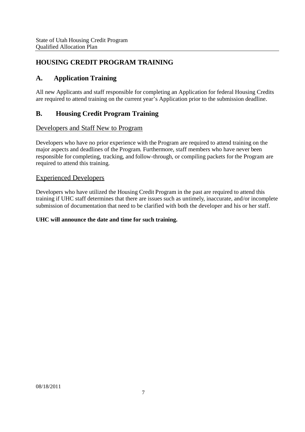#### **HOUSING CREDIT PROGRAM TRAINING**

#### **A. Application Training**

All new Applicants and staff responsible for completing an Application for federal Housing Credits are required to attend training on the current year's Application prior to the submission deadline.

#### **B. Housing Credit Program Training**

#### Developers and Staff New to Program

Developers who have no prior experience with the Program are required to attend training on the major aspects and deadlines of the Program. Furthermore, staff members who have never been responsible for completing, tracking, and follow-through, or compiling packets for the Program are required to attend this training.

#### Experienced Developers

Developers who have utilized the Housing Credit Program in the past are required to attend this training if UHC staff determines that there are issues such as untimely, inaccurate, and/or incomplete submission of documentation that need to be clarified with both the developer and his or her staff.

#### **UHC will announce the date and time for such training.**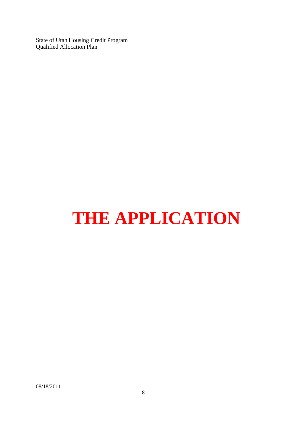State of Utah Housing Credit Program Qualified Allocation Plan

## **THE APPLICATION**

08/18/2011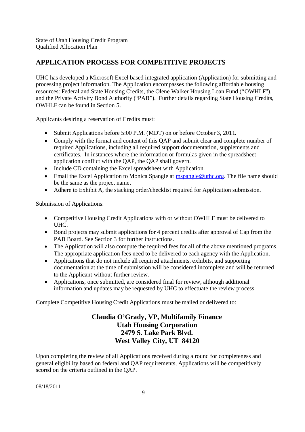#### **APPLICATION PROCESS FOR COMPETITIVE PROJECTS**

UHC has developed a Microsoft Excel based integrated application (Application) for submitting and processing project information. The Application encompasses the following affordable housing resources: Federal and State Housing Credits, the Olene Walker Housing Loan Fund ("OWHLF"), and the Private Activity Bond Authority ("PAB"). Further details regarding State Housing Credits, OWHLF can be found in Section 5.

Applicants desiring a reservation of Credits must:

- Submit Applications before 5:00 P.M. (MDT) on or before October 3, 2011.
- Comply with the format and content of this OAP and submit clear and complete number of required Applications, including all required support documentation, supplements and certificates. In instances where the information or formulas given in the spreadsheet application conflict with the QAP, the QAP shall govern.
- Include CD containing the Excel spreadsheet with Application.
- $\bullet$  Email the Excel Application to Monica Spangle at mspangle@uthc.org. The file name should be the same as the project name.
- Adhere to Exhibit A, the stacking order/checklist required for Application submission.

Submission of Applications:

- Competitive Housing Credit Applications with or without OWHLF must be delivered to UHC.
- Bond projects may submit applications for 4 percent credits after approval of Cap from the PAB Board. See Section 3 for further instructions.
- The Application will also compute the required fees for all of the above mentioned programs. The appropriate application fees need to be delivered to each agency with the Application.
- Applications that do not include all required attachments, exhibits, and supporting documentation at the time of submission will be considered incomplete and will be returned to the Applicant without further review.
- Applications, once submitted, are considered final for review, although additional information and updates may be requested by UHC to effectuate the review process.

Complete Competitive Housing Credit Applications must be mailed or delivered to:

#### **Claudia O'Grady, VP, Multifamily Finance Utah Housing Corporation 2479 S. Lake Park Blvd. West Valley City, UT 84120**

Upon completing the review of all Applications received during a round for completeness and general eligibility based on federal and QAP requirements, Applications will be competitively scored on the criteria outlined in the QAP.

08/18/2011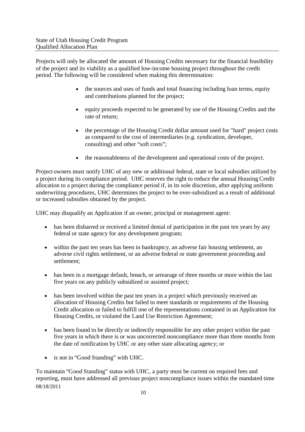Projects will only be allocated the amount of Housing Credits necessary for the financial feasibility of the project and its viability as a qualified low-income housing project throughout the credit period. The following will be considered when making this determination:

- the sources and uses of funds and total financing including loan terms, equity and contributions planned for the project;
- equity proceeds expected to be generated by use of the Housing Credits and the rate of return;
- the percentage of the Housing Credit dollar amount used for "hard" project costs as compared to the cost of intermediaries (e.g. syndication, developer, consulting) and other "soft costs";
- the reasonableness of the development and operational costs of the project.

Project owners must notify UHC of any new or additional federal, state or local subsidies utilized by a project during its compliance period. UHC reserves the right to reduce the annual Housing Credit allocation to a project during the compliance period if, in its sole discretion, after applying uniform underwriting procedures, UHC determines the project to be over-subsidized as a result of additional or increased subsidies obtained by the project.

UHC may disqualify an Application if an owner, principal or management agent:

- has been disbarred or received a limited denial of participation in the past ten years by any federal or state agency for any development program;
- within the past ten years has been in bankruptcy, an adverse fair housing settlement, an adverse civil rights settlement, or an adverse federal or state government proceeding and settlement;
- has been in a mortgage default, breach, or arrearage of three months or more within the last five years on any publicly subsidized or assisted project;
- has been involved within the past ten years in a project which previously received an allocation of Housing Credits but failed to meet standards or requirements of the Housing Credit allocation or failed to fulfill one of the representations contained in an Application for Housing Credits, or violated the Land Use Restriction Agreement;
- has been found to be directly or indirectly responsible for any other project within the past five years in which there is or was uncorrected noncompliance more than three months from the date of notification by UHC or any other state allocating agency; or
- is not in "Good Standing" with UHC.

08/18/2011 To maintain "Good Standing" status with UHC, a party must be current on required fees and reporting, must have addressed all previous project noncompliance issues within the mandated time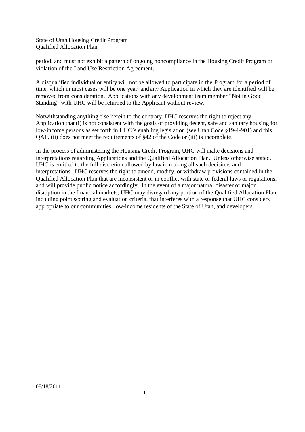period, and must not exhibit a pattern of ongoing noncompliance in the Housing Credit Program or violation of the Land Use Restriction Agreement.

A disqualified individual or entity will not be allowed to participate in the Program for a period of time, which in most cases will be one year, and any Application in which they are identified will be removed from consideration. Applications with any development team member "Not in Good Standing" with UHC will be returned to the Applicant without review.

Notwithstanding anything else herein to the contrary, UHC reserves the right to reject any Application that (i) is not consistent with the goals of providing decent, safe and sanitary housing for low-income persons as set forth in UHC's enabling legislation (see Utah Code §19-4-901) and this QAP, (ii) does not meet the requirements of §42 of the Code or (iii) is incomplete.

In the process of administering the Housing Credit Program, UHC will make decisions and interpretations regarding Applications and the Qualified Allocation Plan. Unless otherwise stated, UHC is entitled to the full discretion allowed by law in making all such decisions and interpretations. UHC reserves the right to amend, modify, or withdraw provisions contained in the Qualified Allocation Plan that are inconsistent or in conflict with state or federal laws or regulations, and will provide public notice accordingly. In the event of a major natural disaster or major disruption in the financial markets, UHC may disregard any portion of the Qualified Allocation Plan, including point scoring and evaluation criteria, that interferes with a response that UHC considers appropriate to our communities, low-income residents of the State of Utah, and developers.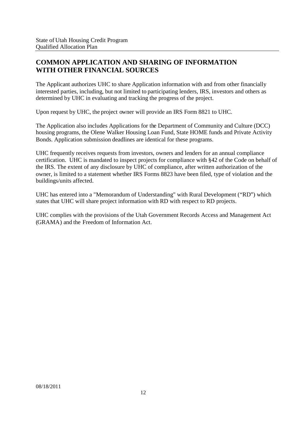#### **COMMON APPLICATION AND SHARING OF INFORMATION WITH OTHER FINANCIAL SOURCES**

The Applicant authorizes UHC to share Application information with and from other financially interested parties, including, but not limited to participating lenders, IRS, investors and others as determined by UHC in evaluating and tracking the progress of the project.

Upon request by UHC, the project owner will provide an IRS Form 8821 to UHC.

The Application also includes Applications for the Department of Community and Culture (DCC) housing programs, the Olene Walker Housing Loan Fund, State HOME funds and Private Activity Bonds. Application submission deadlines are identical for these programs.

UHC frequently receives requests from investors, owners and lenders for an annual compliance certification. UHC is mandated to inspect projects for compliance with §42 of the Code on behalf of the IRS. The extent of any disclosure by UHC of compliance, after written authorization of the owner, is limited to a statement whether IRS Forms 8823 have been filed, type of violation and the buildings/units affected.

UHC has entered into a "Memorandum of Understanding" with Rural Development ("RD") which states that UHC will share project information with RD with respect to RD projects.

UHC complies with the provisions of the Utah Government Records Access and Management Act (GRAMA) and the Freedom of Information Act.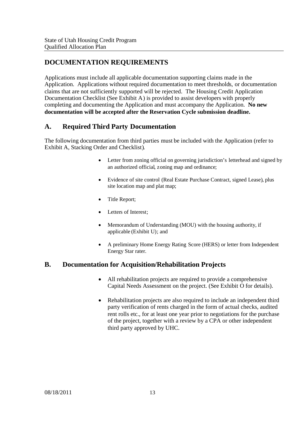#### **DOCUMENTATION REQUIREMENTS**

Applications must include all applicable documentation supporting claims made in the Application. Applications without required documentation to meet thresholds, or documentation claims that are not sufficiently supported will be rejected. The Housing Credit Application Documentation Checklist (See Exhibit A) is provided to assist developers with properly completing and documenting the Application and must accompany the Application. **No new documentation will be accepted after the Reservation Cycle submission deadline.**

#### **A. Required Third Party Documentation**

The following documentation from third parties must be included with the Application (refer to Exhibit A, Stacking Order and Checklist).

- Letter from zoning official on governing jurisdiction's letterhead and signed by an authorized official, zoning map and ordinance;
- Evidence of site control (Real Estate Purchase Contract, signed Lease), plus site location map and plat map;
- Title Report;
- Letters of Interest;
- Memorandum of Understanding (MOU) with the housing authority, if applicable (Exhibit U); and
- A preliminary Home Energy Rating Score (HERS) or letter from Independent Energy Star rater.

#### **B. Documentation for Acquisition/Rehabilitation Projects**

- All rehabilitation projects are required to provide a comprehensive Capital Needs Assessment on the project. (See Exhibit O for details).
- Rehabilitation projects are also required to include an independent third party verification of rents charged in the form of actual checks, audited rent rolls etc., for at least one year prior to negotiations for the purchase of the project, together with a review by a CPA or other independent third party approved by UHC.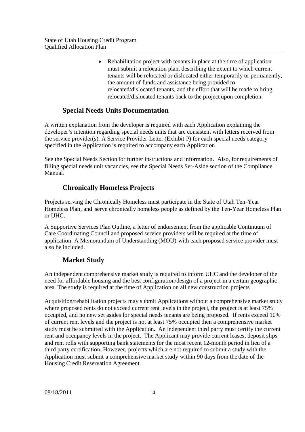• Rehabilitation project with tenants in place at the time of application must submit a relocation plan, describing the extent to which current tenants will be relocated or dislocated either temporarily or permanently, the amount of funds and assistance being provided to relocated/dislocated tenants, and the effort that will be made to bring relocated/dislocated tenants back to the project upon completion.

#### **Special Needs Units Documentation**

A written explanation from the developer is required with each Application explaining the developer's intention regarding special needs units that are consistent with letters received from the service provider(s). A Service Provider Letter (Exhibit P) for each special needs category specified in the Application is required to accompany each Application.

See the Special Needs Section for further instructions and information. Also, for requirements of filling special needs unit vacancies, see the Special Needs Set-Aside section of the Compliance Manual.

#### **Chronically Homeless Projects**

Projects serving the Chronically Homeless must participate in the State of Utah Ten-Year Homeless Plan, and serve chronically homeless people as defined by the Ten-Year Homeless Plan or UHC.

A Supportive Services Plan Outline, a letter of endorsement from the applicable Continuum of Care Coordinating Council and proposed service providers will be required at the time of application. A Memorandum of Understanding (MOU) with each proposed service provider must also be included.

#### **Market Study**

An independent comprehensive market study is required to inform UHC and the developer of the need for affordable housing and the best configuration/design of a project in a certain geographic area. The study is required at the time of Application on all new construction projects.

Acquisition/rehabilitation projects may submit Applications without a comprehensive market study where proposed rents do not exceed current rent levels in the project, the project is at least 75% occupied, and no new set asides for special needs tenants are being proposed. If rents exceed 10% of current rent levels and the project is not at least 75% occupied then a comprehensive market study must be submitted with the Application. An independent third party must certify the current rent and occupancy levels in the project. The Applicant may provide current leases, deposit slips and rent rolls with supporting bank statements for the most recent 12-month period in lieu of a third party certification. However, projects which are not required to submit a study with the Application must submit a comprehensive market study within 90 days from the date of the Housing Credit Reservation Agreement.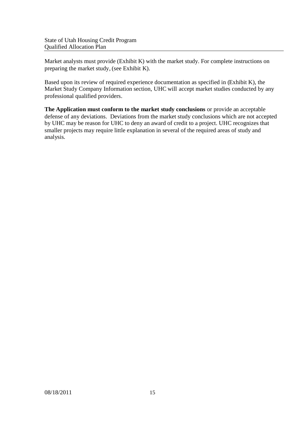Market analysts must provide (Exhibit K) with the market study. For complete instructions on preparing the market study, (see Exhibit K).

Based upon its review of required experience documentation as specified in (Exhibit K), the Market Study Company Information section, UHC will accept market studies conducted by any professional qualified providers.

**The Application must conform to the market study conclusions** or provide an acceptable defense of any deviations. Deviations from the market study conclusions which are not accepted by UHC may be reason for UHC to deny an award of credit to a project. UHC recognizes that smaller projects may require little explanation in several of the required areas of study and analysis.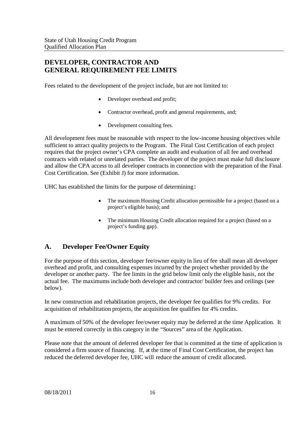#### **DEVELOPER, CONTRACTOR AND GENERAL REQUIREMENT FEE LIMITS**

Fees related to the development of the project include, but are not limited to:

- Developer overhead and profit;
- Contractor overhead, profit and general requirements, and;
- Development consulting fees.

All development fees must be reasonable with respect to the low-income housing objectives while sufficient to attract quality projects to the Program. The Final Cost Certification of each project requires that the project owner's CPA complete an audit and evaluation of all fee and overhead contracts with related or unrelated parties. The developer of the project must make full disclosure and allow the CPA access to all developer contracts in connection with the preparation of the Final Cost Certification. See (Exhibit J) for more information.

UHC has established the limits for the purpose of determining:

- The maximum Housing Credit allocation permissible for a project (based on a project's eligible basis); and
- The minimum Housing Credit allocation required for a project (based on a project's funding gap).

#### **A. Developer Fee/Owner Equity**

For the purpose of this section, developer fee/owner equity in lieu of fee shall mean all developer overhead and profit, and consulting expenses incurred by the project whether provided by the developer or another party. The fee limits in the grid below limit only the eligible basis, not the actual fee. The maximums include both developer and contractor/ builder fees and ceilings (see below).

In new construction and rehabilitation projects, the developer fee qualifies for 9% credits. For acquisition of rehabilitation projects, the acquisition fee qualifies for 4% credits.

A maximum of 50% of the developer fee/owner equity may be deferred at the time Application. It must be entered correctly in this category in the "Sources" area of the Application.

Please note that the amount of deferred developer fee that is committed at the time of application is considered a firm source of financing. If, at the time of Final Cost Certification, the project has reduced the deferred developer fee, UHC will reduce the amount of credit allocated.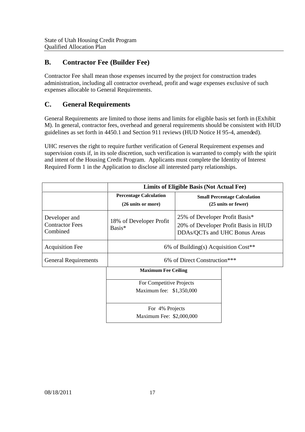#### **B. Contractor Fee (Builder Fee)**

Contractor Fee shall mean those expenses incurred by the project for construction trades administration, including all contractor overhead, profit and wage expenses exclusive of such expenses allocable to General Requirements.

#### **C. General Requirements**

General Requirements are limited to those items and limits for eligible basis set forth in (Exhibit M). In general, contractor fees, overhead and general requirements should be consistent with HUD guidelines as set forth in 4450.1 and Section 911 reviews (HUD Notice H 95-4, amended).

UHC reserves the right to require further verification of General Requirement expenses and supervision costs if, in its sole discretion, such verification is warranted to comply with the spirit and intent of the Housing Credit Program. Applicants must complete the Identity of Interest Required Form 1 in the Application to disclose all interested party relationships.

|                                                     | Limits of Eligible Basis (Not Actual Fee)           |                                                                                                         |                                                            |
|-----------------------------------------------------|-----------------------------------------------------|---------------------------------------------------------------------------------------------------------|------------------------------------------------------------|
|                                                     | <b>Percentage Calculation</b><br>(26 units or more) |                                                                                                         | <b>Small Percentage Calculation</b><br>(25 units or fewer) |
| Developer and<br><b>Contractor Fees</b><br>Combined | 18% of Developer Profit<br>Basis*                   | 25% of Developer Profit Basis*<br>20% of Developer Profit Basis in HUD<br>DDAs/QCTs and UHC Bonus Areas |                                                            |
| <b>Acquisition Fee</b>                              | 6% of Building(s) Acquisition $Cost**$              |                                                                                                         |                                                            |
| <b>General Requirements</b>                         | 6% of Direct Construction***                        |                                                                                                         |                                                            |
|                                                     | <b>Maximum Fee Ceiling</b>                          |                                                                                                         |                                                            |
|                                                     | For Competitive Projects                            |                                                                                                         |                                                            |
|                                                     | Maximum fee: \$1,350,000                            |                                                                                                         |                                                            |
| For 4% Projects<br>Maximum Fee: \$2,000,000         |                                                     |                                                                                                         |                                                            |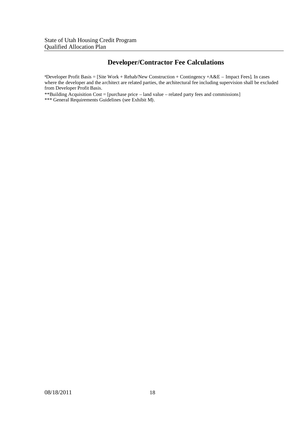#### **Developer/Contractor Fee Calculations**

\*Developer Profit Basis = [Site Work + Rehab/New Construction + Contingency +A&E – Impact Fees]. In cases where the developer and the architect are related parties, the architectural fee including supervision shall be excluded from Developer Profit Basis.

\*\*Building Acquisition Cost = [purchase price – land value – related party fees and commissions] \*\*\* General Requirements Guidelines (see Exhibit M).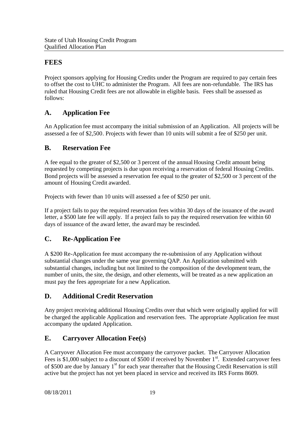#### **FEES**

Project sponsors applying for Housing Credits under the Program are required to pay certain fees to offset the cost to UHC to administer the Program. All fees are non-refundable. The IRS has ruled that Housing Credit fees are not allowable in eligible basis. Fees shall be assessed as follows:

#### **A. Application Fee**

An Application fee must accompany the initial submission of an Application. All projects will be assessed a fee of \$2,500. Projects with fewer than 10 units will submit a fee of \$250 per unit.

#### **B. Reservation Fee**

A fee equal to the greater of \$2,500 or 3 percent of the annual Housing Credit amount being requested by competing projects is due upon receiving a reservation of federal Housing Credits. Bond projects will be assessed a reservation fee equal to the greater of \$2,500 or 3 percent of the amount of Housing Credit awarded.

Projects with fewer than 10 units will assessed a fee of \$250 per unit.

If a project fails to pay the required reservation fees within 30 days of the issuance of the award letter, a \$500 late fee will apply. If a project fails to pay the required reservation fee within 60 days of issuance of the award letter, the award may be rescinded.

#### **C. Re-Application Fee**

A \$200 Re-Application fee must accompany the re-submission of any Application without substantial changes under the same year governing QAP. An Application submitted with substantial changes, including but not limited to the composition of the development team, the number of units, the site, the design, and other elements, will be treated as a new application an must pay the fees appropriate for a new Application.

#### **D. Additional Credit Reservation**

Any project receiving additional Housing Credits over that which were originally applied for will be charged the applicable Application and reservation fees. The appropriate Application fee must accompany the updated Application.

#### **E. Carryover Allocation Fee(s)**

A Carryover Allocation Fee must accompany the carryover packet. The Carryover Allocation Fees is \$1,000 subject to a discount of \$500 if received by November 1<sup>st</sup>. Extended carryover fees of \$500 are due by January 1<sup>st</sup> for each year thereafter that the Housing Credit Reservation is still active but the project has not yet been placed in service and received its IRS Forms 8609.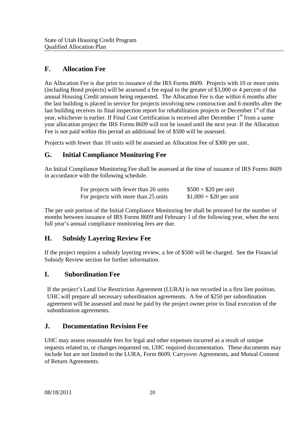#### **F. Allocation Fee**

An Allocation Fee is due prior to issuance of the IRS Forms 8609. Projects with 10 or more units (including Bond projects) will be assessed a fee equal to the greater of \$3,000 or 4 percent of the annual Housing Credit amount being requested. The Allocation Fee is due within 6 months after the last building is placed in service for projects involving new construction and 6 months after the last building receives its final inspection report for rehabilitation projects or December 1<sup>st</sup> of that year, whichever is earlier. If Final Cost Certification is received after December 1<sup>st</sup> from a same year allocation project the IRS Forms 8609 will not be issued until the next year. If the Allocation Fee is not paid within this period an additional fee of \$500 will be assessed.

Projects with fewer than 10 units will be assessed an Allocation Fee of \$300 per unit.

#### **G. Initial Compliance Monitoring Fee**

An Initial Compliance Monitoring Fee shall be assessed at the time of issuance of IRS Forms 8609 in accordance with the following schedule.

| For projects with fewer than 26 units | $$500 + $20$ per unit   |
|---------------------------------------|-------------------------|
| For projects with more than 25 units  | $$1,000 + $20$ per unit |

The per unit portion of the Initial Compliance Monitoring fee shall be prorated for the number of months between issuance of IRS Forms 8609 and February 1 of the following year, when the next full year's annual compliance monitoring fees are due.

#### **H. Subsidy Layering Review Fee**

If the project requires a subsidy layering review, a fee of \$500 will be charged. See the Financial Subsidy Review section for further information.

#### **I. Subordination Fee**

If the project's Land Use Restriction Agreement (LURA) is not recorded in a first lien position, UHC will prepare all necessary subordination agreements. A fee of \$250 per subordination agreement will be assessed and must be paid by the project owner prior to final execution of the subordination agreements.

#### **J. Documentation Revision Fee**

UHC may assess reasonable fees for legal and other expenses incurred as a result of unique requests related to, or changes requested on, UHC required documentation. These documents may include but are not limited to the LURA, Form 8609, Carryover Agreements, and Mutual Consent of Return Agreements.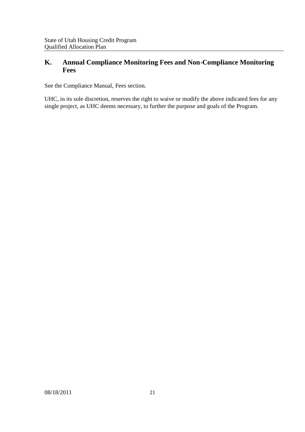#### **K. Annual Compliance Monitoring Fees and Non-Compliance Monitoring Fees**

See the Compliance Manual, Fees section.

UHC, in its sole discretion, reserves the right to waive or modify the above indicated fees for any single project, as UHC deems necessary, to further the purpose and goals of the Program.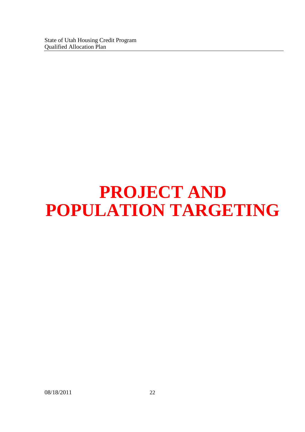## **PROJECT AND POPULATION TARGETING**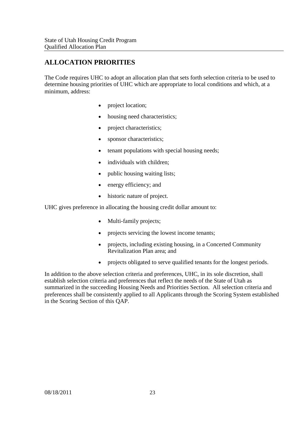#### **ALLOCATION PRIORITIES**

The Code requires UHC to adopt an allocation plan that sets forth selection criteria to be used to determine housing priorities of UHC which are appropriate to local conditions and which, at a minimum, address:

- project location;
- housing need characteristics;
- project characteristics;
- sponsor characteristics;
- tenant populations with special housing needs;
- individuals with children;
- public housing waiting lists;
- energy efficiency; and
- historic nature of project.

UHC gives preference in allocating the housing credit dollar amount to:

- Multi-family projects;
- projects servicing the lowest income tenants;
- projects, including existing housing, in a Concerted Community Revitalization Plan area; and
- projects obligated to serve qualified tenants for the longest periods.

In addition to the above selection criteria and preferences, UHC, in its sole discretion, shall establish selection criteria and preferences that reflect the needs of the State of Utah as summarized in the succeeding Housing Needs and Priorities Section. All selection criteria and preferences shall be consistently applied to all Applicants through the Scoring System established in the Scoring Section of this QAP.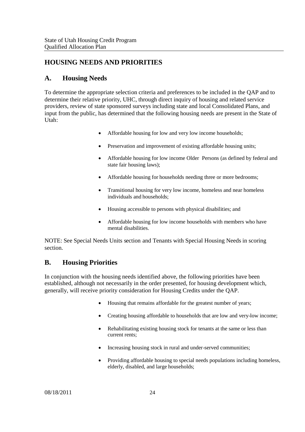#### **HOUSING NEEDS AND PRIORITIES**

#### **A. Housing Needs**

To determine the appropriate selection criteria and preferences to be included in the QAP and to determine their relative priority, UHC, through direct inquiry of housing and related service providers, review of state sponsored surveys including state and local Consolidated Plans, and input from the public, has determined that the following housing needs are present in the State of Utah:

- Affordable housing for low and very low income households;
- Preservation and improvement of existing affordable housing units;
- Affordable housing for low income Older Persons (as defined by federal and state fair housing laws);
- Affordable housing for households needing three or more bedrooms;
- Transitional housing for very low income, homeless and near homeless individuals and households;
- Housing accessible to persons with physical disabilities; and
- Affordable housing for low income households with members who have mental disabilities.

NOTE: See Special Needs Units section and Tenants with Special Housing Needs in scoring section.

#### **B. Housing Priorities**

In conjunction with the housing needs identified above, the following priorities have been established, although not necessarily in the order presented, for housing development which, generally, will receive priority consideration for Housing Credits under the QAP.

- Housing that remains affordable for the greatest number of years;
- Creating housing affordable to households that are low and very-low income;
- Rehabilitating existing housing stock for tenants at the same or less than current rents;
- Increasing housing stock in rural and under-served communities;
- Providing affordable housing to special needs populations including homeless, elderly, disabled, and large households;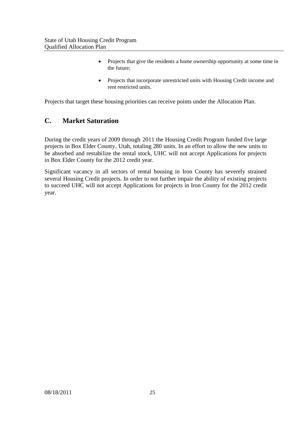- Projects that give the residents a home ownership opportunity at some time in the future;
- Projects that incorporate unrestricted units with Housing Credit income and rent restricted units.

Projects that target these housing priorities can receive points under the Allocation Plan.

#### **C. Market Saturation**

During the credit years of 2009 through 2011 the Housing Credit Program funded five large projects in Box Elder County, Utah, totaling 280 units. In an effort to allow the new units to be absorbed and restabilize the rental stock, UHC will not accept Applications for projects in Box Elder County for the 2012 credit year.

Significant vacancy in all sectors of rental housing in Iron County has severely strained several Housing Credit projects. In order to not further impair the ability of existing projects to succeed UHC will not accept Applications for projects in Iron County for the 2012 credit year.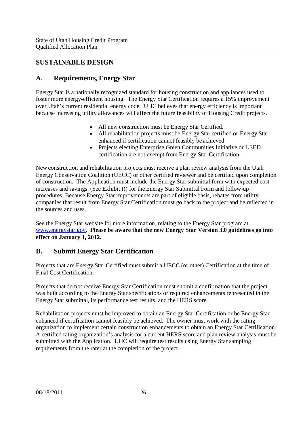#### **SUSTAINABLE DESIGN**

#### **A. Requirements, Energy Star**

Energy Star is a nationally recognized standard for housing construction and appliances used to foster more energy-efficient housing. The Energy Star Certification requires a 15% improvement over Utah's current residential energy code. UHC believes that energy efficiency is important because increasing utility allowances will affect the future feasibility of Housing Credit projects.

- All new construction must be Energy Star Certified.
- All rehabilitation projects must be Energy Star certified or Energy Star enhanced if certification cannot feasibly be achieved.
- Projects electing Enterprise Green Communities Initiative or LEED certification are not exempt from Energy Star Certification.

New construction and rehabilitation projects must receive a plan review analysis from the Utah Energy Conservation Coalition (UECC) or other certified reviewer and be certified upon completion of construction. The Application must include the Energy Star submittal form with expected cost increases and savings. (See Exhibit R) for the Energy Star Submittal Form and follow-up procedures. Because Energy Star improvements are part of eligible basis, rebates from utility companies that result from Energy Star Certification must go back to the project and be reflected in the sources and uses.

See the Energy Star website for more information, relating to the Energy Star program at www.energystar.gov. **Please be aware that the new Energy Star Version 3.0 guidelines go into effect on January 1, 2012.**

#### **B. Submit Energy Star Certification**

Projects that are Energy Star Certified must submit a UECC (or other) Certification at the time of Final Cost Certification.

Projects that do not receive Energy Star Certification must submit a confirmation that the project was built according to the Energy Star specifications or required enhancements represented in the Energy Star submittal, its performance test results, and the HERS score.

Rehabilitation projects must be improved to obtain an Energy Star Certification or be Energy Star enhanced if certification cannot feasibly be achieved. The owner must work with the rating organization to implement certain construction enhancements to obtain an Energy Star Certification. A certified rating organization's analysis for a current HERS score and plan review analysis must be submitted with the Application. UHC will require test results using Energy Star sampling requirements from the rater at the completion of the project.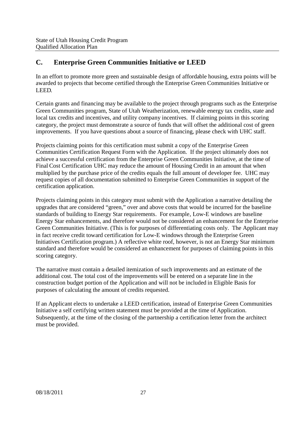#### **C. Enterprise Green Communities Initiative or LEED**

In an effort to promote more green and sustainable design of affordable housing, extra points will be awarded to projects that become certified through the Enterprise Green Communities Initiative or LEED.

Certain grants and financing may be available to the project through programs such as the Enterprise Green Communities program, State of Utah Weatherization, renewable energy tax credits, state and local tax credits and incentives, and utility company incentives. If claiming points in this scoring category, the project must demonstrate a source of funds that will offset the additional cost of green improvements. If you have questions about a source of financing, please check with UHC staff.

Projects claiming points for this certification must submit a copy of the Enterprise Green Communities Certification Request Form with the Application. If the project ultimately does not achieve a successful certification from the Enterprise Green Communities Initiative, at the time of Final Cost Certification UHC may reduce the amount of Housing Credit in an amount that when multiplied by the purchase price of the credits equals the full amount of developer fee. UHC may request copies of all documentation submitted to Enterprise Green Communities in support of the certification application.

Projects claiming points in this category must submit with the Application a narrative detailing the upgrades that are considered "green," over and above costs that would be incurred for the baseline standards of building to Energy Star requirements. For example, Low-E windows are baseline Energy Star enhancements, and therefore would not be considered an enhancement for the Enterprise Green Communities Initiative. (This is for purposes of differentiating costs only. The Applicant may in fact receive credit toward certification for Low-E windows through the Enterprise Green Initiatives Certification program.) A reflective white roof, however, is not an Energy Star minimum standard and therefore would be considered an enhancement for purposes of claiming points in this scoring category.

The narrative must contain a detailed itemization of such improvements and an estimate of the additional cost. The total cost of the improvements will be entered on a separate line in the construction budget portion of the Application and will not be included in Eligible Basis for purposes of calculating the amount of credits requested.

If an Applicant elects to undertake a LEED certification, instead of Enterprise Green Communities Initiative a self certifying written statement must be provided at the time of Application. Subsequently, at the time of the closing of the partnership a certification letter from the architect must be provided.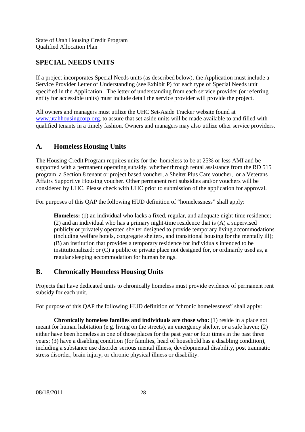#### **SPECIAL NEEDS UNITS**

If a project incorporates Special Needs units (as described below), the Application must include a Service Provider Letter of Understanding (see Exhibit P) for each type of Special Needs unit specified in the Application. The letter of understanding from each service provider (or referring entity for accessible units) must include detail the service provider will provide the project.

All owners and managers must utilize the UHC Set-Aside Tracker website found at www.utahhousingcorp.org, to assure that set-aside units will be made available to and filled with qualified tenants in a timely fashion. Owners and managers may also utilize other service providers.

#### **A. Homeless Housing Units**

The Housing Credit Program requires units for the homeless to be at 25% or less AMI and be supported with a permanent operating subsidy, whether through rental assistance from the RD 515 program, a Section 8 tenant or project based voucher, a Shelter Plus Care voucher, or a Veterans Affairs Supportive Housing voucher. Other permanent rent subsidies and/or vouchers will be considered by UHC. Please check with UHC prior to submission of the application for approval.

For purposes of this QAP the following HUD definition of "homelessness" shall apply:

**Homeless:** (1) an individual who lacks a fixed, regular, and adequate night-time residence; (2) and an individual who has a primary night-time residence that is (A) a supervised publicly or privately operated shelter designed to provide temporary living accommodations (including welfare hotels, congregate shelters, and transitional housing for the mentally ill); (B) an institution that provides a temporary residence for individuals intended to be institutionalized; or  $(C)$  a public or private place not designed for, or ordinarily used as, a regular sleeping accommodation for human beings.

#### **B. Chronically Homeless Housing Units**

Projects that have dedicated units to chronically homeless must provide evidence of permanent rent subsidy for each unit.

For purpose of this QAP the following HUD definition of "chronic homelessness" shall apply:

**Chronically homeless families and individuals are those who:** (1) reside in a place not meant for human habitation (e.g. living on the streets), an emergency shelter, or a safe haven; (2) either have been homeless in one of those places for the past year or four times in the past three years; (3) have a disabling condition (for families, head of household has a disabling condition), including a substance use disorder serious mental illness, developmental disability, post traumatic stress disorder, brain injury, or chronic physical illness or disability.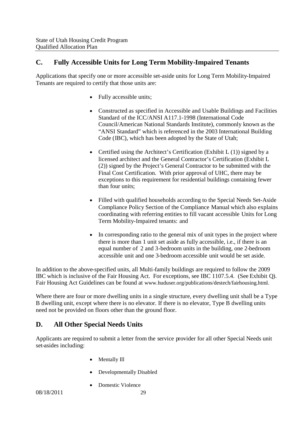#### **C. Fully Accessible Units for Long Term Mobility-Impaired Tenants**

Applications that specify one or more accessible set-aside units for Long Term Mobility-Impaired Tenants are required to certify that those units are:

- Fully accessible units;
- Constructed as specified in Accessible and Usable Buildings and Facilities Standard of the ICC/ANSI A117.1-1998 (International Code Council/American National Standards Institute), commonly known as the "ANSI Standard" which is referenced in the 2003 International Building Code (IBC), which has been adopted by the State of Utah;
- Certified using the Architect's Certification (Exhibit  $L(1)$ ) signed by a licensed architect and the General Contractor's Certification (Exhibit L (2)) signed by the Project's General Contractor to be submitted with the Final Cost Certification. With prior approval of UHC, there may be exceptions to this requirement for residential buildings containing fewer than four units;
- Filled with qualified households according to the Special Needs Set-Aside Compliance Policy Section of the Compliance Manual which also explains coordinating with referring entities to fill vacant accessible Units for Long Term Mobility-Impaired tenants: and
- In corresponding ratio to the general mix of unit types in the project where there is more than 1 unit set aside as fully accessible, i.e., if there is an equal number of 2 and 3-bedroom units in the building, one 2-bedroom accessible unit and one 3-bedroom accessible unit would be set aside.

In addition to the above-specified units, all Multi-family buildings are required to follow the 2009 IBC which is inclusive of the Fair Housing Act. For exceptions, see IBC 1107.5.4. (See Exhibit Q). Fair Housing Act Guidelines can be found at www.huduser.org/publications/destech/fairhousing.html.

Where there are four or more dwelling units in a single structure, every dwelling unit shall be a Type B dwelling unit, except where there is no elevator. If there is no elevator, Type B dwelling units need not be provided on floors other than the ground floor.

#### **D. All Other Special Needs Units**

Applicants are required to submit a letter from the service provider for all other Special Needs unit set-asides including:

- Mentally Ill
- Developmentally Disabled
- Domestic Violence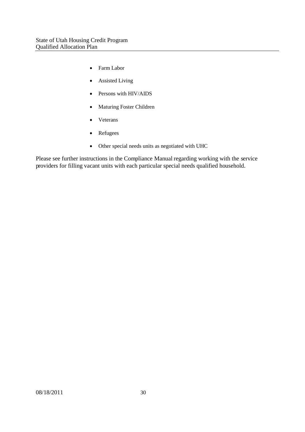- Farm Labor
- Assisted Living
- Persons with HIV/AIDS
- Maturing Foster Children
- Veterans
- Refugees
- Other special needs units as negotiated with UHC

Please see further instructions in the Compliance Manual regarding working with the service providers for filling vacant units with each particular special needs qualified household.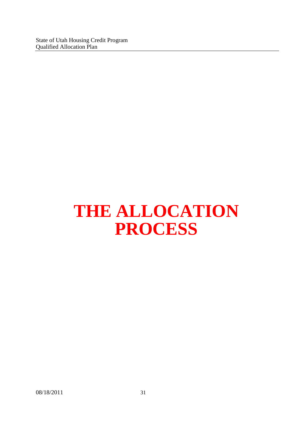State of Utah Housing Credit Program Qualified Allocation Plan

## **THE ALLOCATION PROCESS**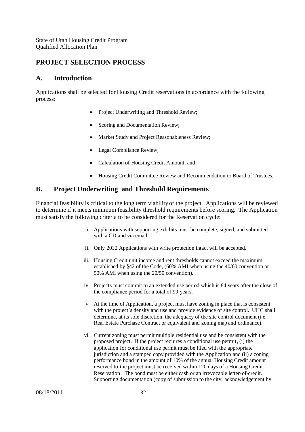### **PROJECT SELECTION PROCESS**

#### **A. Introduction**

Applications shall be selected for Housing Credit reservations in accordance with the following process:

- Project Underwriting and Threshold Review;
- Scoring and Documentation Review;
- Market Study and Project Reasonableness Review;
- Legal Compliance Review;
- Calculation of Housing Credit Amount; and
- Housing Credit Committee Review and Recommendation to Board of Trustees.

#### **B. Project Underwriting and Threshold Requirements**

Financial feasibility is critical to the long term viability of the project. Applications will be reviewed to determine if it meets minimum feasibility threshold requirements before scoring. The Application must satisfy the following criteria to be considered for the Reservation cycle:

- i. Applications with supporting exhibits must be complete, signed, and submitted with a CD and via email.
- ii. Only 2012 Applications with write protection intact will be accepted.
- iii. Housing Credit unit income and rent thresholds cannot exceed the maximum established by §42 of the Code, (60% AMI when using the 40/60 convention or 50% AMI when using the 20/50 convention).
- iv. Projects must commit to an extended use period which is 84 years after the close of the compliance period for a total of 99 years.
- v. At the time of Application, a project must have zoning in place that is consistent with the project's density and use and provide evidence of site control. UHC shall determine, at its sole discretion, the adequacy of the site control document (i.e. Real Estate Purchase Contract or equivalent and zoning map and ordinance).
- vi. Current zoning must permit multiple residential use and be consistent with the proposed project. If the project requires a conditional use permit, (i) the application for conditional use permit must be filed with the appropriate jurisdiction and a stamped copy provided with the Application and (ii) a zoning performance bond in the amount of 10% of the annual Housing Credit amount reserved to the project must be received within 120 days of a Housing Credit Reservation. The bond must be either cash or an irrevocable letter-of-credit. Supporting documentation (copy of submission to the city, acknowledgement by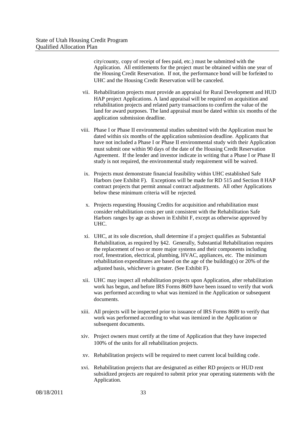city/county, copy of receipt of fees paid, etc.) must be submitted with the Application. All entitlements for the project must be obtained within one year of the Housing Credit Reservation. If not, the performance bond will be forfeited to UHC and the Housing Credit Reservation will be canceled.

- vii. Rehabilitation projects must provide an appraisal for Rural Development and HUD HAP project Applications. A land appraisal will be required on acquisition and rehabilitation projects and related party transactions to confirm the value of the land for award purposes. The land appraisal must be dated within six months of the application submission deadline.
- viii. Phase I or Phase II environmental studies submitted with the Application must be dated within six months of the application submission deadline. Applicants that have not included a Phase I or Phase II environmental study with their Application must submit one within 90 days of the date of the Housing Credit Reservation Agreement. If the lender and investor indicate in writing that a Phase I or Phase II study is not required, the environmental study requirement will be waived.
- ix. Projects must demonstrate financial feasibility within UHC established Safe Harbors (see Exhibit F). Exceptions will be made for RD 515 and Section 8 HAP contract projects that permit annual contract adjustments. All other Applications below these minimum criteria will be rejected.
- x. Projects requesting Housing Credits for acquisition and rehabilitation must consider rehabilitation costs per unit consistent with the Rehabilitation Safe Harbors ranges by age as shown in Exhibit F, except as otherwise approved by UHC.
- xi. UHC, at its sole discretion, shall determine if a project qualifies as Substantial Rehabilitation, as required by §42. Generally, Substantial Rehabilitation requires the replacement of two or more major systems and their components including roof, fenestration, electrical, plumbing, HVAC, appliances, etc. The minimum rehabilitation expenditures are based on the age of the building(s) or 20% of the adjusted basis, whichever is greater. (See Exhibit F).
- xii. UHC may inspect all rehabilitation projects upon Application, after rehabilitation work has begun, and before IRS Forms 8609 have been issued to verify that work was performed according to what was itemized in the Application or subsequent documents.
- xiii. All projects will be inspected prior to issuance of IRS Forms 8609 to verify that work was performed according to what was itemized in the Application or subsequent documents.
- xiv. Project owners must certify at the time of Application that they have inspected 100% of the units for all rehabilitation projects.
- xv. Rehabilitation projects will be required to meet current local building code.
- xvi. Rehabilitation projects that are designated as either RD projects or HUD rent subsidized projects are required to submit prior year operating statements with the Application.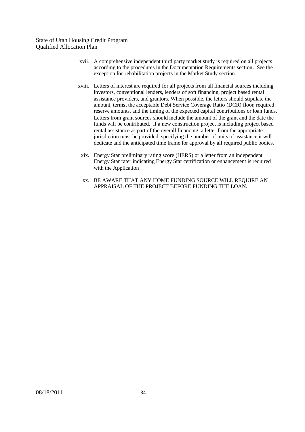- xvii. A comprehensive independent third party market study is required on all projects according to the procedures in the Documentation Requirements section. See the exception for rehabilitation projects in the Market Study section.
- xviii. Letters of interest are required for all projects from all financial sources including investors, conventional lenders, lenders of soft financing, project based rental assistance providers, and grantors. When possible, the letters should stipulate the amount, terms, the acceptable Debt Service Coverage Ratio (DCR) floor, required reserve amounts, and the timing of the expected capital contributions or loan funds. Letters from grant sources should include the amount of the grant and the date the funds will be contributed. If a new construction project is including project based rental assistance as part of the overall financing, a letter from the appropriate jurisdiction must be provided, specifying the number of units of assistance it will dedicate and the anticipated time frame for approval by all required public bodies.
- xix. Energy Star preliminary rating score (HERS) or a letter from an independent Energy Star rater indicating Energy Star certification or enhancement is required with the Application
- xx. BE AWARE THAT ANY HOME FUNDING SOURCE WILL REQUIRE AN APPRAISAL OF THE PROJECT BEFORE FUNDING THE LOAN.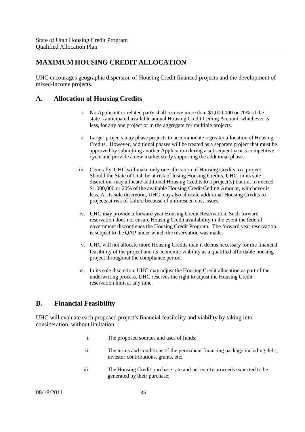# **MAXIMUM HOUSING CREDIT ALLOCATION**

UHC encourages geographic dispersion of Housing Credit financed projects and the development of mixed-income projects.

#### **A. Allocation of Housing Credits**

- i. No Applicant or related party shall receive more than \$1,000,000 or 20% of the state's anticipated available annual Housing Credit Ceiling Amount, whichever is less, for any one project or in the aggregate for multiple projects.
- ii. Larger projects may phase projects to accommodate a greater allocation of Housing Credits. However, additional phases will be treated as a separate project that must be approved by submitting another Application during a subsequent year's competitive cycle and provide a new market study supporting the additional phase.
- iii. Generally, UHC will make only one allocation of Housing Credits to a project. Should the State of Utah be at risk of losing Housing Credits, UHC, in its sole discretion, may allocate additional Housing Credits to a project(s) but not to exceed \$1,000,000 or 20% of the available Housing Credit Ceiling Amount, whichever is less. At its sole discretion, UHC may also allocate additional Housing Credits to projects at risk of failure because of unforeseen cost issues.
- iv. UHC may provide a forward year Housing Credit Reservation. Such forward reservation does not ensure Housing Credit availability in the event the federal government discontinues the Housing Credit Program. The forward year reservation is subject to the QAP under which the reservation was made.
- v. UHC will not allocate more Housing Credits than it deems necessary for the financial feasibility of the project and its economic viability as a qualified affordable housing project throughout the compliance period.
- vi. In its sole discretion, UHC may adjust the Housing Credit allocation as part of the underwriting process. UHC reserves the right to adjust the Housing Credit reservation limit at any time.

## **B. Financial Feasibility**

UHC will evaluate each proposed project's financial feasibility and viability by taking into consideration, without limitation:

- i. The proposed sources and uses of funds;
- ii. The terms and conditions of the permanent financing package including debt, investor contributions, grants, etc;
- iii. The Housing Credit purchase rate and net equity proceeds expected to be generated by their purchase;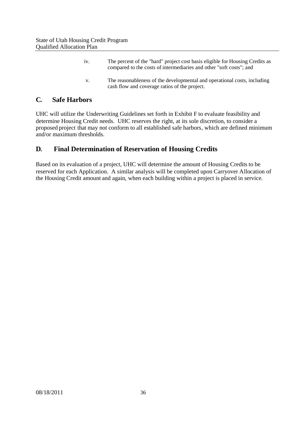| 1V <sub>1</sub> | The percent of the "hard" project cost basis eligible for Housing Credits as<br>compared to the costs of intermediaries and other "soft costs"; and |
|-----------------|-----------------------------------------------------------------------------------------------------------------------------------------------------|
| $V_{\odot}$     | The reasonableness of the developmental and operational costs, including<br>cash flow and coverage ratios of the project.                           |

#### **C. Safe Harbors**

UHC will utilize the Underwriting Guidelines set forth in Exhibit F to evaluate feasibility and determine Housing Credit needs. UHC reserves the right, at its sole discretion, to consider a proposed project that may not conform to all established safe harbors, which are defined minimum and/or maximum thresholds.

# **D. Final Determination of Reservation of Housing Credits**

Based on its evaluation of a project, UHC will determine the amount of Housing Credits to be reserved for each Application. A similar analysis will be completed upon Carryover Allocation of the Housing Credit amount and again, when each building within a project is placed in service.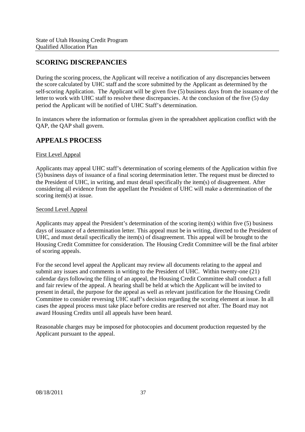# **SCORING DISCREPANCIES**

During the scoring process, the Applicant will receive a notification of any discrepancies between the score calculated by UHC staff and the score submitted by the Applicant as determined by the self-scoring Application. The Applicant will be given five (5) business days from the issuance of the letter to work with UHC staff to resolve these discrepancies. At the conclusion of the five (5) day period the Applicant will be notified of UHC Staff's determination.

In instances where the information or formulas given in the spreadsheet application conflict with the QAP, the QAP shall govern.

## **APPEALS PROCESS**

#### First Level Appeal

Applicants may appeal UHC staff's determination of scoring elements of the Application within five (5) business days of issuance of a final scoring determination letter. The request must be directed to the President of UHC, in writing, and must detail specifically the item(s) of disagreement. After considering all evidence from the appellant the President of UHC will make a determination of the scoring item(s) at issue.

#### Second Level Appeal

Applicants may appeal the President's determination of the scoring item(s) within five (5) business days of issuance of a determination letter. This appeal must be in writing, directed to the President of UHC, and must detail specifically the item(s) of disagreement. This appeal will be brought to the Housing Credit Committee for consideration. The Housing Credit Committee will be the final arbiter of scoring appeals.

For the second level appeal the Applicant may review all documents relating to the appeal and submit any issues and comments in writing to the President of UHC. Within twenty-one (21) calendar daysfollowing the filing of an appeal, the Housing Credit Committee shall conduct a full and fair review of the appeal. A hearing shall be held at which the Applicant will be invited to present in detail, the purpose for the appeal as well as relevant justification for the Housing Credit Committee to consider reversing UHC staff's decision regarding the scoring element at issue. In all cases the appeal process must take place before credits are reserved not after. The Board may not award Housing Credits until all appeals have been heard.

Reasonable charges may be imposed for photocopies and document production requested by the Applicant pursuant to the appeal.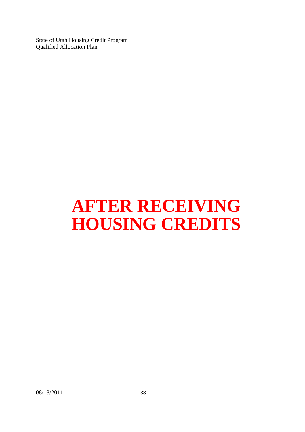# **AFTER RECEIVING HOUSING CREDITS**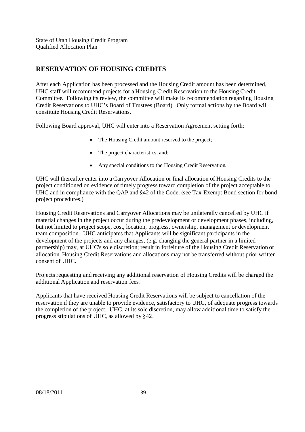# **RESERVATION OF HOUSING CREDITS**

After each Application has been processed and the Housing Credit amount has been determined, UHC staff will recommend projects for a Housing Credit Reservation to the Housing Credit Committee. Following its review, the committee will make its recommendation regarding Housing Credit Reservations to UHC's Board of Trustees (Board). Only formal actions by the Board will constitute Housing Credit Reservations.

Following Board approval, UHC will enter into a Reservation Agreement setting forth:

- The Housing Credit amount reserved to the project;
- The project characteristics, and:
- Any special conditions to the Housing Credit Reservation.

UHC will thereafter enter into a Carryover Allocation or final allocation of Housing Credits to the project conditioned on evidence of timely progress toward completion of the project acceptable to UHC and in compliance with the QAP and §42 of the Code. (see Tax-Exempt Bond section for bond project procedures.)

Housing Credit Reservations and Carryover Allocations may be unilaterally cancelled by UHC if material changes in the project occur during the predevelopment or development phases, including, but not limited to project scope, cost, location, progress, ownership, management or development team composition. UHC anticipates that Applicants will be significant participants in the development of the projects and any changes, (e.g. changing the general partner in a limited partnership) may, at UHC's sole discretion; result in forfeiture of the Housing Credit Reservation or allocation. Housing Credit Reservations and allocations may not be transferred without prior written consent of UHC.

Projects requesting and receiving any additional reservation of Housing Credits will be charged the additional Application and reservation fees.

Applicants that have received Housing Credit Reservations will be subject to cancellation of the reservation if they are unable to provide evidence, satisfactory to UHC, of adequate progress towards the completion of the project. UHC, at its sole discretion, may allow additional time to satisfy the progress stipulations of UHC, as allowed by §42.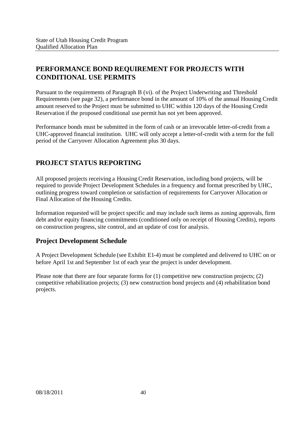# **PERFORMANCE BOND REQUIREMENT FOR PROJECTS WITH CONDITIONAL USE PERMITS**

Pursuant to the requirements of Paragraph B (vi). of the Project Underwriting and Threshold Requirements (see page 32), a performance bond in the amount of 10% of the annual Housing Credit amount reserved to the Project must be submitted to UHC within 120 days of the Housing Credit Reservation if the proposed conditional use permit has not yet been approved.

Performance bonds must be submitted in the form of cash or an irrevocable letter-of-credit from a UHC-approved financial institution. UHC will only accept a letter-of-credit with a term for the full period of the Carryover Allocation Agreement plus 30 days.

# **PROJECT STATUS REPORTING**

All proposed projects receiving a Housing Credit Reservation, including bond projects, will be required to provide Project Development Schedules in a frequency and format prescribed by UHC, outlining progress toward completion or satisfaction of requirements for Carryover Allocation or Final Allocation of the Housing Credits.

Information requested will be project specific and may include such items as zoning approvals, firm debt and/or equity financing commitments (conditioned only on receipt of Housing Credits), reports on construction progress, site control, and an update of cost for analysis.

## **Project Development Schedule**

A Project Development Schedule (see Exhibit E1-4) must be completed and delivered to UHC on or before April 1st and September 1st of each year the project is under development.

Please note that there are four separate forms for (1) competitive new construction projects; (2) competitive rehabilitation projects; (3) new construction bond projects and (4) rehabilitation bond projects.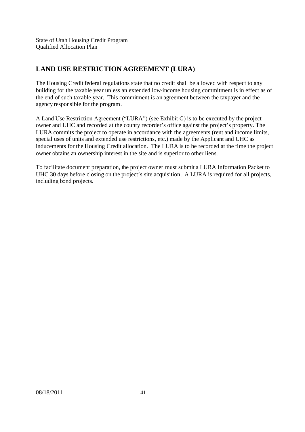# **LAND USE RESTRICTION AGREEMENT (LURA)**

The Housing Credit federal regulations state that no credit shall be allowed with respect to any building for the taxable year unless an extended low-income housing commitment is in effect as of the end of such taxable year. This commitment is an agreement between the taxpayer and the agency responsible for the program.

A Land Use Restriction Agreement ("LURA") (see Exhibit G) is to be executed by the project owner and UHC and recorded at the county recorder's office against the project's property. The LURA commits the project to operate in accordance with the agreements (rent and income limits, special uses of units and extended use restrictions, etc.) made by the Applicant and UHC as inducements for the Housing Credit allocation. The LURA is to be recorded at the time the project owner obtains an ownership interest in the site and is superior to other liens.

To facilitate document preparation, the project owner must submit a LURA Information Packet to UHC 30 days before closing on the project's site acquisition. A LURA is required for all projects, including bond projects.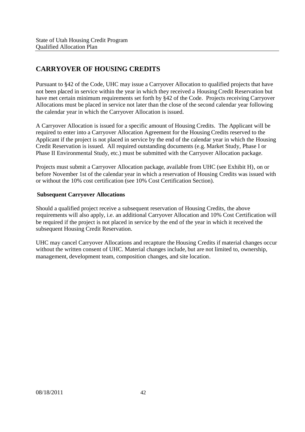# **CARRYOVER OF HOUSING CREDITS**

Pursuant to §42 of the Code, UHC may issue a Carryover Allocation to qualified projects that have not been placed in service within the year in which they received a Housing Credit Reservation but have met certain minimum requirements set forth by §42 of the Code. Projects receiving Carryover Allocations must be placed in service not later than the close of the second calendar year following the calendar year in which the Carryover Allocation is issued.

A Carryover Allocation is issued for a specific amount of Housing Credits. The Applicant will be required to enter into a Carryover Allocation Agreement for the Housing Credits reserved to the Applicant if the project is not placed in service by the end of the calendar year in which the Housing Credit Reservation is issued. All required outstanding documents (e.g. Market Study, Phase I or Phase II Environmental Study, etc.) must be submitted with the Carryover Allocation package.

Projects must submit a Carryover Allocation package, available from UHC (see Exhibit H), on or before November 1st of the calendar year in which a reservation of Housing Credits was issued with or without the 10% cost certification (see 10% Cost Certification Section).

#### **Subsequent Carryover Allocations**

Should a qualified project receive a subsequent reservation of Housing Credits, the above requirements will also apply, i.e. an additional Carryover Allocation and 10% Cost Certification will be required if the project is not placed in service by the end of the year in which it received the subsequent Housing Credit Reservation.

UHC may cancel Carryover Allocations and recapture the Housing Credits if material changes occur without the written consent of UHC. Material changes include, but are not limited to, ownership, management, development team, composition changes, and site location.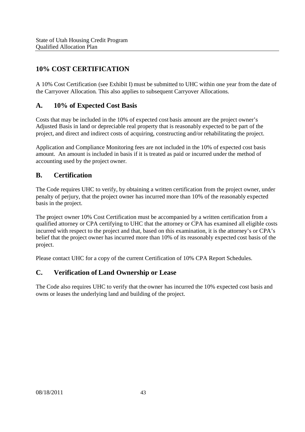# **10% COST CERTIFICATION**

A 10% Cost Certification (see Exhibit I) must be submitted to UHC within one year from the date of the Carryover Allocation. This also applies to subsequent Carryover Allocations.

## **A. 10% of Expected Cost Basis**

Costs that may be included in the 10% of expected cost basis amount are the project owner's Adjusted Basis in land or depreciable real property that is reasonably expected to be part of the project, and direct and indirect costs of acquiring, constructing and/or rehabilitating the project.

Application and Compliance Monitoring fees are not included in the 10% of expected cost basis amount. An amount is included in basis if it is treated as paid or incurred under the method of accounting used by the project owner.

## **B. Certification**

The Code requires UHC to verify, by obtaining a written certification from the project owner, under penalty of perjury, that the project owner has incurred more than 10% of the reasonably expected basis in the project.

The project owner 10% Cost Certification must be accompanied by a written certification from a qualified attorney or CPA certifying to UHC that the attorney or CPA has examined all eligible costs incurred with respect to the project and that, based on this examination, it is the attorney's or CPA's belief that the project owner has incurred more than 10% of its reasonably expected cost basis of the project.

Please contact UHC for a copy of the current Certification of 10% CPA Report Schedules.

## **C. Verification of Land Ownership or Lease**

The Code also requires UHC to verify that the owner has incurred the 10% expected cost basis and owns or leases the underlying land and building of the project.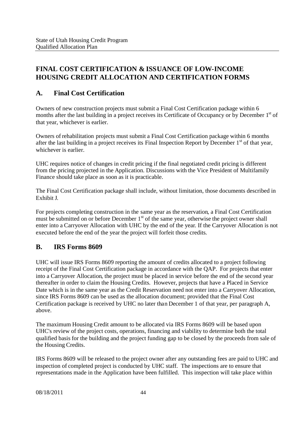# **FINAL COST CERTIFICATION & ISSUANCE OF LOW-INCOME HOUSING CREDIT ALLOCATION AND CERTIFICATION FORMS**

## **A. Final Cost Certification**

Owners of new construction projects must submit a Final Cost Certification package within 6 months after the last building in a project receives its Certificate of Occupancy or by December 1<sup>st</sup> of that year, whichever is earlier.

Owners of rehabilitation projects must submit a Final Cost Certification package within 6 months after the last building in a project receives its Final Inspection Report by December 1<sup>st</sup> of that year, whichever is earlier.

UHC requires notice of changes in credit pricing if the final negotiated credit pricing is different from the pricing projected in the Application. Discussions with the Vice President of Multifamily Finance should take place as soon as it is practicable.

The Final Cost Certification package shall include, without limitation, those documents described in Exhibit J.

For projects completing construction in the same year as the reservation, a Final Cost Certification must be submitted on or before December 1<sup>st</sup> of the same year, otherwise the project owner shall enter into a Carryover Allocation with UHC by the end of the year. If the Carryover Allocation is not executed before the end of the year the project will forfeit those credits.

#### **B. IRS Forms 8609**

UHC will issue IRS Forms 8609 reporting the amount of credits allocated to a project following receipt of the Final Cost Certification package in accordance with the QAP. For projects that enter into a Carryover Allocation, the project must be placed in service before the end of the second year thereafter in order to claim the Housing Credits. However, projects that have a Placed in Service Date which is in the same year as the Credit Reservation need not enter into a Carryover Allocation, since IRS Forms 8609 can be used as the allocation document; provided that the Final Cost Certification package is received by UHC no later than December 1 of that year, per paragraph A, above.

The maximum Housing Credit amount to be allocated via IRS Forms 8609 will be based upon UHC's review of the project costs, operations, financing and viability to determine both the total qualified basis for the building and the project funding gap to be closed by the proceeds from sale of the Housing Credits.

IRS Forms 8609 will be released to the project owner after any outstanding fees are paid to UHC and inspection of completed project is conducted by UHC staff. The inspections are to ensure that representations made in the Application have been fulfilled. This inspection will take place within

08/18/2011 44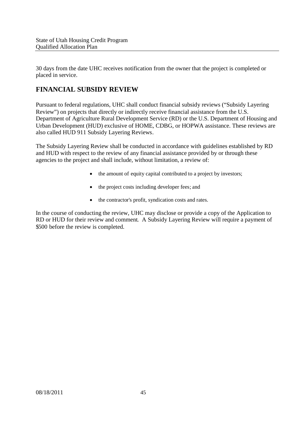30 days from the date UHC receives notification from the owner that the project is completed or placed in service.

# **FINANCIAL SUBSIDY REVIEW**

Pursuant to federal regulations, UHC shall conduct financial subsidy reviews ("Subsidy Layering Review") on projects that directly or indirectly receive financial assistance from the U.S. Department of Agriculture Rural Development Service (RD) or the U.S. Department of Housing and Urban Development (HUD) exclusive of HOME, CDBG, or HOPWA assistance. These reviews are also called HUD 911 Subsidy Layering Reviews.

The Subsidy Layering Review shall be conducted in accordance with guidelines established by RD and HUD with respect to the review of any financial assistance provided by or through these agencies to the project and shall include, without limitation, a review of:

- the amount of equity capital contributed to a project by investors;
- the project costs including developer fees; and
- the contractor's profit, syndication costs and rates.

In the course of conducting the review, UHC may disclose or provide a copy of the Application to RD or HUD for their review and comment. A Subsidy Layering Review will require a payment of \$500 before the review is completed.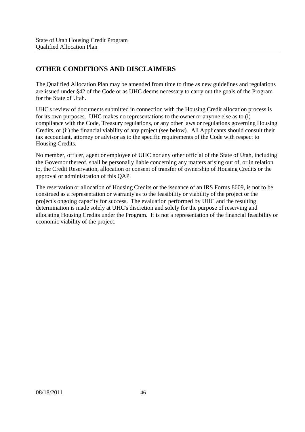# **OTHER CONDITIONS AND DISCLAIMERS**

The Qualified Allocation Plan may be amended from time to time as new guidelines and regulations are issued under §42 of the Code or as UHC deems necessary to carry out the goals of the Program for the State of Utah.

UHC's review of documents submitted in connection with the Housing Credit allocation process is for its own purposes. UHC makes no representations to the owner or anyone else as to (i) compliance with the Code, Treasury regulations, or any other laws or regulations governing Housing Credits, or (ii) the financial viability of any project (see below). All Applicants should consult their tax accountant, attorney or advisor as to the specific requirements of the Code with respect to Housing Credits.

No member, officer, agent or employee of UHC nor any other official of the State of Utah, including the Governor thereof, shall be personally liable concerning any matters arising out of, or in relation to, the Credit Reservation, allocation or consent of transfer of ownership of Housing Credits or the approval or administration of this QAP.

The reservation or allocation of Housing Credits or the issuance of an IRS Forms 8609, is not to be construed as a representation or warranty as to the feasibility or viability of the project or the project's ongoing capacity for success. The evaluation performed by UHC and the resulting determination is made solely at UHC's discretion and solely for the purpose of reserving and allocating Housing Credits under the Program. It is not a representation of the financial feasibility or economic viability of the project.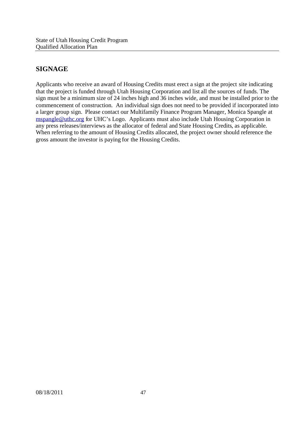# **SIGNAGE**

Applicants who receive an award of Housing Credits must erect a sign at the project site indicating that the project is funded through Utah Housing Corporation and list all the sources of funds. The sign must be a minimum size of 24 inches high and 36 inches wide, and must be installed prior to the commencement of construction. An individual sign does not need to be provided if incorporated into a larger group sign. Please contact our Multifamily Finance Program Manager, Monica Spangle at mspangle@uthc.org for UHC's Logo. Applicants must also include Utah Housing Corporation in any press releases/interviews as the allocator of federal and State Housing Credits, as applicable. When referring to the amount of Housing Credits allocated, the project owner should reference the gross amount the investor is paying for the Housing Credits.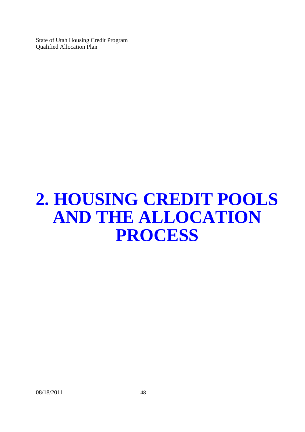# **2. HOUSING CREDIT POOLS AND THE ALLOCATION PROCESS**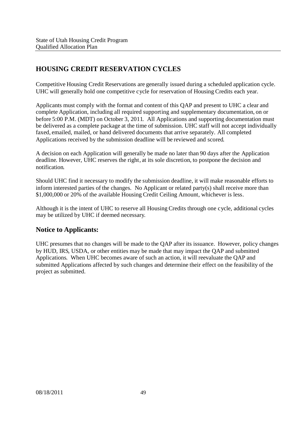# **HOUSING CREDIT RESERVATION CYCLES**

Competitive Housing Credit Reservations are generally issued during a scheduled application cycle. UHC will generally hold one competitive cycle for reservation of Housing Credits each year.

Applicants must comply with the format and content of this QAP and present to UHC a clear and complete Application, including all required supporting and supplementary documentation, on or before 5:00 P.M. (MDT) on October 3, 2011. All Applications and supporting documentation must be delivered as a complete package at the time of submission. UHC staff will not accept individually faxed, emailed, mailed, or hand delivered documents that arrive separately. All completed Applications received by the submission deadline will be reviewed and scored.

A decision on each Application will generally be made no later than 90 days after the Application deadline. However, UHC reserves the right, at its sole discretion, to postpone the decision and notification.

Should UHC find it necessary to modify the submission deadline, it will make reasonable efforts to inform interested parties of the changes. No Applicant or related party(s) shall receive more than \$1,000,000 or 20% of the available Housing Credit Ceiling Amount, whichever is less.

Although it is the intent of UHC to reserve all Housing Credits through one cycle, additional cycles may be utilized by UHC if deemed necessary.

#### **Notice to Applicants:**

UHC presumes that no changes will be made to the QAP after its issuance. However, policy changes by HUD, IRS, USDA, or other entities may be made that may impact the QAP and submitted Applications. When UHC becomes aware of such an action, it will reevaluate the QAP and submitted Applications affected by such changes and determine their effect on the feasibility of the project as submitted.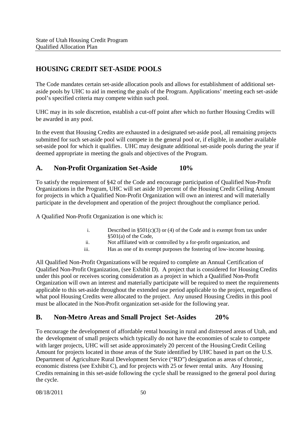# **HOUSING CREDIT SET-ASIDE POOLS**

The Code mandates certain set-aside allocation pools and allows for establishment of additional setaside pools by UHC to aid in meeting the goals of the Program. Applications' meeting each set-aside pool's specified criteria may compete within such pool.

UHC may in its sole discretion, establish a cut-off point after which no further Housing Credits will be awarded in any pool.

In the event that Housing Credits are exhausted in a designated set-aside pool, all remaining projects submitted for such set-aside pool will compete in the general pool or, if eligible, in another available set-aside pool for which it qualifies. UHC may designate additional set-aside pools during the year if deemed appropriate in meeting the goals and objectives of the Program.

#### **A. Non-Profit Organization Set-Aside 10%**

To satisfy the requirement of §42 of the Code and encourage participation of Qualified Non-Profit Organizations in the Program, UHC will set aside 10 percent of the Housing Credit Ceiling Amount for projects in which a Qualified Non-Profit Organization will own an interest and will materially participate in the development and operation of the project throughout the compliance period.

A Qualified Non-Profit Organization is one which is:

- i. Described in  $\S501(c)(3)$  or (4) of the Code and is exempt from tax under §501(a) of the Code,
- ii. Not affiliated with or controlled by a for-profit organization, and
- iii. Has as one of its exempt purposes the fostering of low-income housing.

All Qualified Non-Profit Organizations will be required to complete an Annual Certification of Qualified Non-Profit Organization, (see Exhibit D). A project that is considered for Housing Credits under this pool or receives scoring consideration as a project in which a Qualified Non-Profit Organization will own an interest and materially participate will be required to meet the requirements applicable to this set-aside throughout the extended use period applicable to the project, regardless of what pool Housing Credits were allocated to the project. Any unused Housing Credits in this pool must be allocated in the Non-Profit organization set-aside for the following year.

#### **B. Non-Metro Areas and Small Project Set-Asides 20%**

To encourage the development of affordable rental housing in rural and distressed areas of Utah, and the development of small projects which typically do not have the economies of scale to compete with larger projects, UHC will set aside approximately 20 percent of the Housing Credit Ceiling Amount for projects located in those areas of the State identified by UHC based in part on the U.S. Department of Agriculture Rural Development Service ("RD") designation as areas of chronic, economic distress (see Exhibit C), and for projects with 25 or fewer rental units. Any Housing Credits remaining in this set-aside following the cycle shall be reassigned to the general pool during the cycle.

08/18/2011 50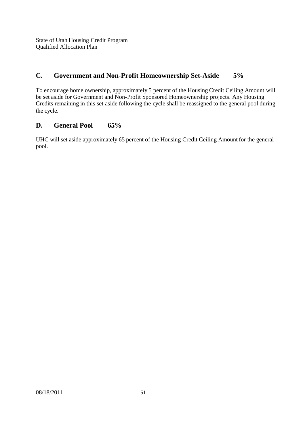## **C. Government and Non-Profit Homeownership Set-Aside 5%**

To encourage home ownership, approximately 5 percent of the Housing Credit Ceiling Amount will be set aside for Government and Non-Profit Sponsored Homeownership projects. Any Housing Credits remaining in this set-aside following the cycle shall be reassigned to the general pool during the cycle.

#### **D. General Pool 65%**

UHC will set aside approximately 65 percent of the Housing Credit Ceiling Amount for the general pool.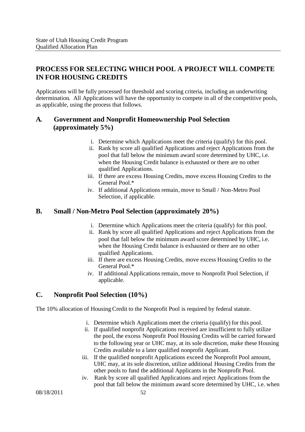# **PROCESS FOR SELECTING WHICH POOL A PROJECT WILL COMPETE IN FOR HOUSING CREDITS**

Applications will be fully processed for threshold and scoring criteria, including an underwriting determination. All Applications will have the opportunity to compete in all of the competitive pools, as applicable, using the process that follows.

### **A. Government and Nonprofit Homeownership Pool Selection (approximately 5%)**

- i. Determine which Applications meet the criteria (qualify) for this pool.
- ii. Rank by score all qualified Applications and reject Applications from the pool that fall below the minimum award score determined by UHC, i.e. when the Housing Credit balance is exhausted or there are no other qualified Applications.
- iii. If there are excess Housing Credits, move excess Housing Credits to the General Pool.\*
- iv. If additional Applications remain, move to Small / Non-Metro Pool Selection, if applicable.

#### **B. Small / Non-Metro Pool Selection (approximately 20%)**

- i. Determine which Applications meet the criteria (qualify) for this pool.
- ii. Rank by score all qualified Applications and reject Applications from the pool that fall below the minimum award score determined by UHC, i.e. when the Housing Credit balance is exhausted or there are no other qualified Applications.
- iii. If there are excess Housing Credits, move excess Housing Credits to the General Pool.\*
- iv. If additional Applications remain, move to Nonprofit Pool Selection, if applicable.

## **C. Nonprofit Pool Selection (10%)**

The 10% allocation of Housing Credit to the Nonprofit Pool is required by federal statute.

- i. Determine which Applications meet the criteria (qualify) for this pool.
- ii. If qualified nonprofit Applications received are insufficient to fully utilize the pool, the excess Nonprofit Pool Housing Credits will be carried forward to the following year or UHC may, at its sole discretion, make these Housing Credits available to a later qualified nonprofit Applicant.
- iii. If the qualified nonprofit Applications exceed the Nonprofit Pool amount, UHC may, at its sole discretion, utilize additional Housing Credits from the other pools to fund the additional Applicants in the Nonprofit Pool.
- iv. Rank by score all qualified Applications and reject Applications from the pool that fall below the minimum award score determined by UHC, i.e. when

08/18/2011 52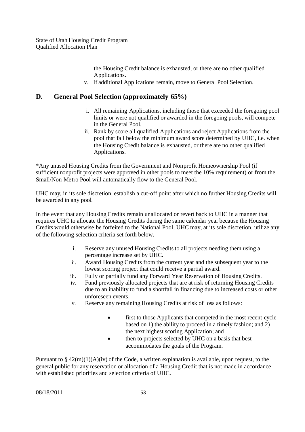the Housing Credit balance is exhausted, or there are no other qualified Applications.

v. If additional Applications remain, move to General Pool Selection.

#### **D. General Pool Selection (approximately 65%)**

- i. All remaining Applications, including those that exceeded the foregoing pool limits or were not qualified or awarded in the foregoing pools, will compete in the General Pool.
- ii. Rank by score all qualified Applications and reject Applications from the pool that fall below the minimum award score determined by UHC, i.e. when the Housing Credit balance is exhausted, or there are no other qualified Applications.

\*Any unused Housing Credits from the Government and Nonprofit Homeownership Pool (if sufficient nonprofit projects were approved in other pools to meet the 10% requirement) or from the Small/Non-Metro Pool will automatically flow to the General Pool.

UHC may, in its sole discretion, establish a cut-off point after which no further Housing Credits will be awarded in any pool.

In the event that any Housing Credits remain unallocated or revert back to UHC in a manner that requires UHC to allocate the Housing Credits during the same calendar year because the Housing Credits would otherwise be forfeited to the National Pool, UHC may, at its sole discretion, utilize any of the following selection criteria set forth below.

- i. Reserve any unused Housing Credits to all projects needing them using a percentage increase set by UHC.
- ii. Award Housing Credits from the current year and the subsequent year to the lowest scoring project that could receive a partial award.
- iii. Fully or partially fund any Forward Year Reservation of Housing Credits.
- iv. Fund previously allocated projects that are at risk of returning Housing Credits due to an inability to fund a shortfall in financing due to increased costs or other unforeseen events.
- v. Reserve any remaining Housing Credits at risk of loss as follows:
	- first to those Applicants that competed in the most recent cycle based on 1) the ability to proceed in a timely fashion; and 2) the next highest scoring Application; and
	- then to projects selected by UHC on a basis that best accommodates the goals of the Program.

Pursuant to  $\S 42(m)(1)(A)(iv)$  of the Code, a written explanation is available, upon request, to the general public for any reservation or allocation of a Housing Credit that is not made in accordance with established priorities and selection criteria of UHC.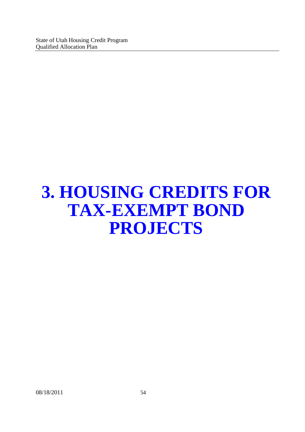# **3. HOUSING CREDITS FOR TAX-EXEMPT BOND PROJECTS**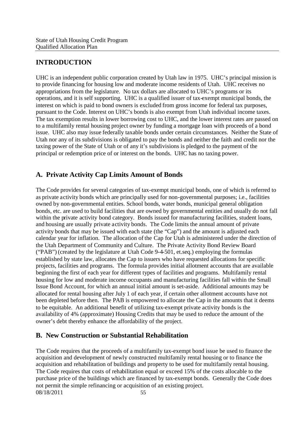# **INTRODUCTION**

UHC is an independent public corporation created by Utah law in 1975. UHC's principal mission is to provide financing for housing low and moderate income residents of Utah. UHC receives no appropriations from the legislature. No tax dollars are allocated to UHC's programs or its operations, and it is self supporting. UHC is a qualified issuer of tax-exempt municipal bonds, the interest on which is paid to bond owners is excluded from gross income for federal tax purposes, pursuant to the Code. Interest on UHC's bonds is also exempt from Utah individual income taxes. The tax exemption results in lower borrowing cost to UHC, and the lower interest rates are passed on to a multifamily rental housing project owner by funding a mortgage loan with proceeds of a bond issue. UHC also may issue federally taxable bonds under certain circumstances. Neither the State of Utah nor any of its subdivisions is obligated to pay the bonds and neither the faith and credit nor the taxing power of the State of Utah or of any it's subdivisions is pledged to the payment of the principal or redemption price of or interest on the bonds. UHC has no taxing power.

# **A. Private Activity Cap Limits Amount of Bonds**

The Code provides for several categories of tax-exempt municipal bonds, one of which is referred to as private activity bonds which are principally used for non-governmental purposes; i.e., facilities owned by non-governmental entities. School bonds, water bonds, municipal general obligation bonds, etc. are used to build facilities that are owned by governmental entities and usually do not fall within the private activity bond category. Bonds issued for manufacturing facilities, student loans, and housing are usually private activity bonds. The Code limits the annual amount of private activity bonds that may be issued with each state (the "Cap") and the amount is adjusted each calendar year for inflation. The allocation of the Cap for Utah is administered under the direction of the Utah Department of Community and Culture. The Private Activity Bond Review Board ("PAB") (created by the legislature at Utah Code 9-4-501, et.seq.) employing the formulas established by state law, allocates the Cap to issuers who have requested allocations for specific projects, facilities and programs. The formula provides initial allotment accounts that are available beginning the first of each year for different types of facilities and programs. Multifamily rental housing for low and moderate income occupants and manufacturing facilities fall within the Small Issue Bond Account, for which an annual initial amount is set-aside. Additional amounts may be allocated for rental housing after July 1 of each year, if certain other allotment accounts have not been depleted before then. The PAB is empowered to allocate the Cap in the amounts that it deems to be equitable. An additional benefit of utilizing tax-exempt private activity bonds is the availability of 4% (approximate) Housing Credits that may be used to reduce the amount of the owner's debt thereby enhance the affordability of the project.

## **B. New Construction or Substantial Rehabilitation**

08/18/2011 55 The Code requires that the proceeds of a multifamily tax-exempt bond issue be used to finance the acquisition and development of newly constructed multifamily rental housing or to finance the acquisition and rehabilitation of buildings and property to be used for multifamily rental housing. The Code requires that costs of rehabilitation equal or exceed 15% of the costs allocable to the purchase price of the buildings which are financed by tax-exempt bonds. Generally the Code does not permit the simple refinancing or acquisition of an existing project.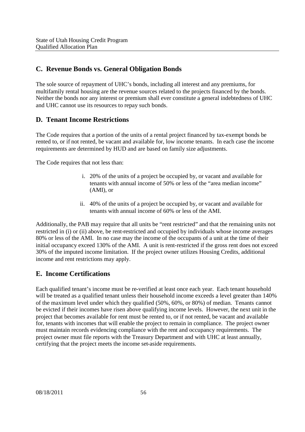## **C. Revenue Bonds vs. General Obligation Bonds**

The sole source of repayment of UHC's bonds, including all interest and any premiums, for multifamily rental housing are the revenue sources related to the projects financed by the bonds. Neither the bonds nor any interest or premium shall ever constitute a general indebtedness of UHC and UHC cannot use its resources to repay such bonds.

#### **D. Tenant Income Restrictions**

The Code requires that a portion of the units of a rental project financed by tax-exempt bonds be rented to, or if not rented, be vacant and available for, low income tenants. In each case the income requirements are determined by HUD and are based on family size adjustments.

The Code requires that not less than:

- i. 20% of the units of a project be occupied by, or vacant and available for tenants with annual income of 50% or less of the "area median income" (AMI), or
- ii. 40% of the units of a project be occupied by, or vacant and available for tenants with annual income of 60% or less of the AMI.

Additionally, the PAB may require that all units be "rent restricted" and that the remaining units not restricted in (i) or (ii) above, be rent-restricted and occupied by individuals whose income averages 80% or less of the AMI. In no case may the income of the occupants of a unit at the time of their initial occupancy exceed 130% of the AMI. A unit is rent-restricted if the gross rent does not exceed 30% of the imputed income limitation. If the project owner utilizes Housing Credits, additional income and rent restrictions may apply.

#### **E. Income Certifications**

Each qualified tenant's income must be re-verified at least once each year. Each tenant household will be treated as a qualified tenant unless their household income exceeds a level greater than 140% of the maximum level under which they qualified (50%, 60%, or 80%) of median. Tenants cannot be evicted if their incomes have risen above qualifying income levels. However, the next unit in the project that becomes available for rent must be rented to, or if not rented, be vacant and available for, tenants with incomes that will enable the project to remain in compliance. The project owner must maintain records evidencing compliance with the rent and occupancy requirements. The project owner must file reports with the Treasury Department and with UHC at least annually, certifying that the project meets the income set-aside requirements.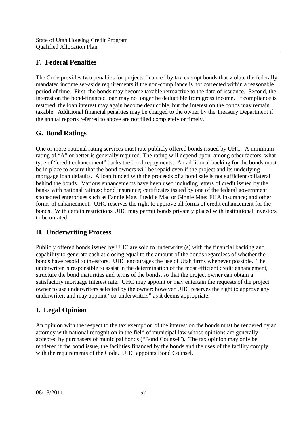# **F. Federal Penalties**

The Code provides two penalties for projects financed by tax-exempt bonds that violate the federally mandated income set-aside requirements if the non-compliance is not corrected within a reasonable period of time. First, the bonds may become taxable retroactive to the date of issuance. Second, the interest on the bond-financed loan may no longer be deductible from gross income. If compliance is restored, the loan interest may again become deductible, but the interest on the bonds may remain taxable. Additional financial penalties may be charged to the owner by the Treasury Department if the annual reports referred to above are not filed completely or timely.

# **G. Bond Ratings**

One or more national rating services must rate publicly offered bonds issued by UHC. A minimum rating of "A" or better is generally required. The rating will depend upon, among other factors, what type of "credit enhancement" backs the bond repayments. An additional backing for the bonds must be in place to assure that the bond owners will be repaid even if the project and its underlying mortgage loan defaults. A loan funded with the proceeds of a bond sale is not sufficient collateral behind the bonds. Various enhancements have been used including letters of credit issued by the banks with national ratings; bond insurance; certificates issued by one of the federal government sponsored enterprises such as Fannie Mae, Freddie Mac or Ginnie Mae; FHA insurance; and other forms of enhancement. UHC reserves the right to approve all forms of credit enhancement for the bonds. With certain restrictions UHC may permit bonds privately placed with institutional investors to be unrated.

# **H. Underwriting Process**

Publicly offered bonds issued by UHC are sold to underwriter(s) with the financial backing and capability to generate cash at closing equal to the amount of the bonds regardless of whether the bonds have resold to investors. UHC encourages the use of Utah firms whenever possible. The underwriter is responsible to assist in the determination of the most efficient credit enhancement, structure the bond maturities and terms of the bonds, so that the project owner can obtain a satisfactory mortgage interest rate. UHC may appoint or may entertain the requests of the project owner to use underwriters selected by the owner; however UHC reserves the right to approve any underwriter, and may appoint "co-underwriters" as it deems appropriate.

# **I. Legal Opinion**

An opinion with the respect to the tax exemption of the interest on the bonds must be rendered by an attorney with national recognition in the field of municipal law whose opinions are generally accepted by purchasers of municipal bonds ("Bond Counsel"). The tax opinion may only be rendered if the bond issue, the facilities financed by the bonds and the uses of the facility comply with the requirements of the Code. UHC appoints Bond Counsel.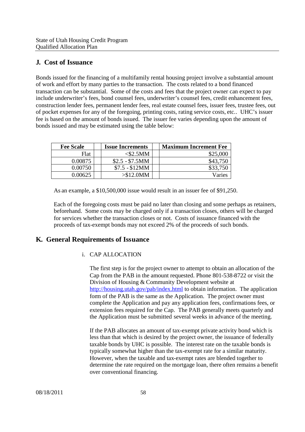#### **J. Cost of Issuance**

Bonds issued for the financing of a multifamily rental housing project involve a substantial amount of work and effort by many parties to the transaction. The costs related to a bond financed transaction can be substantial. Some of the costs and fees that the project owner can expect to pay include underwriter's fees, bond counsel fees, underwriter's counsel fees, credit enhancement fees, construction lender fees, permanent lender fees, real estate counsel fees, issuer fees, trustee fees, out of pocket expenses for any of the foregoing, printing costs, rating service costs, etc.. UHC's issuer fee is based on the amount of bonds issued. The issuer fee varies depending upon the amount of bonds issued and may be estimated using the table below:

| <b>Fee Scale</b> | <b>Issue Increments</b> | <b>Maximum Increment Fee</b> |
|------------------|-------------------------|------------------------------|
| Flat             | <\$2.5MM                | \$25,000                     |
| 0.00875          | $$2.5 - $7.5MM$         | \$43,750                     |
| 0.00750          | $$7.5 - $12MM$          | \$33,750                     |
| ባ በበ625          | $> $12.0$ MM            | Varies                       |

As an example, a \$10,500,000 issue would result in an issuer fee of \$91,250.

Each of the foregoing costs must be paid no later than closing and some perhaps as retainers, beforehand. Some costs may be charged only if a transaction closes, others will be charged for services whether the transaction closes or not. Costs of issuance financed with the proceeds of tax-exempt bonds may not exceed 2% of the proceeds of such bonds.

## **K. General Requirements of Issuance**

#### i. CAP ALLOCATION

The first step is for the project owner to attempt to obtain an allocation of the Cap from the PAB in the amount requested. Phone 801-538-8722 or visit the Division of Housing & Community Development website at http://housing.utah.gov/pab/index.html to obtain information. The application form of the PAB is the same as the Application. The project owner must complete the Application and pay any application fees, confirmations fees, or extension fees required for the Cap. The PAB generally meets quarterly and the Application must be submitted several weeks in advance of the meeting.

If the PAB allocates an amount of tax-exempt private activity bond which is less than that which is desired by the project owner, the issuance of federally taxable bonds by UHC is possible. The interest rate on the taxable bonds is typically somewhat higher than the tax-exempt rate for a similar maturity. However, when the taxable and tax-exempt rates are blended together to determine the rate required on the mortgage loan, there often remains a benefit over conventional financing.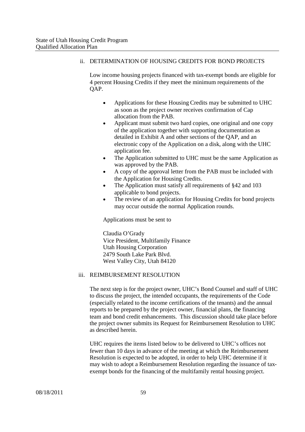#### ii. DETERMINATION OF HOUSING CREDITS FOR BOND PROJECTS

Low income housing projects financed with tax-exempt bonds are eligible for 4 percent Housing Credits if they meet the minimum requirements of the QAP.

- Applications for these Housing Credits may be submitted to UHC as soon as the project owner receives confirmation of Cap allocation from the PAB.
- Applicant must submit two hard copies, one original and one copy of the application together with supporting documentation as detailed in Exhibit A and other sections of the QAP, and an electronic copy of the Application on a disk, along with the UHC application fee.
- The Application submitted to UHC must be the same Application as was approved by the PAB.
- A copy of the approval letter from the PAB must be included with the Application for Housing Credits.
- The Application must satisfy all requirements of §42 and 103 applicable to bond projects.
- The review of an application for Housing Credits for bond projects may occur outside the normal Application rounds.

Applications must be sent to

Claudia O'Grady Vice President, Multifamily Finance Utah Housing Corporation 2479 South Lake Park Blvd. West Valley City, Utah 84120

#### iii. REIMBURSEMENT RESOLUTION

The next step is for the project owner, UHC's Bond Counsel and staff of UHC to discuss the project, the intended occupants, the requirements of the Code (especially related to the income certifications of the tenants) and the annual reports to be prepared by the project owner, financial plans, the financing team and bond credit enhancements. This discussion should take place before the project owner submits its Request for Reimbursement Resolution to UHC as described herein.

UHC requires the items listed below to be delivered to UHC's offices not fewer than 10 days in advance of the meeting at which the Reimbursement Resolution is expected to be adopted, in order to help UHC determine if it may wish to adopt a Reimbursement Resolution regarding the issuance of taxexempt bonds for the financing of the multifamily rental housing project.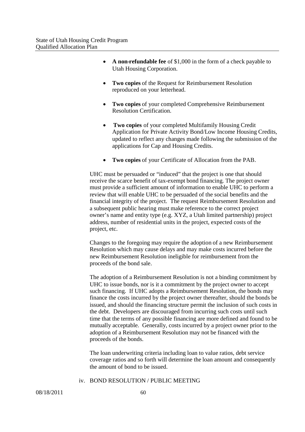- **A non-refundable fee** of \$1,000 in the form of a check payable to Utah Housing Corporation.
- **Two copies** of the Request for Reimbursement Resolution reproduced on your letterhead.
- **Two copies** of your completed Comprehensive Reimbursement Resolution Certification.
- **Two copies** of your completed Multifamily Housing Credit Application for Private Activity Bond/Low Income Housing Credits, updated to reflect any changes made following the submission of the applications for Cap and Housing Credits.
- **Two copies** of your Certificate of Allocation from the PAB.

UHC must be persuaded or "induced" that the project is one that should receive the scarce benefit of tax-exempt bond financing. The project owner must provide a sufficient amount of information to enable UHC to perform a review that will enable UHC to be persuaded of the social benefits and the financial integrity of the project. The request Reimbursement Resolution and a subsequent public hearing must make reference to the correct project owner's name and entity type (e.g. XYZ, a Utah limited partnership) project address, number of residential units in the project, expected costs of the project, etc.

Changes to the foregoing may require the adoption of a new Reimbursement Resolution which may cause delays and may make costs incurred before the new Reimbursement Resolution ineligible for reimbursement from the proceeds of the bond sale.

The adoption of a Reimbursement Resolution is not a binding commitment by UHC to issue bonds, nor is it a commitment by the project owner to accept such financing. If UHC adopts a Reimbursement Resolution, the bonds may finance the costs incurred by the project owner thereafter, should the bonds be issued, and should the financing structure permit the inclusion of such costs in the debt. Developers are discouraged from incurring such costs until such time that the terms of any possible financing are more defined and found to be mutually acceptable. Generally, costs incurred by a project owner prior to the adoption of a Reimbursement Resolution may not be financed with the proceeds of the bonds.

The loan underwriting criteria including loan to value ratios, debt service coverage ratios and so forth will determine the loan amount and consequently the amount of bond to be issued.

#### iv. BOND RESOLUTION / PUBLIC MEETING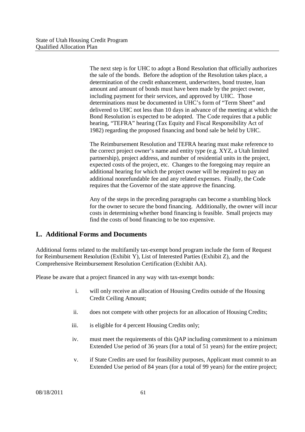The next step is for UHC to adopt a Bond Resolution that officially authorizes the sale of the bonds. Before the adoption of the Resolution takes place, a determination of the credit enhancement, underwriters, bond trustee, loan amount and amount of bonds must have been made by the project owner, including payment for their services, and approved by UHC. Those determinations must be documented in UHC's form of "Term Sheet" and delivered to UHC not less than 10 days in advance of the meeting at which the Bond Resolution is expected to be adopted. The Code requires that a public hearing, "TEFRA" hearing (Tax Equity and Fiscal Responsibility Act of 1982) regarding the proposed financing and bond sale be held by UHC.

The Reimbursement Resolution and TEFRA hearing must make reference to the correct project owner's name and entity type (e.g. XYZ, a Utah limited partnership), project address, and number of residential units in the project, expected costs of the project, etc. Changes to the foregoing may require an additional hearing for which the project owner will be required to pay an additional nonrefundable fee and any related expenses. Finally, the Code requires that the Governor of the state approve the financing.

Any of the steps in the preceding paragraphs can become a stumbling block for the owner to secure the bond financing. Additionally, the owner will incur costs in determining whether bond financing is feasible. Small projects may find the costs of bond financing to be too expensive.

## **L. Additional Forms and Documents**

Additional forms related to the multifamily tax-exempt bond program include the form of Request for Reimbursement Resolution (Exhibit Y), List of Interested Parties (Exhibit Z), and the Comprehensive Reimbursement Resolution Certification (Exhibit AA).

Please be aware that a project financed in any way with tax-exempt bonds:

- i. will only receive an allocation of Housing Credits outside of the Housing Credit Ceiling Amount;
- ii. does not compete with other projects for an allocation of Housing Credits;
- iii. is eligible for 4 percent Housing Credits only;
- iv. must meet the requirements of this QAP including commitment to a minimum Extended Use period of 36 years (for a total of 51 years) for the entire project;
- v. if State Credits are used for feasibility purposes, Applicant must commit to an Extended Use period of 84 years (for a total of 99 years) for the entire project;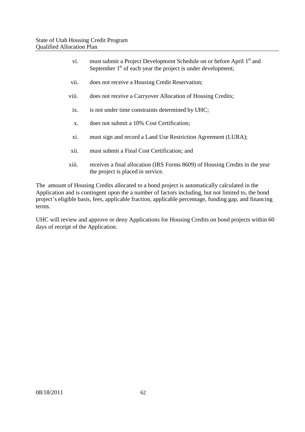- vi. must submit a Project Development Schedule on or before April 1<sup>st</sup> and September  $1<sup>st</sup>$  of each year the project is under development;
- vii. does not receive a Housing Credit Reservation;
- viii. does not receive a Carryover Allocation of Housing Credits;
- ix. is not under time constraints determined by UHC;
- x. does not submit a 10% Cost Certification;
- xi. must sign and record a Land Use Restriction Agreement (LURA);
- xii. must submit a Final Cost Certification; and
- xiii. receives a final allocation (IRS Forms 8609) of Housing Credits in the year the project is placed in service.

The amount of Housing Credits allocated to a bond project is automatically calculated in the Application and is contingent upon the a number of factors including, but not limited to, the bond project's eligible basis, fees, applicable fraction, applicable percentage, funding gap, and financing terms.

UHC will review and approve or deny Applications for Housing Credits on bond projects within 60 days of receipt of the Application.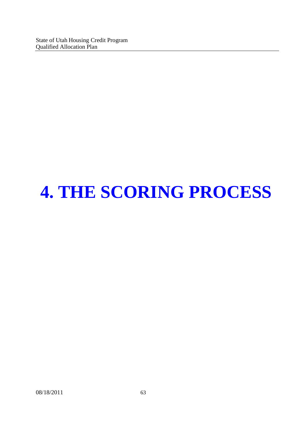# **4. THE SCORING PROCESS**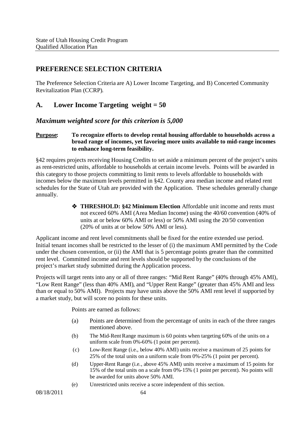## **PREFERENCE SELECTION CRITERIA**

The Preference Selection Criteria are A) Lower Income Targeting, and B) Concerted Community Revitalization Plan (CCRP).

#### **A. Lower Income Targeting weight = 50**

#### *Maximum weighted score for this criterion is 5,000*

#### **Purpose: To recognize efforts to develop rental housing affordable to households across a broad range of incomes, yet favoring more units available to mid-range incomes to enhance long-term feasibility.**

§42 requires projects receiving Housing Credits to set aside a minimum percent of the project's units as rent-restricted units, affordable to households at certain income levels. Points will be awarded in this category to those projects committing to limit rents to levels affordable to households with incomes below the maximum levels permitted in §42. County area median income and related rent schedules for the State of Utah are provided with the Application. These schedules generally change annually.

> **THRESHOLD: §42 Minimum Election** Affordable unit income and rents must not exceed 60% AMI (Area Median Income) using the 40/60 convention (40% of units at or below 60% AMI or less) or 50% AMI using the 20/50 convention (20% of units at or below 50% AMI or less).

Applicant income and rent level commitments shall be fixed for the entire extended use period. Initial tenant incomes shall be restricted to the lesser of (i) the maximum AMI permitted by the Code under the chosen convention, or (ii) the AMI that is 5 percentage points greater than the committed rent level. Committed income and rent levels should be supported by the conclusions of the project's market study submitted during the Application process.

Projects will target rents into any or all of three ranges: "Mid Rent Range" (40% through 45% AMI), "Low Rent Range" (less than 40% AMI), and "Upper Rent Range" (greater than 45% AMI and less than or equal to 50% AMI). Projects may have units above the 50% AMI rent level if supported by a market study, but will score no points for these units.

Points are earned as follows:

- (a) Points are determined from the percentage of units in each of the three ranges mentioned above.
- (b) The Mid-Rent Range maximum is 60 points when targeting 60% of the units on a uniform scale from 0%-60% (1 point per percent).
- (c) Low-Rent Range (i.e., below 40% AMI) units receive a maximum of 25 points for 25% of the total units on a uniform scale from 0%-25% (1 point per percent).
- (d) Upper-Rent Range (i.e., above 45% AMI) units receive a maximum of 15 points for 15% of the total units on a scale from 0%-15% (1 point per percent). No points will be awarded for units above 50% AMI.
- (e) Unrestricted units receive a score independent of this section.

08/18/2011 64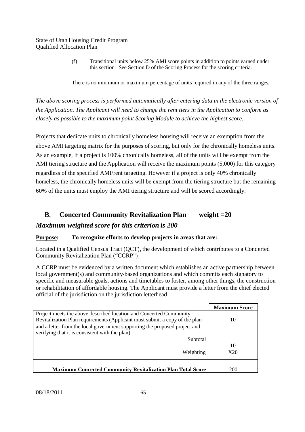(f) Transitional units below 25% AMI score points in addition to points earned under this section. See Section D of the Scoring Process for the scoring criteria.

There is no minimum or maximum percentage of units required in any of the three ranges.

*The above scoring process is performed automatically after entering data in the electronic version of the Application. The Applicant will need to change the rent tiers in the Application to conform as closely as possible to the maximum point Scoring Module to achieve the highest score.*

Projects that dedicate units to chronically homeless housing will receive an exemption from the above AMI targeting matrix for the purposes of scoring, but only for the chronically homeless units. As an example, if a project is 100% chronically homeless, all of the units will be exempt from the AMI tiering structure and the Application will receive the maximum points (5,000) for this category regardless of the specified AMI/rent targeting. However if a project is only 40% chronically homeless, the chronically homeless units will be exempt from the tiering structure but the remaining 60% of the units must employ the AMI tiering structure and will be scored accordingly.

# **B. Concerted Community Revitalization Plan weight =20**

#### *Maximum weighted score for this criterion is 200*

#### **Purpose: To recognize efforts to develop projects in areas that are:**

Located in a Qualified Census Tract (QCT), the development of which contributes to a Concerted Community Revitalization Plan ("CCRP").

A CCRP must be evidenced by a written document which establishes an active partnership between local government(s) and community-based organizations and which commits each signatory to specific and measurable goals, actions and timetables to foster, among other things, the construction or rehabilitation of affordable housing. The Applicant must provide a letter from the chief elected official of the jurisdiction on the jurisdiction letterhead

|                                                                            | <b>Maximum Score</b> |
|----------------------------------------------------------------------------|----------------------|
| Project meets the above described location and Concerted Community         |                      |
| Revitalization Plan requirements (Applicant must submit a copy of the plan | 10                   |
| and a letter from the local government supporting the proposed project and |                      |
| verifying that it is consistent with the plan)                             |                      |
| Subtotal                                                                   |                      |
|                                                                            | 10                   |
| Weighting                                                                  | X20                  |
|                                                                            |                      |
|                                                                            |                      |
| <b>Maximum Concerted Community Revitalization Plan Total Score</b>         | 200                  |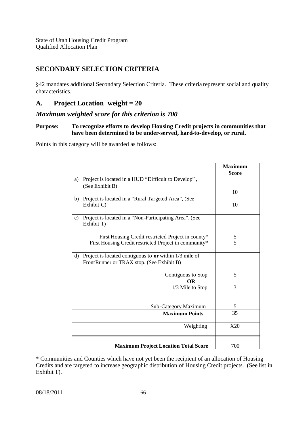## **SECONDARY SELECTION CRITERIA**

§42 mandates additional Secondary Selection Criteria. These criteria represent social and quality characteristics.

### **A. Project Location weight = 20**

#### *Maximum weighted score for this criterion is 700*

#### **Purpose: To recognize efforts to develop Housing Credit projects in communities that have been determined to be under-served, hard-to-develop, or rural.**

Points in this category will be awarded as follows:

|               |                                                                        | <b>Maximum</b><br><b>Score</b> |
|---------------|------------------------------------------------------------------------|--------------------------------|
| a)            | Project is located in a HUD "Difficult to Develop",<br>(See Exhibit B) |                                |
|               |                                                                        | 10                             |
| b)            | Project is located in a "Rural Targeted Area", (See<br>Exhibit C)      | 10                             |
| $\mathbf{c})$ | Project is located in a "Non-Participating Area", (See<br>Exhibit T)   |                                |
|               | First Housing Credit restricted Project in county*                     | 5                              |
|               | First Housing Credit restricted Project in community*                  | 5                              |
| $\mathbf{d}$  | Project is located contiguous to $or$ within $1/3$ mile of             |                                |
|               | FrontRunner or TRAX stop. (See Exhibit B)                              |                                |
|               | Contiguous to Stop<br><b>OR</b>                                        | 5                              |
|               | 1/3 Mile to Stop                                                       | 3                              |
|               | Sub-Category Maximum                                                   | 5                              |
|               | <b>Maximum Points</b>                                                  | 35                             |
|               | Weighting                                                              | X20                            |
|               | <b>Maximum Project Location Total Score</b>                            | 700                            |

\* Communities and Counties which have not yet been the recipient of an allocation of Housing Credits and are targeted to increase geographic distribution of Housing Credit projects. (See list in Exhibit T).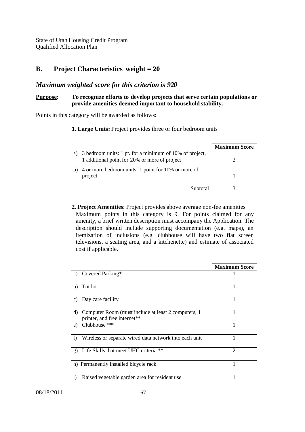#### **B. Project Characteristics weight = 20**

#### *Maximum weighted score for this criterion is 920*

#### **Purpose: To recognize efforts to develop projects that serve certain populations or provide amenities deemed important to household stability.**

Points in this category will be awarded as follows:

**1. Large Units:** Project provides three or four bedroom units

|    |                                                                                                          | <b>Maximum Score</b> |
|----|----------------------------------------------------------------------------------------------------------|----------------------|
| a. | 3 bedroom units: 1 pt. for a minimum of 10% of project,<br>1 additional point for 20% or more of project |                      |
|    | 4 or more bedroom units: 1 point for 10% or more of<br>project                                           |                      |
|    | Subtotal                                                                                                 |                      |

**2. Project Amenities**: Project provides above average non-fee amenities Maximum points in this category is 9. For points claimed for any amenity, a brief written description must accompany the Application. The description should include supporting documentation (e.g. maps), an itemization of inclusions (e.g. clubhouse will have two flat screen televisions, a seating area, and a kitchenette) and estimate of associated cost if applicable.

|    |                                                                                      | <b>Maximum Score</b> |
|----|--------------------------------------------------------------------------------------|----------------------|
| a) | Covered Parking*                                                                     |                      |
| b) | Tot lot                                                                              | 1                    |
| c) | Day care facility                                                                    | 1                    |
| d) | Computer Room (must include at least 2 computers, 1)<br>printer, and free internet** |                      |
| e) | Clubhouse***                                                                         |                      |
| f) | Wireless or separate wired data network into each unit                               |                      |
| g) | Life Skills that meet UHC criteria **                                                | 2                    |
|    | h) Permanently installed bicycle rack                                                |                      |
| i) | Raised vegetable garden area for resident use                                        |                      |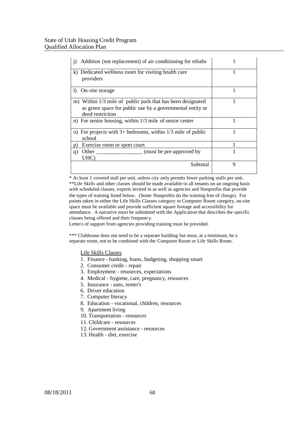| Addition (not replacement) of air conditioning for rehabs<br>1)                                                                             |   |
|---------------------------------------------------------------------------------------------------------------------------------------------|---|
| k) Dedicated wellness room for visiting health care<br>providers                                                                            |   |
| On-site storage<br>$\mathbf{D}$                                                                                                             | 1 |
| m) Within 1/3 mile of public park that has been designated<br>as green space for public use by a governmental entity or<br>deed restriction |   |
| n) For senior housing, within $1/3$ mile of senior center                                                                                   |   |
| o) For projects with $3+$ bedrooms, within $1/3$ mile of public<br>school                                                                   |   |
| Exercise room or sport court<br>D)                                                                                                          |   |
| (must be pre-approved by)<br>Other<br>q)<br>UHC)                                                                                            |   |
| Subtotal                                                                                                                                    | 9 |

\* At least 1 covered stall per unit, unless city only permits fewer parking stalls per unit. \*\*Life Skills and other classes should be made available to all tenants on an ongoing basis with scheduled classes, experts invited in as well as agencies and Nonprofits that provide the types of training listed below. (Some Nonprofits do the training free of charge). For points taken in either the Life Skills Classes category or Computer Room category, on-site space must be available and provide sufficient square footage and accessibility for attendance. A narrative must be submitted with the Application that describes the specific classes being offered and their frequency.

Letters of support from agencies providing training must be provided.

\*\*\* Clubhouse does not need to be a separate building but must, at a minimum, be a separate room, not to be combined with the Computer Room or Life Skills Room.

#### Life Skills Classes

- 1. Finance banking, loans, budgeting, shopping smart
- 2. Consumer credit repair
- 3. Employment resources, expectations
- 4. Medical hygiene, care, pregnancy, resources
- 5. Insurance auto, renter's
- 6. Driver education
- 7. Computer literacy
- 8. Education vocational, children, resources
- 9. Apartment living
- 10. Transportation resources
- 11. Childcare resources
- 12. Government assistance resources
- 13. Health diet, exercise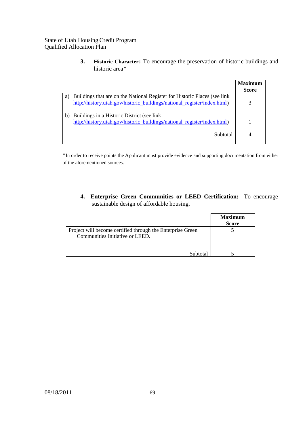**3. Historic Character:** To encourage the preservation of historic buildings and historic area\*

|    |                                                                                                                                                        | <b>Maximum</b> |
|----|--------------------------------------------------------------------------------------------------------------------------------------------------------|----------------|
|    |                                                                                                                                                        | <b>Score</b>   |
| a) | Buildings that are on the National Register for Historic Places (see link)<br>http://history.utah.gov/historic_buildings/national_register/index.html) |                |
| b) | Buildings in a Historic District (see link)<br>http://history.utah.gov/historic_buildings/national_register/index.html)                                |                |
|    | Subtotal                                                                                                                                               |                |

\*In order to receive points the Applicant must provide evidence and supporting documentation from either of the aforementioned sources.

**4. Enterprise Green Communities or LEED Certification:** To encourage sustainable design of affordable housing.

|                                                                                               | <b>Maximum</b><br><b>Score</b> |
|-----------------------------------------------------------------------------------------------|--------------------------------|
| Project will become certified through the Enterprise Green<br>Communities Initiative or LEED. |                                |
| Subtotal                                                                                      |                                |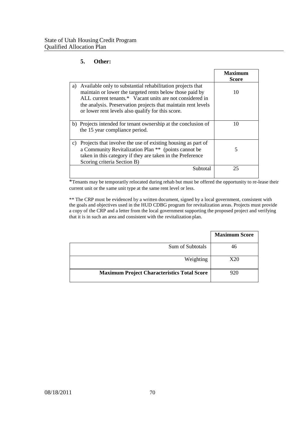# **5. Other:**

|    |                                                                                                                                                                                                                                                                                                          | Maximum<br><b>Score</b> |
|----|----------------------------------------------------------------------------------------------------------------------------------------------------------------------------------------------------------------------------------------------------------------------------------------------------------|-------------------------|
| a) | Available only to substantial rehabilitation projects that<br>maintain or lower the targeted rents below those paid by<br>ALL current tenants.* Vacant units are not considered in<br>the analysis. Preservation projects that maintain rent levels<br>or lower rent levels also qualify for this score. | 10                      |
|    | b) Projects intended for tenant ownership at the conclusion of<br>the 15 year compliance period.                                                                                                                                                                                                         | 10                      |
| c) | Projects that involve the use of existing housing as part of<br>a Community Revitalization Plan ** (points cannot be<br>taken in this category if they are taken in the Preference<br>Scoring criteria Section B)                                                                                        | 5                       |
|    | Subtotal                                                                                                                                                                                                                                                                                                 | 25                      |

\*Tenants may be temporarily relocated during rehab but must be offered the opportunity to re-lease their current unit or the same unit type at the same rent level or less.

\*\* The CRP must be evidenced by a written document, signed by a local government, consistent with the goals and objectives used in the HUD CDBG program for revitalization areas. Projects must provide a copy of the CRP and a letter from the local government supporting the proposed project and verifying that it is in such an area and consistent with the revitalization plan.

|                                                    | <b>Maximum Score</b> |
|----------------------------------------------------|----------------------|
| Sum of Subtotals                                   |                      |
| Weighting                                          | X20                  |
| <b>Maximum Project Characteristics Total Score</b> | 920                  |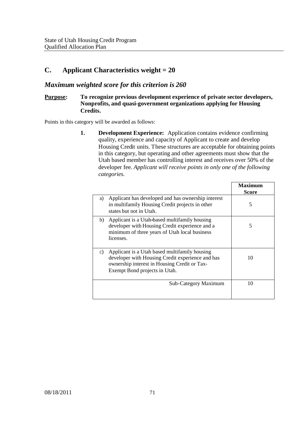# **C. Applicant Characteristics weight = 20**

# *Maximum weighted score for this criterion is 260*

# **Purpose: To recognize previous development experience of private sector developers, Nonprofits, and quasi-government organizations applying for Housing Credits.**

Points in this category will be awarded as follows:

**1. Development Experience:** Application contains evidence confirming quality, experience and capacity of Applicant to create and develop Housing Credit units. These structures are acceptable for obtaining points in this category, but operating and other agreements must show that the Utah based member has controlling interest and receives over 50% of the developer fee*. Applicant will receive points in only one of the following categories.*

|                                                                                                                                                                                          | Maximum<br><b>Score</b> |
|------------------------------------------------------------------------------------------------------------------------------------------------------------------------------------------|-------------------------|
| Applicant has developed and has ownership interest<br>a)<br>in multifamily Housing Credit projects in other<br>states but not in Utah.                                                   | 5                       |
| Applicant is a Utah-based multifamily housing<br>b)<br>developer with Housing Credit experience and a<br>minimum of three years of Utah local business<br>licenses.                      | 5                       |
| Applicant is a Utah based multifamily housing<br>c)<br>developer with Housing Credit experience and has<br>ownership interest in Housing Credit or Tax-<br>Exempt Bond projects in Utah. | 10                      |
| <b>Sub-Category Maximum</b>                                                                                                                                                              | 10                      |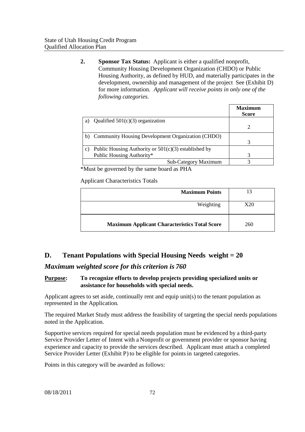**2. Sponsor Tax Status:** Applicant is either a qualified nonprofit, Community Housing Development Organization (CHDO) or Public Housing Authority, as defined by HUD, and materially participates in the development, ownership and management of the project See (Exhibit D) for more information. *Applicant will receive points in only one of the following categories.*

|    |                                                        | Maximum<br><b>Score</b> |
|----|--------------------------------------------------------|-------------------------|
| a) | Qualified $501(c)(3)$ organization                     |                         |
|    |                                                        |                         |
| b) | Community Housing Development Organization (CHDO)      |                         |
|    |                                                        |                         |
| C) | Public Housing Authority or $501(c)(3)$ established by |                         |
|    | Public Housing Authority*                              |                         |
|    | Sub-Category Maximum                                   |                         |

\*Must be governed by the same board as PHA

Applicant Characteristics Totals

| <b>Maximum Points</b>                                | 13  |
|------------------------------------------------------|-----|
| Weighting                                            | X20 |
| <b>Maximum Applicant Characteristics Total Score</b> | 260 |

# **D. Tenant Populations with Special Housing Needs weight = 20**

*Maximum weighted score for this criterion is 760*

# **Purpose: To recognize efforts to develop projects providing specialized units or assistance for households with special needs.**

Applicant agrees to set aside, continually rent and equip unit(s) to the tenant population as represented in the Application.

The required Market Study must address the feasibility of targeting the special needs populations noted in the Application.

Supportive services required for special needs population must be evidenced by a third-party Service Provider Letter of Intent with a Nonprofit or government provider or sponsor having experience and capacity to provide the services described. Applicant must attach a completed Service Provider Letter (Exhibit P) to be eligible for points in targeted categories.

Points in this category will be awarded as follows: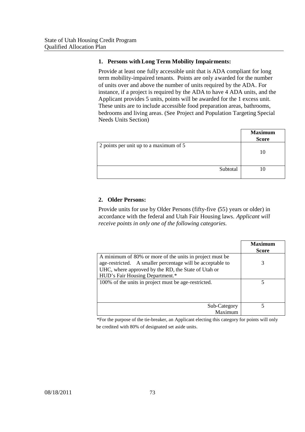## **1. Persons withLong Term Mobility Impairments:**

Provide at least one fully accessible unit that is ADA compliant for long term mobility-impaired tenants. Points are only awarded for the number of units over and above the number of units required by the ADA. For instance, if a project is required by the ADA to have 4 ADA units, and the Applicant provides 5 units, points will be awarded for the 1 excess unit. These units are to include accessible food preparation areas, bathrooms, bedrooms and living areas. (See Project and Population Targeting Special Needs Units Section)

|                                        | <b>Maximum</b><br><b>Score</b> |
|----------------------------------------|--------------------------------|
| 2 points per unit up to a maximum of 5 | 10                             |
| Subtotal                               |                                |

## **2. Older Persons:**

Provide units for use by Older Persons (fifty-five (55) years or older) in accordance with the federal and Utah Fair Housing laws. *Applicant will receive points in only one of the following categories.*

|                                                                                                                                                                                                                  | <b>Maximum</b><br><b>Score</b> |
|------------------------------------------------------------------------------------------------------------------------------------------------------------------------------------------------------------------|--------------------------------|
| A minimum of 80% or more of the units in project must be<br>age-restricted. A smaller percentage will be acceptable to<br>UHC, where approved by the RD, the State of Utah or<br>HUD's Fair Housing Department.* | 3                              |
| 100% of the units in project must be age-restricted.                                                                                                                                                             |                                |
| Sub-Category<br>Maximum                                                                                                                                                                                          |                                |

\*For the purpose of the tie-breaker, an Applicant electing this category for points will only be credited with 80% of designated set aside units.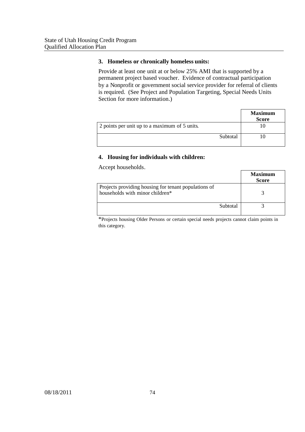## **3. Homeless or chronically homeless units:**

Provide at least one unit at or below 25% AMI that is supported by a permanent project based voucher. Evidence of contractual participation by a Nonprofit or government social service provider for referral of clients is required. (See Project and Population Targeting, Special Needs Units Section for more information.)

|                                               | <b>Maximum</b><br><b>Score</b> |
|-----------------------------------------------|--------------------------------|
| 2 points per unit up to a maximum of 5 units. |                                |
| Subtotal                                      |                                |

# **4. Housing for individuals with children:**

Accept households.

|                                                                                         | <b>Maximum</b><br><b>Score</b> |
|-----------------------------------------------------------------------------------------|--------------------------------|
| Projects providing housing for tenant populations of<br>households with minor children* |                                |
| Subtotal                                                                                |                                |

\*Projects housing Older Persons or certain special needs projects cannot claim points in this category.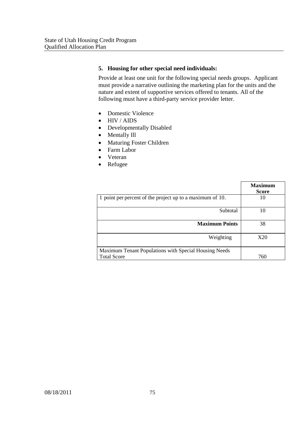# **5. Housing for other special need individuals:**

Provide at least one unit for the following special needs groups. Applicant must provide a narrative outlining the marketing plan for the units and the nature and extent of supportive services offered to tenants. All of the following must have a third-party service provider letter.

- Domestic Violence
- HIV / AIDS
- Developmentally Disabled
- Mentally Ill
- Maturing Foster Children
- Farm Labor
- Veteran
- Refugee

|                                                                             | <b>Maximum</b><br><b>Score</b> |
|-----------------------------------------------------------------------------|--------------------------------|
| 1 point per percent of the project up to a maximum of 10.                   | 10                             |
| Subtotal                                                                    | 10                             |
| <b>Maximum Points</b>                                                       | 38                             |
| Weighting                                                                   | X20                            |
| Maximum Tenant Populations with Special Housing Needs<br><b>Total Score</b> | 760                            |
|                                                                             |                                |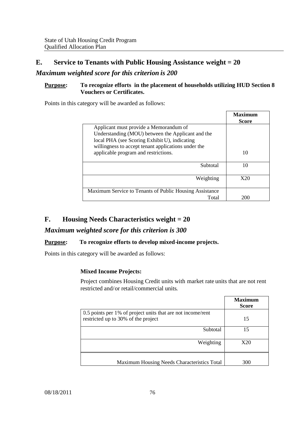# **E. Service to Tenants with Public Housing Assistance weight = 20**

# *Maximum weighted score for this criterion is 200*

## **Purpose: To recognize efforts in the placement of households utilizing HUD Section 8 Vouchers or Certificates.**

Points in this category will be awarded as follows:

|                                                         | Maximum<br><b>Score</b> |
|---------------------------------------------------------|-------------------------|
| Applicant must provide a Memorandum of                  |                         |
| Understanding (MOU) between the Applicant and the       |                         |
| local PHA (see Scoring Exhibit U), indicating           |                         |
| willingness to accept tenant applications under the     |                         |
| applicable program and restrictions.                    | 10                      |
| Subtotal                                                | 10                      |
|                                                         |                         |
| Weighting                                               | X20                     |
|                                                         |                         |
| Maximum Service to Tenants of Public Housing Assistance |                         |
| Total                                                   | 200                     |

# **F. Housing Needs Characteristics weight = 20**

# *Maximum weighted score for this criterion is 300*

# **Purpose: To recognize efforts to develop mixed-income projects.**

Points in this category will be awarded as follows:

# **Mixed Income Projects:**

Project combines Housing Credit units with market rate units that are not rent restricted and/or retail/commercial units.

|                                                                                                    | <b>Maximum</b><br><b>Score</b> |
|----------------------------------------------------------------------------------------------------|--------------------------------|
| 0.5 points per 1% of project units that are not income/rent<br>restricted up to 30% of the project | 15                             |
| Subtotal                                                                                           | 15                             |
| Weighting                                                                                          | X20                            |
| Maximum Housing Needs Characteristics Total                                                        | 300                            |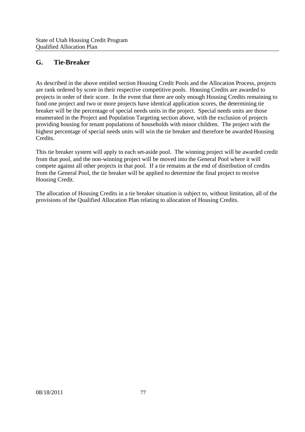# **G. Tie-Breaker**

As described in the above entitled section Housing Credit Pools and the Allocation Process, projects are rank ordered by score in their respective competitive pools. Housing Credits are awarded to projects in order of their score. In the event that there are only enough Housing Credits remaining to fund one project and two or more projects have identical application scores, the determining tie breaker will be the percentage of special needs units in the project. Special needs units are those enumerated in the Project and Population Targeting section above, with the exclusion of projects providing housing for tenant populations of households with minor children. The project with the highest percentage of special needs units will win the tie breaker and therefore be awarded Housing Credits.

This tie breaker system will apply to each set-aside pool. The winning project will be awarded credit from that pool, and the non-winning project will be moved into the General Pool where it will compete against all other projects in that pool. If a tie remains at the end of distribution of credits from the General Pool, the tie breaker will be applied to determine the final project to receive Housing Credit.

The allocation of Housing Credits in a tie breaker situation is subject to, without limitation, all of the provisions of the Qualified Allocation Plan relating to allocation of Housing Credits.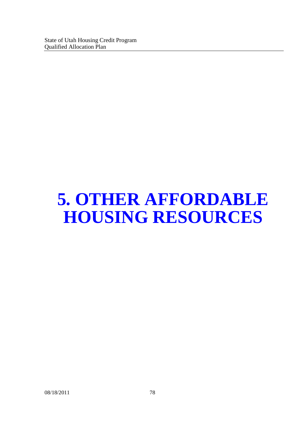# **5. OTHER AFFORDABLE HOUSING RESOURCES**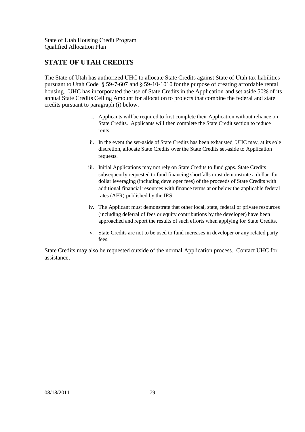# **STATE OF UTAH CREDITS**

The State of Utah has authorized UHC to allocate State Credits against State of Utah tax liabilities pursuant to Utah Code § 59-7-607 and § 59-10-1010 for the purpose of creating affordable rental housing. UHC has incorporated the use of State Credits in the Application and set aside 50% of its annual State Credits Ceiling Amount for allocation to projects that combine the federal and state credits pursuant to paragraph (i) below.

- i. Applicants will be required to first complete their Application without reliance on State Credits. Applicants will then complete the State Credit section to reduce rents.
- ii. In the event the set-aside of State Credits has been exhausted, UHC may, at its sole discretion, allocate State Credits over the State Credits set-aside to Application requests.
- iii. Initial Applications may not rely on State Credits to fund gaps. State Credits subsequently requested to fund financing shortfalls must demonstrate a dollar–for– dollar leveraging (including developer fees) of the proceeds of State Credits with additional financial resources with finance terms at or below the applicable federal rates (AFR) published by the IRS.
- iv. The Applicant must demonstrate that other local, state, federal or private resources (including deferral of fees or equity contributions by the developer) have been approached and report the results of such efforts when applying for State Credits.
- v. State Credits are not to be used to fund increases in developer or any related party fees.

State Credits may also be requested outside of the normal Application process. Contact UHC for assistance.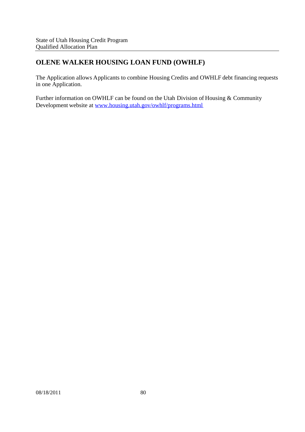# **OLENE WALKER HOUSING LOAN FUND (OWHLF)**

The Application allows Applicants to combine Housing Credits and OWHLF debt financing requests in one Application.

Further information on OWHLF can be found on the Utah Division of Housing & Community Development website at www.housing.utah.gov/owhlf/programs.html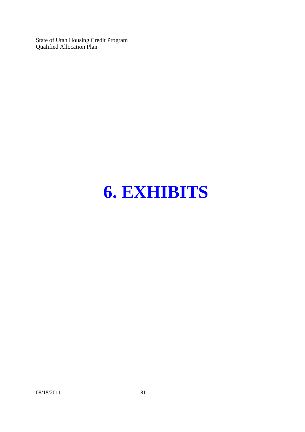State of Utah Housing Credit Program Qualified Allocation Plan

# **6. EXHIBITS**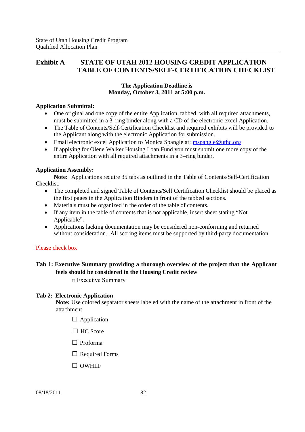# **Exhibit A STATE OF UTAH 2012 HOUSING CREDIT APPLICATION TABLE OF CONTENTS/SELF-CERTIFICATION CHECKLIST**

# **The Application Deadline is Monday, October 3, 2011 at 5:00 p.m.**

## **Application Submittal:**

- One original and one copy of the entire Application, tabbed, with all required attachments, must be submitted in a 3–ring binder along with a CD of the electronic excel Application.
- The Table of Contents/Self-Certification Checklist and required exhibits will be provided to the Applicant along with the electronic Application for submission.
- Email electronic excel Application to Monica Spangle at: mspangle@uthc.org
- If applying for Olene Walker Housing Loan Fund you must submit one more copy of the entire Application with all required attachments in a 3–ring binder.

# **Application Assembly:**

**Note:** Applications require 35 tabs as outlined in the Table of Contents/Self-Certification Checklist.

- The completed and signed Table of Contents/Self Certification Checklist should be placed as the first pages in the Application Binders in front of the tabbed sections.
- Materials must be organized in the order of the table of contents.
- If any item in the table of contents that is not applicable, insert sheet stating "Not Applicable".
- Applications lacking documentation may be considered non-conforming and returned without consideration. All scoring items must be supported by third-party documentation.

# Please check box

# **Tab 1: Executive Summary providing a thorough overview of the project that the Applicant feels should be considered in the Housing Credit review**

□Executive Summary

## **Tab 2: Electronic Application**

**Note:** Use colored separator sheets labeled with the name of the attachment in front of the attachment

- $\Box$  Application
- $\Box$  HC Score
- □ Proforma
- $\Box$  Required Forms
- □ OWHLF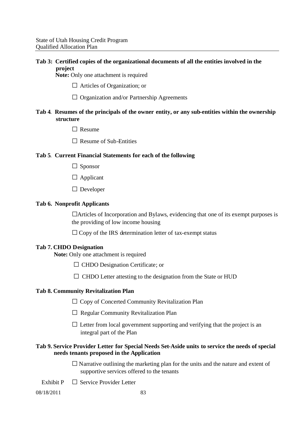# **Tab 3: Certified copies of the organizational documents of all the entities involved in the project**

**Note:** Only one attachment is required

- $\Box$  Articles of Organization; or
- □ Organization and/or Partnership Agreements

# **Tab 4**. **Resumes of the principals of the owner entity, or any sub-entities within the ownership structure**

- □Resume
- $\Box$  Resume of Sub-Entities

## **Tab 5**. **Current Financial Statements for each of the following**

- □ Sponsor
- □ Applicant
- □ Developer

## **Tab 6. Nonprofit Applicants**

□Articles of Incorporation and Bylaws, evidencing that one of its exempt purposes is the providing of low income housing

 $\Box$  Copy of the IRS determination letter of tax-exempt status

#### **Tab 7. CHDO Designation**

**Note:** Only one attachment is required

- □ CHDO Designation Certificate; or
- $\square$  CHDO Letter attesting to the designation from the State or HUD

#### **Tab 8. Community Revitalization Plan**

- $\Box$  Copy of Concerted Community Revitalization Plan
- $\Box$  Regular Community Revitalization Plan
- $\square$  Letter from local government supporting and verifying that the project is an integral part of the Plan

## **Tab 9. Service Provider Letter for Special Needs Set-Aside units to service the needs of special needs tenants proposed in the Application**

- $\square$  Narrative outlining the marketing plan for the units and the nature and extent of supportive services offered to the tenants
- Exhibit  $P \Box$  Service Provider Letter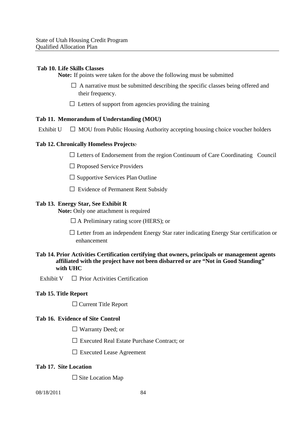## **Tab 10. Life Skills Classes**

**Note:** If points were taken for the above the following must be submitted

- $\Box$  A narrative must be submitted describing the specific classes being offered and their frequency.
- $\Box$  Letters of support from agencies providing the training

## **Tab 11. Memorandum of Understanding (MOU)**

Exhibit  $U \Box MOU$  from Public Housing Authority accepting housing choice voucher holders

## **Tab 12. Chronically Homeless Projects**:

 $\Box$  Letters of Endorsement from the region Continuum of Care Coordinating Council

- □ Proposed Service Providers
- $\square$  Supportive Services Plan Outline
- $\square$  Evidence of Permanent Rent Subsidy

## **Tab 13. Energy Star, See Exhibit R**

**Note:** Only one attachment is required

 $\square$  A Preliminary rating score (HERS); or

 $\Box$  Letter from an independent Energy Star rater indicating Energy Star certification or enhancement

## **Tab 14. Prior Activities Certification certifying that owners, principals or management agents affiliated with the project have not been disbarred or are "Not in Good Standing" with UHC**

Exhibit  $V \square$  Prior Activities Certification

# **Tab 15. Title Report**

□Current Title Report

#### **Tab 16. Evidence of Site Control**

- □ Warranty Deed; or
- □ Executed Real Estate Purchase Contract; or
- □ Executed Lease Agreement

## **Tab 17. Site Location**

 $\square$  Site Location Map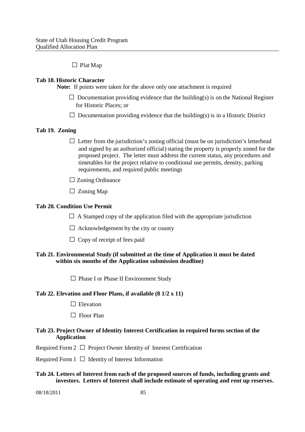## $\Box$  Plat Map

## **Tab 18. Historic Character**

**Note:** If points were taken for the above only one attachment is required

- $\square$  Documentation providing evidence that the building(s) is on the National Register for Historic Places; or
- $\Box$  Documentation providing evidence that the building(s) is in a Historic District

## **Tab 19. Zoning**

- $\Box$  Letter from the jurisdiction's zoning official (must be on jurisdiction's letterhead and signed by an authorized official) stating the property is properly zoned for the proposed project. The letter must address the current status, any procedures and timetables for the project relative to conditional use permits, density, parking requirements, and required public meetings
- □ Zoning Ordinance
- $\Box$  Zoning Map

## **Tab 20. Condition Use Permit**

- $\Box$  A Stamped copy of the application filed with the appropriate jurisdiction
- $\Box$  Acknowledgement by the city or county
- $\Box$  Copy of receipt of fees paid

## **Tab 21. Environmental Study (if submitted at the time of Application it must be dated within six months of the Application submission deadline)**

 $\Box$  Phase I or Phase II Environment Study

#### **Tab 22. Elevation and Floor Plans, if available (8 1/2 x 11)**

- $\Box$  Elevation
- $\Box$  Floor Plan

## Tab 23. Project Owner of Identity Interest Certification in required forms section of the **Application**

Required Form  $2 \Box$  Project Owner Identity of Interest Certification

Required Form  $1 \Box$  Identity of Interest Information

## **Tab 24. Letters of Interest from each of the proposed sources of funds, including grants and investors. Letters of Interest shall include estimate of operating and rent up reserves.**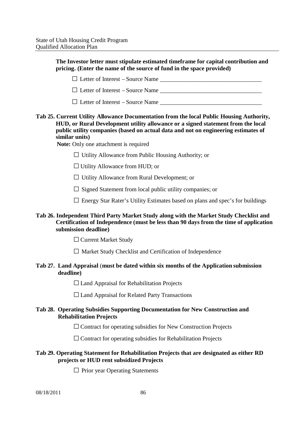**The Investor letter must stipulate estimated timeframe for capital contribution and pricing. (Enter the name of the source of fund in the space provided)**

□Letter of Interest – Source Name \_\_\_\_\_\_\_\_\_\_\_\_\_\_\_\_\_\_\_\_\_\_\_\_\_\_\_\_\_\_\_\_\_\_  $\Box$  Letter of Interest – Source Name

 $\Box$  Letter of Interest – Source Name  $\Box$ 

# **Tab 25. Current Utility Allowance Documentation from the local Public Housing Authority, HUD, or Rural Development utility allowance or a signed statement from the local public utility companies (based on actual data and not on engineering estimates of similar units)**

**Note:** Only one attachment is required

 $\Box$  Utility Allowance from Public Housing Authority; or

- $\Box$  Utility Allowance from HUD; or
- $\Box$  Utility Allowance from Rural Development; or
- $\square$  Signed Statement from local public utility companies; or
- $\square$  Energy Star Rater's Utility Estimates based on plans and spec's for buildings

## **Tab 26. Independent Third Party Market Study along with the Market Study Checklist and Certification of Independence (must be less than 90 days from the time of application submission deadline)**

□ Current Market Study

 $\square$  Market Study Checklist and Certification of Independence

## **Tab 27. Land Appraisal** (**must be dated within six months of the Application submission deadline)**

 $\Box$  Land Appraisal for Rehabilitation Projects

 $\Box$  Land Appraisal for Related Party Transactions

# **Tab 28. Operating Subsidies Supporting Documentation for New Construction and Rehabilitation Projects**

 $\square$  Contract for operating subsidies for New Construction Projects

 $\square$  Contract for operating subsidies for Rehabilitation Projects

# **Tab 29. Operating Statement for Rehabilitation Projects that are designated as either RD projects or HUD rent subsidized Projects**

 $\Box$  Prior year Operating Statements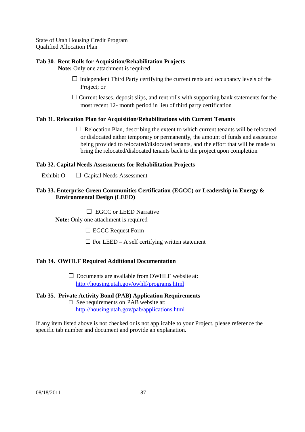## **Tab 30. Rent Rolls for Acquisition/Rehabilitation Projects**

**Note:** Only one attachment is required

- $\Box$  Independent Third Party certifying the current rents and occupancy levels of the Project; or
- $\square$  Current leases, deposit slips, and rent rolls with supporting bank statements for the most recent 12- month period in lieu of third party certification

# **Tab 31. Relocation Plan for Acquisition/Rehabilitations with Current Tenants**

 $\Box$  Relocation Plan, describing the extent to which current tenants will be relocated or dislocated either temporary or permanently, the amount of funds and assistance being provided to relocated/dislocated tenants, and the effort that will be made to bring the relocated/dislocated tenants back to the project upon completion

## **Tab 32. Capital Needs Assessments for Rehabilitation Projects**

Exhibit O  $\Box$  Capital Needs Assessment

## **Tab 33. Enterprise Green Communities Certification (EGCC) or Leadership in Energy & Environmental Design (LEED)**

 $\Box$  EGCC or LEED Narrative

**Note:** Only one attachment is required

□ EGCC Request Form

 $\square$  For LEED – A self certifying written statement

# **Tab 34. OWHLF Required Additional Documentation**

 $\square$  Documents are available from OWHLF website at: http://housing.utah.gov/owhlf/programs.html

# **Tab 35. Private Activity Bond (PAB) Application Requirements**  $\Box$  See requirements on PAB website at:

http://housing.utah.gov/pab/applications.html

If any item listed above is not checked or is not applicable to your Project, please reference the specific tab number and document and provide an explanation.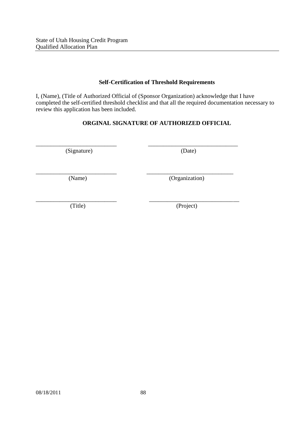## **Self-Certification of Threshold Requirements**

I, (Name), (Title of Authorized Official of (Sponsor Organization) acknowledge that I have completed the self-certified threshold checklist and that all the required documentation necessary to review this application has been included.

# **ORGINAL SIGNATURE OF AUTHORIZED OFFICIAL**

\_\_\_\_\_\_\_\_\_\_\_\_\_\_\_\_\_\_\_\_\_\_\_\_\_\_\_ \_\_\_\_\_\_\_\_\_\_\_\_\_\_\_\_\_\_\_\_\_\_\_\_\_\_\_\_\_\_

\_\_\_\_\_\_\_\_\_\_\_\_\_\_\_\_\_\_\_\_\_\_\_\_\_\_\_ \_\_\_\_\_\_\_\_\_\_\_\_\_\_\_\_\_\_\_\_\_\_\_\_\_\_\_\_\_

(Signature) (Date)

(Name) (Organization)

\_\_\_\_\_\_\_\_\_\_\_\_\_\_\_\_\_\_\_\_\_\_\_\_\_\_\_ \_\_\_\_\_\_\_\_\_\_\_\_\_\_\_\_\_\_\_\_\_\_\_\_\_\_\_\_\_\_ (Title) (Project)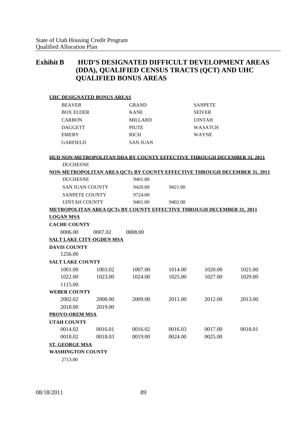# **Exhibit B HUD'S DESIGNATED DIFFICULT DEVELOPMENT AREAS (DDA), QUALIFIED CENSUS TRACTS (QCT) AND UHC QUALIFIED BONUS AREAS**

| <b>UHC DESIGNATED BONUS AREAS</b> |         |                                                                                 |         |                |         |
|-----------------------------------|---------|---------------------------------------------------------------------------------|---------|----------------|---------|
| <b>BEAVER</b>                     |         | <b>GRAND</b>                                                                    |         | <b>SANPETE</b> |         |
| <b>BOX ELDER</b>                  |         | <b>KANE</b>                                                                     |         | <b>SEIVER</b>  |         |
| <b>CARBON</b>                     |         | <b>MILLARD</b>                                                                  |         | <b>UINTAH</b>  |         |
| <b>DAGGETT</b>                    |         | <b>PIUTE</b>                                                                    |         | <b>WASATCH</b> |         |
| <b>EMERY</b>                      |         | <b>RICH</b>                                                                     |         | <b>WAYNE</b>   |         |
| <b>GARFIELD</b>                   |         | <b>SAN JUAN</b>                                                                 |         |                |         |
|                                   |         |                                                                                 |         |                |         |
|                                   |         | <b>HUD NON-METROPOLITAN DDA BY COUNTY EFFECTIVE THROUGH DECEMBER 31, 2011</b>   |         |                |         |
| <b>DUCHESNE</b>                   |         |                                                                                 |         |                |         |
|                                   |         | <b>NON-METROPOLITAN AREA OCTs BY COUNTY EFFECTIVE THROUGH DECEMBER 31, 2011</b> |         |                |         |
| <b>DUCHESNE</b>                   |         | 9401.00                                                                         |         |                |         |
| <b>SAN JUAN COUNTY</b>            |         | 9420.00                                                                         | 9421.00 |                |         |
| <b>SANPETE COUNTY</b>             |         | 9724.00                                                                         |         |                |         |
| <b>UINTAH COUNTY</b>              |         | 9401.00                                                                         | 9402.00 |                |         |
|                                   |         | <b>METROPOLITAN AREA OCTs BY COUNTY EFFECTIVE THROUGH DECEMBER 31, 2011</b>     |         |                |         |
| <b>LOGAN MSA</b>                  |         |                                                                                 |         |                |         |
| <b>CACHE COUNTY</b>               |         |                                                                                 |         |                |         |
| 0006.00                           | 0007.02 | 0008.00                                                                         |         |                |         |
| <b>SALT LAKE CITY-OGDEN MSA</b>   |         |                                                                                 |         |                |         |
| <b>DAVIS COUNTY</b>               |         |                                                                                 |         |                |         |
| 1256.00                           |         |                                                                                 |         |                |         |
| <b>SALT LAKE COUNTY</b>           |         |                                                                                 |         |                |         |
| 1001.00                           | 1003.02 | 1007.00                                                                         | 1014.00 | 1020.00        | 1021.00 |
| 1022.00                           | 1023.00 | 1024.00                                                                         | 1025.00 | 1027.00        | 1029.00 |
| 1115.00                           |         |                                                                                 |         |                |         |
| <b>WEBER COUNTY</b>               |         |                                                                                 |         |                |         |
| 2002.02                           | 2008.00 | 2009.00                                                                         | 2011.00 | 2012.00        | 2013.00 |
| 2018.00                           | 2019.00 |                                                                                 |         |                |         |
| <b>PROVO-OREM MSA</b>             |         |                                                                                 |         |                |         |
| <b>UTAH COUNTY</b>                |         |                                                                                 |         |                |         |
| 0014.02                           | 0016.01 | 0016.02                                                                         | 0016.03 | 0017.00        | 0018.01 |
| 0018.02                           | 0018.03 | 0019.00                                                                         | 0024.00 | 0025.00        |         |
| <b>ST. GEORGE MSA</b>             |         |                                                                                 |         |                |         |
| <b>WASHINGTON COUNTY</b>          |         |                                                                                 |         |                |         |
|                                   |         |                                                                                 |         |                |         |

2713.00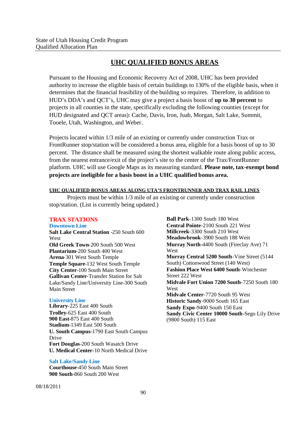# **UHC QUALIFIED BONUS AREAS**

Pursuant to the Housing and Economic Recovery Act of 2008, UHC has been provided authority to increase the eligible basis of certain buildings to 130% of the eligible basis, when it determines that the financial feasibility of the building so requires. Therefore, in addition to HUD's DDA's and QCT's, UHC may give a project a basis boost of **up to 30 percent** to projects in all counties in the state, specifically excluding the following counties (except for HUD designated and QCT areas): Cache, Davis, Iron, Juab, Morgan, Salt Lake, Summit, Tooele, Utah, Washington, and Weber.

Projects located within 1/3 mile of an existing or currently under construction Trax or FrontRunner stop/station will be considered a bonus area, eligible for a basis boost of up to 30 percent. The distance shall be measured using the shortest walkable route along public access, from the nearest entrance/exit of the project's site to the center of the Trax/FrontRunner platform. UHC will use Google Maps as its measuring standard. **Please note, tax-exempt bond projects are ineligible for a basis boost in a UHC qualified bonus area.**

#### **UHC QUALIFIED BONUS AREAS ALONG UTA'S FRONTRUNNER AND TRAX RAIL LINES**

Projects must be within 1/3 mile of an existing or currently under construction stop/station. (List is currently being updated.)

# **TRAX STATIONS**

#### **Downtown Line**

**Salt Lake Central Station** -250 South 600 West **Old Greek Town**-200 South 500 West **Plantarium**-200 South 400 West **Arena**-301 West South Temple **Temple Square**-132 West South Temple **City Center**-100 South Main Street **Gallivan Center**-Transfer Station for Salt Lake/Sandy Line/University Line-300 South Main Street

#### **University Line**

**Library**-225 East 400 South **Trolley**-625 East 400 South **900 East**-875 East 400 South **Stadium**-1349 East 500 South **U. South Campus**-1790 East South Campus Drive **Fort Douglas**-200 South Wasatch Drive **U. Medical Center**-10 North Medical Drive

#### **Salt Lake/Sandy Line**

**Courthouse**-450 South Main Street **900 South**-860 South 200 West

**Ball Park**-1300 South 180 West **Central Pointe**-2100 South 221 West **Millcreek**-3300 South 210 West **Meadowbrook**-3900 South 188 West **Murray North**-4400 South (Fireclay Ave) 71 West **Murray Central 5200 South**-Vine Street (5144 South) Cottonwood Street (140 West) **Fashion Place West 6400 South**-Winchester Street 222 West **Midvale Fort Union 7200 South**-7250 South 180 West **Midvale Center**-7720 South 95 West **Historic Sandy**-9000 South 165 East **Sandy Expo**-9400 South 150 East **Sandy Civic Center 10000 South**-Sego Lily Drive (9800 South) 115 East

08/18/2011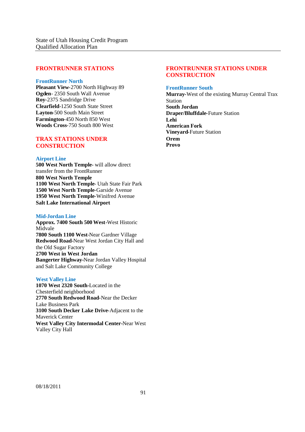#### **FRONTRUNNER STATIONS**

#### **FrontRunner North**

**Pleasant View**-2700 North Highway 89 **Ogden**- 2350 South Wall Avenue **Roy**-2375 Sandridge Drive **Clearfield**-1250 South State Street **Layton**-500 South Main Street **Farmington**-450 North 850 West **Woods Cross**-750 South 800 West

#### **TRAX STATIONS UNDER CONSTRUCTION**

#### **Airport Line**

**500 West North Temple-** will allow direct transfer from the FrontRunner **800 West North Temple 1100 West North Temple**- Utah State Fair Park **1500 West North Temple**-Garside Avenue **1950 West North Temple**-Winifred Avenue **Salt Lake International Airport**

#### **Mid-Jordan Line**

**Approx. 7400 South 500 West-**West Historic Midvale **7800 South 1100 West**-Near Gardner Village **Redwood Road-**Near West Jordan City Hall and the Old Sugar Factory **2700 West in West Jordan Bangerter Highway-**Near Jordan Valley Hospital and Salt Lake Community College

#### **West Valley Line**

**1070 West 2320 South-**Located in the Chesterfield neighborhood **2770 South Redwood Road-**Near the Decker Lake Business Park **3100 South Decker Lake Drive-**Adjacent to the Maverick Center **West Valley City Intermodal Center-**Near West Valley City Hall

## **FRONTRUNNER STATIONS UNDER CONSTRUCTION**

#### **FrontRunner South**

**Murray-**West of the existing Murray Central Trax Station **South Jordan Draper/Bluffdale-**Future Station **Lehi American Fork Vineyard-**Future Station **Orem Provo**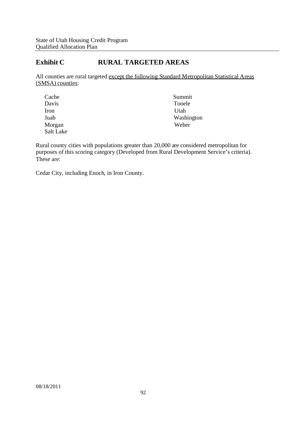# **Exhibit C RURAL TARGETED AREAS**

All counties are rural targeted except the following Standard Metropolitan Statistical Areas (SMSA) counties:

| Cache     | Summit     |
|-----------|------------|
| Davis     | Tooele     |
| Iron      | Utah       |
| Juab      | Washington |
| Morgan    | Weber      |
| Salt Lake |            |

Rural county cities with populations greater than 20,000 are considered metropolitan for purposes of this scoring category (Developed from Rural Development Service's criteria). These are:

Cedar City, including Enoch, in Iron County.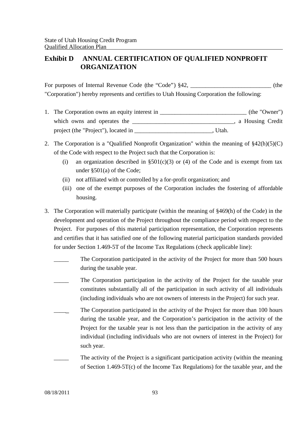# **Exhibit D ANNUAL CERTIFICATION OF QUALIFIED NONPROFIT ORGANIZATION**

For purposes of Internal Revenue Code (the "Code") §42, \_\_\_\_\_\_\_\_\_\_\_\_\_\_\_\_\_\_\_\_\_\_\_\_\_ (the "Corporation") hereby represents and certifies to Utah Housing Corporation the following:

- 1. The Corporation owns an equity interest in \_\_\_\_\_\_\_\_\_\_\_\_\_\_\_\_\_\_\_\_\_\_\_\_\_\_\_\_\_\_\_\_\_ (the "Owner") which owns and operates the \_\_\_\_\_\_\_\_\_\_\_\_\_\_\_\_\_\_\_\_\_\_\_\_\_\_\_\_\_\_\_\_\_\_, a Housing Credit project (the "Project"), located in \_\_\_\_\_\_\_\_\_\_\_\_\_\_\_\_\_\_\_\_\_\_\_\_\_\_\_\_\_, Utah.
- 2. The Corporation is a "Qualified Nonprofit Organization" within the meaning of §42(h)(5)(C) of the Code with respect to the Project such that the Corporation is:
	- (i) an organization described in  $\S501(c)(3)$  or (4) of the Code and is exempt from tax under §501(a) of the Code;
	- (ii) not affiliated with or controlled by a for-profit organization; and
	- (iii) one of the exempt purposes of the Corporation includes the fostering of affordable housing.
- 3. The Corporation will materially participate (within the meaning of §469(h) of the Code) in the development and operation of the Project throughout the compliance period with respect to the Project. For purposes of this material participation representation, the Corporation represents and certifies that it has satisfied one of the following material participation standards provided for under Section 1.469-5T of the Income Tax Regulations (check applicable line):
	- The Corporation participated in the activity of the Project for more than 500 hours during the taxable year.
	- The Corporation participation in the activity of the Project for the taxable year constitutes substantially all of the participation in such activity of all individuals (including individuals who are not owners of interests in the Project) for such year.
	- The Corporation participated in the activity of the Project for more than 100 hours during the taxable year, and the Corporation's participation in the activity of the Project for the taxable year is not less than the participation in the activity of any individual (including individuals who are not owners of interest in the Project) for such year.
		- The activity of the Project is a significant participation activity (within the meaning of Section 1.469-5T(c) of the Income Tax Regulations) for the taxable year, and the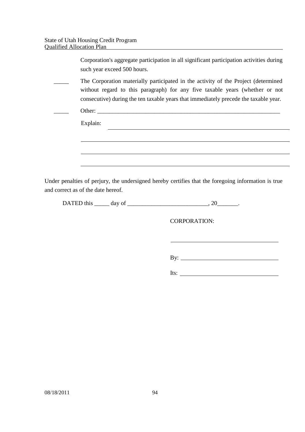and correct as of the date hereof.

| Corporation's aggregate participation in all significant participation activities during<br>such year exceed 500 hours.                                                                                                                                    |
|------------------------------------------------------------------------------------------------------------------------------------------------------------------------------------------------------------------------------------------------------------|
| The Corporation materially participated in the activity of the Project (determined<br>without regard to this paragraph) for any five taxable years (whether or not<br>consecutive) during the ten taxable years that immediately precede the taxable year. |
| Other:                                                                                                                                                                                                                                                     |
| Explain:                                                                                                                                                                                                                                                   |
|                                                                                                                                                                                                                                                            |
|                                                                                                                                                                                                                                                            |
|                                                                                                                                                                                                                                                            |
| Under penalties of perjury, the undersigned hereby certifies that the foregoing information is true                                                                                                                                                        |

DATED this  $\_\_\_\_$  day of  $\_\_\_\_\_\_\_\_$ . 20 $\_\_\_\_\_\.\$ 

CORPORATION:

By:  $\qquad \qquad$ 

Its:  $\qquad \qquad$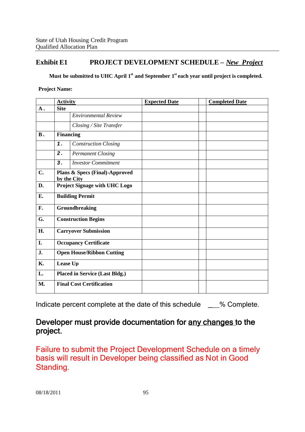# **Exhibit E1 PROJECT DEVELOPMENT SCHEDULE –** *New Project*

**Must be submitted to UHC April 1st and September 1st each year until project is completed.**

**Project Name:**

| <b>Activity</b>                       |                             | <b>Expected Date</b>                                                                                                                                                 | <b>Completed Date</b> |
|---------------------------------------|-----------------------------|----------------------------------------------------------------------------------------------------------------------------------------------------------------------|-----------------------|
| <b>Site</b><br>$\mathbf A$ .          |                             |                                                                                                                                                                      |                       |
|                                       | <b>Environmental Review</b> |                                                                                                                                                                      |                       |
|                                       | Closing / Site Transfer     |                                                                                                                                                                      |                       |
|                                       |                             |                                                                                                                                                                      |                       |
| 1.                                    | <b>Construction Closing</b> |                                                                                                                                                                      |                       |
| $\overline{2}$ .                      | <b>Permanent Closing</b>    |                                                                                                                                                                      |                       |
| 3.                                    | <b>Investor Commitment</b>  |                                                                                                                                                                      |                       |
|                                       |                             |                                                                                                                                                                      |                       |
|                                       |                             |                                                                                                                                                                      |                       |
| <b>Building Permit</b>                |                             |                                                                                                                                                                      |                       |
| Groundbreaking                        |                             |                                                                                                                                                                      |                       |
| <b>Construction Begins</b>            |                             |                                                                                                                                                                      |                       |
|                                       |                             |                                                                                                                                                                      |                       |
| <b>Occupancy Certificate</b>          |                             |                                                                                                                                                                      |                       |
| <b>Open House/Ribbon Cutting</b>      |                             |                                                                                                                                                                      |                       |
| Lease Up                              |                             |                                                                                                                                                                      |                       |
| <b>Placed in Service (Last Bldg.)</b> |                             |                                                                                                                                                                      |                       |
|                                       |                             |                                                                                                                                                                      |                       |
|                                       |                             | <b>Financing</b><br>Plans & Specs (Final)-Approved<br>by the City<br>Project Signage with UHC Logo<br><b>Carryover Submission</b><br><b>Final Cost Certification</b> |                       |

Indicate percent complete at the date of this schedule \_\_\_% Complete.

# Developer must provide documentation for any changes to the project.

Failure to submit the Project Development Schedule on a timely basis will result in Developer being classified as Not in Good Standing.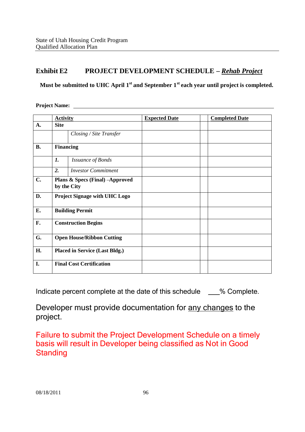# **Exhibit E2 PROJECT DEVELOPMENT SCHEDULE –** *Rehab Project*

**Must be submitted to UHC April 1st and September 1st each year until project is completed.**

**Project Name:**

|           | <b>Activity</b>                                |                            | <b>Expected Date</b> | <b>Completed Date</b> |
|-----------|------------------------------------------------|----------------------------|----------------------|-----------------------|
| A.        | <b>Site</b>                                    |                            |                      |                       |
|           |                                                | Closing / Site Transfer    |                      |                       |
| <b>B.</b> | <b>Financing</b>                               |                            |                      |                       |
|           | 1.                                             | <b>Issuance of Bonds</b>   |                      |                       |
|           | $\overline{2}$ .                               | <b>Investor Commitment</b> |                      |                       |
| C.        | Plans & Specs (Final) -Approved<br>by the City |                            |                      |                       |
| D.        | Project Signage with UHC Logo                  |                            |                      |                       |
| E.        | <b>Building Permit</b>                         |                            |                      |                       |
| F.        | <b>Construction Begins</b>                     |                            |                      |                       |
| G.        | <b>Open House/Ribbon Cutting</b>               |                            |                      |                       |
| H.        | <b>Placed in Service (Last Bldg.)</b>          |                            |                      |                       |
| I.        | <b>Final Cost Certification</b>                |                            |                      |                       |

Indicate percent complete at the date of this schedule \_\_\_% Complete.

Developer must provide documentation for any changes to the project.

Failure to submit the Project Development Schedule on a timely basis will result in Developer being classified as Not in Good **Standing**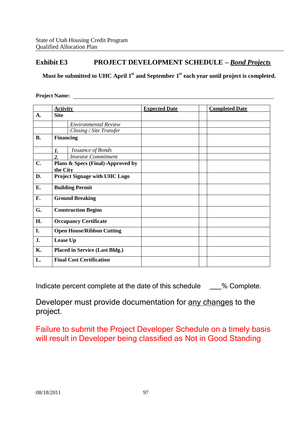# **Exhibit E3 PROJECT DEVELOPMENT SCHEDULE –** *Bond Projects*

**Must be submitted to UHC April 1st and September 1st each year until project is completed.**

## **Project Name:**

|                | <b>Activity</b>                       |                                   | <b>Expected Date</b> | <b>Completed Date</b> |
|----------------|---------------------------------------|-----------------------------------|----------------------|-----------------------|
| $\mathbf{A}$ . | <b>Site</b>                           |                                   |                      |                       |
|                |                                       | <b>Environmental Review</b>       |                      |                       |
|                |                                       | Closing / Site Transfer           |                      |                       |
| <b>B.</b>      | <b>Financing</b>                      |                                   |                      |                       |
|                | 1.                                    | <b>Issuance of Bonds</b>          |                      |                       |
|                | $\overline{2}$ .                      | <b>Investor Commitment</b>        |                      |                       |
| $C_{\bullet}$  | the City                              | Plans & Specs (Final)-Approved by |                      |                       |
| D.             | <b>Project Signage with UHC Logo</b>  |                                   |                      |                       |
| E.             | <b>Building Permit</b>                |                                   |                      |                       |
| F.             | <b>Ground Breaking</b>                |                                   |                      |                       |
| G.             |                                       | <b>Construction Begins</b>        |                      |                       |
| H.             | <b>Occupancy Certificate</b>          |                                   |                      |                       |
| I.             |                                       | <b>Open House/Ribbon Cutting</b>  |                      |                       |
| J.             | Lease Up                              |                                   |                      |                       |
| <b>K.</b>      | <b>Placed in Service (Last Bldg.)</b> |                                   |                      |                       |
| L.             |                                       | <b>Final Cost Certification</b>   |                      |                       |

Indicate percent complete at the date of this schedule \_\_\_% Complete.

Developer must provide documentation for any changes to the project.

Failure to submit the Project Developer Schedule on a timely basis will result in Developer being classified as Not in Good Standing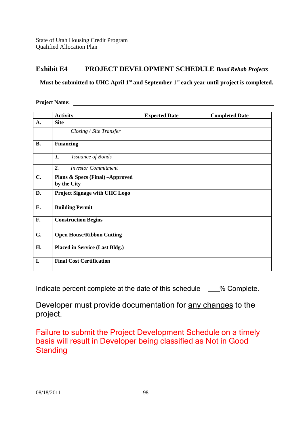# **Exhibit E4 PROJECT DEVELOPMENT SCHEDULE** *Bond Rehab Projects*

**Must be submitted to UHC April 1st and September 1st each year until project is completed.**

**Project Name:**

|           | <b>Activity</b>                                |                                 | <b>Expected Date</b> | <b>Completed Date</b> |
|-----------|------------------------------------------------|---------------------------------|----------------------|-----------------------|
| A.        | <b>Site</b>                                    |                                 |                      |                       |
|           |                                                | Closing / Site Transfer         |                      |                       |
| <b>B.</b> | <b>Financing</b>                               |                                 |                      |                       |
|           | 1.                                             | <b>Issuance of Bonds</b>        |                      |                       |
|           | 2.                                             | <b>Investor Commitment</b>      |                      |                       |
| C.        | Plans & Specs (Final) -Approved<br>by the City |                                 |                      |                       |
| D.        | <b>Project Signage with UHC Logo</b>           |                                 |                      |                       |
| E.        | <b>Building Permit</b>                         |                                 |                      |                       |
| F.        | <b>Construction Begins</b>                     |                                 |                      |                       |
| G.        | <b>Open House/Ribbon Cutting</b>               |                                 |                      |                       |
| H.        | <b>Placed in Service (Last Bldg.)</b>          |                                 |                      |                       |
| I.        |                                                | <b>Final Cost Certification</b> |                      |                       |

Indicate percent complete at the date of this schedule  $\%$  Complete.

Developer must provide documentation for any changes to the project.

Failure to submit the Project Development Schedule on a timely basis will result in Developer being classified as Not in Good **Standing**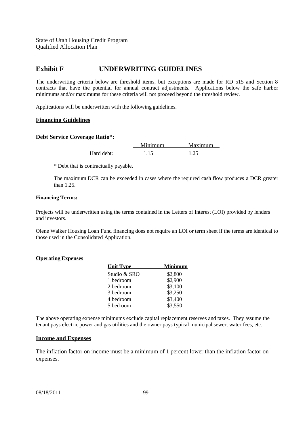# **Exhibit F UNDERWRITING GUIDELINES**

The underwriting criteria below are threshold items, but exceptions are made for RD 515 and Section 8 contracts that have the potential for annual contract adjustments. Applications below the safe harbor minimums and/or maximums for these criteria will not proceed beyond the threshold review.

Applications will be underwritten with the following guidelines.

#### **Financing Guidelines**

#### **Debt Service Coverage Ratio\*:**

Minimum Maximum Hard debt: 1.15 1.25

\* Debt that is contractually payable.

The maximum DCR can be exceeded in cases where the required cash flow produces a DCR greater than  $1.25$ .

#### **Financing Terms:**

Projects will be underwritten using the terms contained in the Letters of Interest (LOI) provided by lenders and investors.

Olene Walker Housing Loan Fund financing does not require an LOI or term sheet if the terms are identical to those used in the Consolidated Application.

#### **Operating Expenses**

| <b>Unit Type</b> | Minimum |
|------------------|---------|
| Studio & SRO     | \$2,800 |
| 1 bedroom        | \$2,900 |
| 2 bedroom        | \$3,100 |
| 3 bedroom        | \$3,250 |
| 4 bedroom        | \$3,400 |
| 5 bedroom        | \$3,550 |

The above operating expense minimums exclude capital replacement reserves and taxes. They assume the tenant pays electric power and gas utilities and the owner pays typical municipal sewer, water fees, etc.

#### **Income and Expenses**

The inflation factor on income must be a minimum of 1 percent lower than the inflation factor on expenses.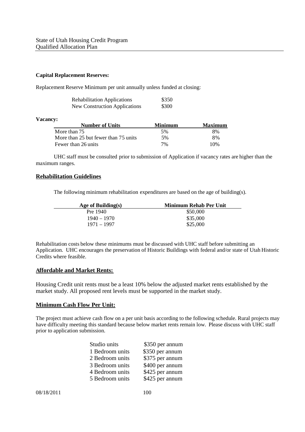#### **Capital Replacement Reserves:**

Replacement Reserve Minimum per unit annually unless funded at closing:

| <b>Rehabilitation Applications</b>   | \$350 |
|--------------------------------------|-------|
| <b>New Construction Applications</b> | \$300 |

#### **Vacancy:**

| <b>Number of Units</b>               | Minimum | Maximum |
|--------------------------------------|---------|---------|
| More than 75                         | 5%      | 8%      |
| More than 25 but fewer than 75 units | 5%      | 8%      |
| Fewer than 26 units                  | 7%      | 10%     |

UHC staff must be consulted prior to submission of Application if vacancy rates are higher than the maximum ranges.

#### **Rehabilitation Guidelines**

The following minimum rehabilitation expenditures are based on the age of building(s).

| Age of Building $(s)$ | Minimum Rehab Per Unit |
|-----------------------|------------------------|
| Pre 1940              | \$50,000               |
| 1940 – 1970           | \$35,000               |
| 1971 – 1997           | \$25,000               |

Rehabilitation costs below these minimums must be discussed with UHC staff before submitting an Application. UHC encourages the preservation of Historic Buildings with federal and/or state of Utah Historic Credits where feasible.

#### **Affordable and Market Rents:**

Housing Credit unit rents must be a least 10% below the adjusted market rents established by the market study. All proposed rent levels must be supported in the market study.

#### **Minimum Cash Flow Per Unit:**

The project must achieve cash flow on a per unit basis according to the following schedule. Rural projects may have difficulty meeting this standard because below market rents remain low. Please discuss with UHC staff prior to application submission.

| Studio units    | \$350 per annum |
|-----------------|-----------------|
| 1 Bedroom units | \$350 per annum |
| 2 Bedroom units | \$375 per annum |
| 3 Bedroom units | \$400 per annum |
| 4 Bedroom units | \$425 per annum |
| 5 Bedroom units | \$425 per annum |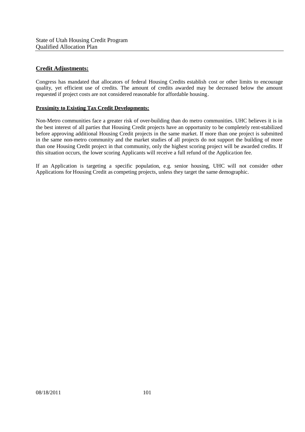## **Credit Adjustments:**

Congress has mandated that allocators of federal Housing Credits establish cost or other limits to encourage quality, yet efficient use of credits. The amount of credits awarded may be decreased below the amount requested if project costs are not considered reasonable for affordable housing.

#### **Proximity to Existing Tax Credit Developments:**

Non-Metro communities face a greater risk of over-building than do metro communities. UHC believes it is in the best interest of all parties that Housing Credit projects have an opportunity to be completely rent-stabilized before approving additional Housing Credit projects in the same market. If more than one project is submitted in the same non-metro community and the market studies of all projects do not support the building of more than one Housing Credit project in that community, only the highest scoring project will be awarded credits. If this situation occurs, the lower scoring Applicants will receive a full refund of the Application fee.

If an Application is targeting a specific population, e.g. senior housing, UHC will not consider other Applications for Housing Credit as competing projects, unless they target the same demographic.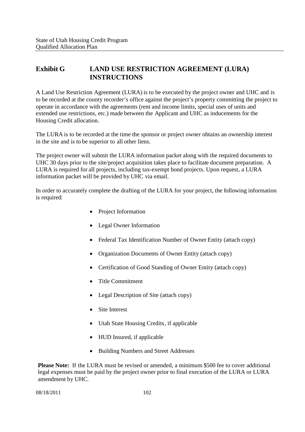# **Exhibit G LAND USE RESTRICTION AGREEMENT (LURA) INSTRUCTIONS**

A Land Use Restriction Agreement (LURA) is to be executed by the project owner and UHC and is to be recorded at the county recorder's office against the project's property committing the project to operate in accordance with the agreements (rent and income limits, special uses of units and extended use restrictions, etc.) made between the Applicant and UHC as inducements for the Housing Credit allocation.

The LURA is to be recorded at the time the sponsor or project owner obtains an ownership interest in the site and is to be superior to all other liens.

The project owner will submit the LURA information packet along with the required documents to UHC 30 days prior to the site/project acquisition takes place to facilitate document preparation. A LURA is required for all projects, including tax-exempt bond projects. Upon request, a LURA information packet will be provided by UHC via email.

In order to accurately complete the drafting of the LURA for your project, the following information is required:

- Project Information
- Legal Owner Information
- Federal Tax Identification Number of Owner Entity (attach copy)
- Organization Documents of Owner Entity (attach copy)
- Certification of Good Standing of Owner Entity (attach copy)
- Title Commitment
- Legal Description of Site (attach copy)
- Site Interest
- Utah State Housing Credits, if applicable
- HUD Insured, if applicable
- Building Numbers and Street Addresses

**Please Note:** If the LURA must be revised or amended, a minimum \$500 fee to cover additional legal expenses must be paid by the project owner prior to final execution of the LURA or LURA amendment by UHC.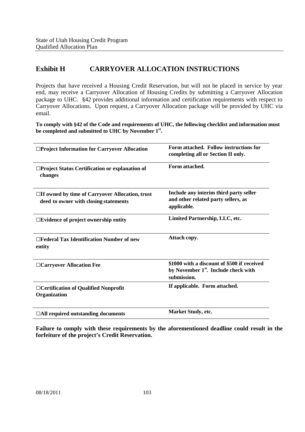# **Exhibit H CARRYOVER ALLOCATION INSTRUCTIONS**

Projects that have received a Housing Credit Reservation, but will not be placed in service by year end, may receive a Carryover Allocation of Housing Credits by submitting a Carryover Allocation package to UHC. §42 provides additional information and certification requirements with respect to Carryover Allocations. Upon request, a Carryover Allocation package will be provided by UHC via email.

**To comply with §42 of the Code and requirements of UHC, the following checklist and information must be completed and submitted to UHC by November 1st .**

| □Project Information for Carryover Allocation                                                   | Form attached. Follow instructions for<br>completing all or Section II only.                                   |
|-------------------------------------------------------------------------------------------------|----------------------------------------------------------------------------------------------------------------|
| □Project Status Certification or explanation of<br>changes                                      | Form attached.                                                                                                 |
| $\Box$ If owned by time of Carryover Allocation, trust<br>deed to owner with closing statements | Include any interim third party seller<br>and other related party sellers, as<br>applicable.                   |
| $\square$ Evidence of project ownership entity                                                  | Limited Partnership, LLC, etc.                                                                                 |
| $\Box$ Federal Tax Identification Number of new<br>entity                                       | Attach copy.                                                                                                   |
| □ Carryover Allocation Fee                                                                      | \$1000 with a discount of \$500 if received<br>by November 1 <sup>st</sup> . Include check with<br>submission. |
| □ Certification of Qualified Nonprofit<br>Organization                                          | If applicable. Form attached.                                                                                  |
| $\Box$ All required outstanding documents                                                       | <b>Market Study, etc.</b>                                                                                      |

**Failure to comply with these requirements by the aforementioned deadline could result in the forfeiture of the project's Credit Reservation.**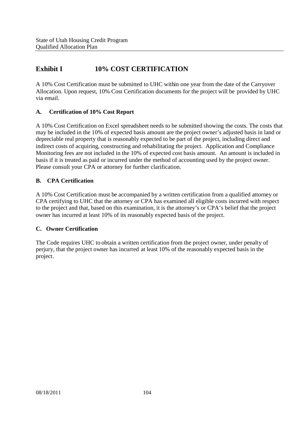# **Exhibit I 10% COST CERTIFICATION**

A 10% Cost Certification must be submitted to UHC within one year from the date of the Carryover Allocation. Upon request, 10% Cost Certification documents for the project will be provided by UHC via email.

## **A. Certification of 10% Cost Report**

A 10% Cost Certification on Excel spreadsheet needs to be submitted showing the costs. The costs that may be included in the 10% of expected basis amount are the project owner's adjusted basis in land or depreciable real property that is reasonably expected to be part of the project, including direct and indirect costs of acquiring, constructing and rehabilitating the project. Application and Compliance Monitoring fees are not included in the 10% of expected cost basis amount. An amount is included in basis if it is treated as paid or incurred under the method of accounting used by the project owner. Please consult your CPA or attorney for further clarification.

## **B. CPA Certification**

A 10% Cost Certification must be accompanied by a written certification from a qualified attorney or CPA certifying to UHC that the attorney or CPA has examined all eligible costs incurred with respect to the project and that, based on this examination, it is the attorney's or CPA's belief that the project owner has incurred at least 10% of its reasonably expected basis of the project.

## **C. Owner Certification**

The Code requires UHC to obtain a written certification from the project owner, under penalty of perjury, that the project owner has incurred at least 10% of the reasonably expected basis in the project.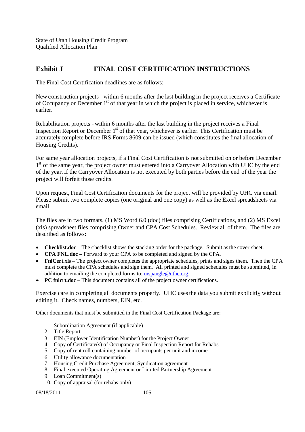# **Exhibit J FINAL COST CERTIFICATION INSTRUCTIONS**

The Final Cost Certification deadlines are as follows:

New construction projects - within 6 months after the last building in the project receives a Certificate of Occupancy or December  $1<sup>st</sup>$  of that year in which the project is placed in service, whichever is earlier.

Rehabilitation projects - within 6 months after the last building in the project receives a Final Inspection Report or December  $1<sup>st</sup>$  of that year, whichever is earlier. This Certification must be accurately complete before IRS Forms 8609 can be issued (which constitutes the final allocation of Housing Credits).

For same year allocation projects, if a Final Cost Certification is not submitted on or before December 1<sup>st</sup> of the same year, the project owner must entered into a Carryover Allocation with UHC by the end of the year. If the Carryover Allocation is not executed by both parties before the end of the year the project will forfeit those credits.

Upon request, Final Cost Certification documents for the project will be provided by UHC via email. Please submit two complete copies (one original and one copy) as well as the Excel spreadsheets via email.

The files are in two formats, (1) MS Word 6.0 (doc) files comprising Certifications, and (2) MS Excel (xls) spreadsheet files comprising Owner and CPA Cost Schedules. Review all of them. The files are described as follows:

- **Checklist.doc** The checklist shows the stacking order for the package. Submit as the cover sheet.
- **CPA FNL.doc** Forward to your CPA to be completed and signed by the CPA.
- **FnlCert.xls** The project owner completes the appropriate schedules, prints and signs them. Then the CPA must complete the CPA schedules and sign them. All printed and signed schedules must be submitted, in addition to emailing the completed forms to: mspangle@uthc.org.
- **PC fnlcrt.doc** This document contains all of the project owner certifications.

Exercise care in completing all documents properly. UHC usesthe data you submit explicitly without editing it. Check names, numbers, EIN, etc.

Other documents that must be submitted in the Final Cost Certification Package are:

- 1. Subordination Agreement (if applicable)
- 2. Title Report
- 3. EIN (Employer Identification Number) for the Project Owner
- 4. Copy of Certificate(s) of Occupancy or Final Inspection Report for Rehabs
- 5. Copy of rent roll containing number of occupants per unit and income
- 6. Utility allowance documentation
- 7. Housing Credit Purchase Agreement, Syndication agreement
- 8. Final executed Operating Agreement or Limited Partnership Agreement
- 9. Loan Commitment(s)
- 10. Copy of appraisal (for rehabs only)

08/18/2011 105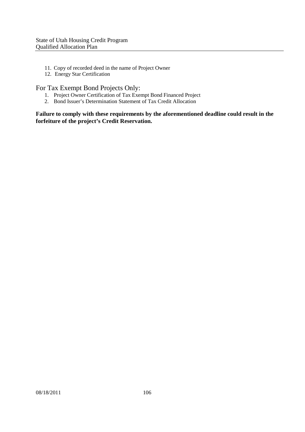- 11. Copy of recorded deed in the name of Project Owner
- 12. Energy Star Certification

## For Tax Exempt Bond Projects Only:

- 1. Project Owner Certification of Tax Exempt Bond Financed Project
- 2. Bond Issuer's Determination Statement of Tax Credit Allocation

**Failure to comply with these requirements by the aforementioned deadline could result in the forfeiture of the project's Credit Reservation.**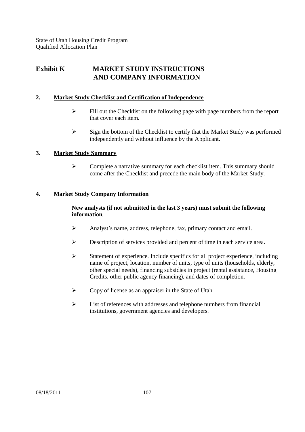# **Exhibit K MARKET STUDY INSTRUCTIONS AND COMPANY INFORMATION**

## **2. Market Study Checklist and Certification of Independence**

- $\triangleright$  Fill out the Checklist on the following page with page numbers from the report that cover each item.
- $\triangleright$  Sign the bottom of the Checklist to certify that the Market Study was performed independently and without influence by the Applicant.

## **3. Market Study Summary**

 $\triangleright$  Complete a narrative summary for each checklist item. This summary should come after the Checklist and precede the main body of the Market Study.

### **4. Market Study Company Information**

## **New analysts (if not submitted in the last 3 years) must submit the following information**.

- $\triangleright$  Analyst's name, address, telephone, fax, primary contact and email.
- Description of services provided and percent of time in each service area.
- $\triangleright$  Statement of experience. Include specifics for all project experience, including name of project, location, number of units, type of units (households, elderly, other special needs), financing subsidies in project (rental assistance, Housing Credits, other public agency financing), and dates of completion.
- Copy of license as an appraiser in the State of Utah.
- $\triangleright$  List of references with addresses and telephone numbers from financial institutions, government agencies and developers.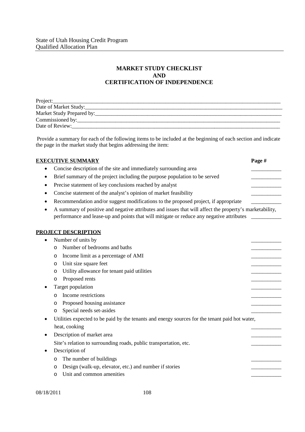## **MARKET STUDY CHECKLIST AND CERTIFICATION OF INDEPENDENCE**

| Project:                  |
|---------------------------|
| Date of Market Study:     |
| Market Study Prepared by: |
| Commissioned by:          |
| Date of Review:           |

Provide a summary for each of the following items to be included at the beginning of each section and indicate the page in the market study that begins addressing the item:

| <b>EXECUTIVE SUMMARY</b>                                                                                                                                                                                         | Page # |
|------------------------------------------------------------------------------------------------------------------------------------------------------------------------------------------------------------------|--------|
| Concise description of the site and immediately surrounding area                                                                                                                                                 |        |
| Brief summary of the project including the purpose population to be served                                                                                                                                       |        |
| Precise statement of key conclusions reached by analyst<br>٠                                                                                                                                                     |        |
| Concise statement of the analyst's opinion of market feasibility<br>٠                                                                                                                                            |        |
| Recommendation and/or suggest modifications to the proposed project, if appropriate<br>٠                                                                                                                         |        |
| A summary of positive and negative attributes and issues that will affect the property's marketability,<br>$\bullet$<br>performance and lease-up and points that will mitigate or reduce any negative attributes |        |
| <b>PROJECT DESCRIPTION</b>                                                                                                                                                                                       |        |
| Number of units by                                                                                                                                                                                               |        |
| Number of bedrooms and baths<br>$\Omega$                                                                                                                                                                         |        |
| Income limit as a percentage of AMI<br>O                                                                                                                                                                         |        |
| Unit size square feet<br>O                                                                                                                                                                                       |        |
| Utility allowance for tenant paid utilities<br>$\circ$                                                                                                                                                           |        |
| Proposed rents<br>O                                                                                                                                                                                              |        |
| Target population                                                                                                                                                                                                |        |
| Income restrictions<br>O                                                                                                                                                                                         |        |
| Proposed housing assistance<br>O                                                                                                                                                                                 |        |
| Special needs set-asides<br>$\circ$                                                                                                                                                                              |        |
| Utilities expected to be paid by the tenants and energy sources for the tenant paid hot water,<br>heat, cooking                                                                                                  |        |
| Description of market area<br>٠                                                                                                                                                                                  |        |
| Site's relation to surrounding roads, public transportation, etc.                                                                                                                                                |        |
| Description of                                                                                                                                                                                                   |        |
| The number of buildings<br>O                                                                                                                                                                                     |        |
| Design (walk-up, elevator, etc.) and number if stories<br>O                                                                                                                                                      |        |
| Unit and common amenities<br>O                                                                                                                                                                                   |        |
|                                                                                                                                                                                                                  |        |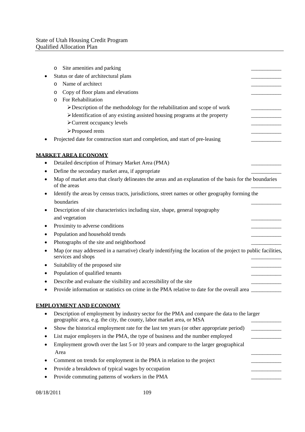|   | O              | Site amenities and parking                                                                                                                                           |  |
|---|----------------|----------------------------------------------------------------------------------------------------------------------------------------------------------------------|--|
|   |                | Status or date of architectural plans                                                                                                                                |  |
|   | O              | Name of architect                                                                                                                                                    |  |
|   | O              | Copy of floor plans and elevations                                                                                                                                   |  |
|   | $\circ$        | For Rehabilitation                                                                                                                                                   |  |
|   |                | $\triangleright$ Description of the methodology for the rehabilitation and scope of work                                                                             |  |
|   |                | $\triangleright$ Identification of any existing assisted housing programs at the property                                                                            |  |
|   |                | > Current occupancy levels                                                                                                                                           |  |
|   |                | ▶ Proposed rents                                                                                                                                                     |  |
|   |                | Projected date for construction start and completion, and start of pre-leasing                                                                                       |  |
|   |                | <u>MARKET AREA ECONOMY</u>                                                                                                                                           |  |
|   |                | Detailed description of Primary Market Area (PMA)                                                                                                                    |  |
|   |                | Define the secondary market area, if appropriate                                                                                                                     |  |
|   | of the areas   | Map of market area that clearly delineates the areas and an explanation of the basis for the boundaries                                                              |  |
| ٠ |                | Identify the areas by census tracts, jurisdictions, street names or other geography forming the                                                                      |  |
|   | boundaries     |                                                                                                                                                                      |  |
|   |                | Description of site characteristics including size, shape, general topography                                                                                        |  |
|   | and vegetation |                                                                                                                                                                      |  |
| ٠ |                | Proximity to adverse conditions                                                                                                                                      |  |
|   |                | Population and household trends                                                                                                                                      |  |
|   |                | Photographs of the site and neighborhood                                                                                                                             |  |
|   |                | Map (or may addressed in a narrative) clearly indentifying the location of the project to public facilities,<br>services and shops                                   |  |
|   |                | Suitability of the proposed site                                                                                                                                     |  |
|   |                | Population of qualified tenants                                                                                                                                      |  |
|   |                | Describe and evaluate the visibility and accessibility of the site                                                                                                   |  |
|   |                | Provide information or statistics on crime in the PMA relative to date for the overall area                                                                          |  |
|   |                | <b>EMPLOYMENT AND ECONOMY</b>                                                                                                                                        |  |
|   |                | Description of employment by industry sector for the PMA and compare the data to the larger<br>geographic area, e.g. the city, the county, labor market area, or MSA |  |
|   |                | Show the historical employment rate for the last ten years (or other appropriate period)                                                                             |  |
|   |                | List major employers in the PMA, the type of business and the number employed                                                                                        |  |
|   | Area           | Employment growth over the last 5 or 10 years and compare to the larger geographical                                                                                 |  |
|   |                | Comment on trends for employment in the PMA in relation to the project                                                                                               |  |
|   |                | Provide a breakdown of typical wages by occupation                                                                                                                   |  |
|   |                | Provide commuting patterns of workers in the PMA                                                                                                                     |  |
|   |                |                                                                                                                                                                      |  |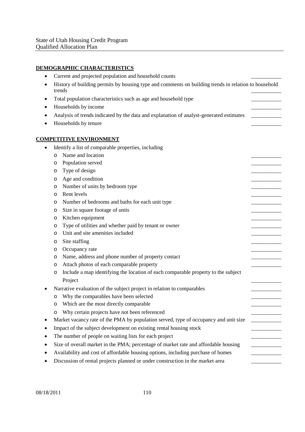## **DEMOGRAPHIC CHARACTERISTICS**

| ٠         |         | Current and projected population and household counts                                                |  |
|-----------|---------|------------------------------------------------------------------------------------------------------|--|
|           | trends  | History of building permits by housing type and comments on building trends in relation to household |  |
|           |         | Total population characteristics such as age and household type                                      |  |
|           |         | Households by income                                                                                 |  |
|           |         | Analysis of trends indicated by the data and explanation of analyst-generated estimates              |  |
|           |         | Households by tenure                                                                                 |  |
|           |         |                                                                                                      |  |
|           |         | <b>COMPETITIVE ENVIRONMENT</b>                                                                       |  |
| $\bullet$ |         | Identify a list of comparable properties, including                                                  |  |
|           | $\circ$ | Name and location                                                                                    |  |
|           | O       | Population served                                                                                    |  |
|           | O       | Type of design                                                                                       |  |
|           | $\circ$ | Age and condition                                                                                    |  |
|           | O       | Number of units by bedroom type                                                                      |  |
|           | O       | Rent levels                                                                                          |  |
|           | O       | Number of bedrooms and baths for each unit type                                                      |  |
|           | O       | Size in square footage of units                                                                      |  |
|           | O       | Kitchen equipment                                                                                    |  |
|           | O       | Type of utilities and whether paid by tenant or owner                                                |  |
|           | O       | Unit and site amenities included                                                                     |  |
|           | O       | Site staffing                                                                                        |  |
|           | O       | Occupancy rate                                                                                       |  |
|           | O       | Name, address and phone number of property contact                                                   |  |
|           | O       | Attach photos of each comparable property                                                            |  |
|           | O       | Include a map identifying the location of each comparable property to the subject                    |  |
|           |         | Project                                                                                              |  |
|           |         | Narrative evaluation of the subject project in relation to comparables                               |  |
|           | O       | Why the comparables have been selected                                                               |  |
|           |         | Which are the most directly comparable                                                               |  |
|           | O       | Why certain projects have not been referenced                                                        |  |
|           |         | Market vacancy rate of the PMA by population served, type of occupancy and unit size                 |  |
|           |         | Impact of the subject development on existing rental housing stock                                   |  |
|           |         | The number of people on waiting lists for each project                                               |  |
|           |         | Size of overall market in the PMA; percentage of market rate and affordable housing                  |  |
|           |         | Availability and cost of affordable housing options, including purchase of homes                     |  |
|           |         | Discussion of rental projects planned or under construction in the market area                       |  |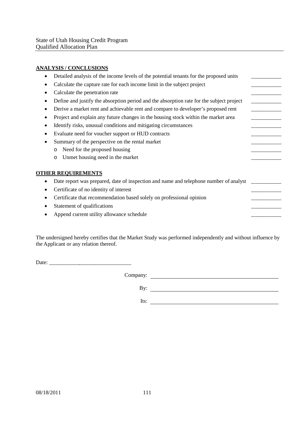### **ANALYSIS / CONCLUSIONS**

| 2040, 001, 0020                                                                          |  |
|------------------------------------------------------------------------------------------|--|
| Detailed analysis of the income levels of the potential tenants for the proposed units   |  |
| Calculate the capture rate for each income limit in the subject project                  |  |
| Calculate the penetration rate                                                           |  |
| Define and justify the absorption period and the absorption rate for the subject project |  |
| Derive a market rent and achievable rent and compare to developer's proposed rent        |  |
| Project and explain any future changes in the housing stock within the market area       |  |
| Identify risks, unusual conditions and mitigating circumstances                          |  |
| Evaluate need for voucher support or HUD contracts                                       |  |
| Summary of the perspective on the rental market                                          |  |
| Need for the proposed housing<br>$\circ$                                                 |  |
| Unmet housing need in the market<br>$\circ$                                              |  |
| <b>OTHER REQUIREMENTS</b>                                                                |  |
| Date report was prepared, date of inspection and name and telephone number of analyst    |  |
| Certificate of no identity of interest                                                   |  |
| Certificate that recommendation based solely on professional opinion                     |  |
| Statement of qualifications                                                              |  |
| Append current utility allowance schedule                                                |  |
|                                                                                          |  |

The undersigned hereby certifies that the Market Study was performed independently and without influence by the Applicant or any relation thereof.

Date:

Company:

By:

Its: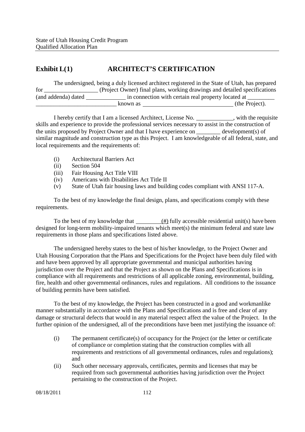# **Exhibit L(1) ARCHITECT'S CERTIFICATION**

|                     | The undersigned, being a duly licensed architect registered in the State of Utah, has prepared |                |
|---------------------|------------------------------------------------------------------------------------------------|----------------|
| for                 | (Project Owner) final plans, working drawings and detailed specifications                      |                |
| (and addenda) dated | in connection with certain real property located at                                            |                |
|                     | known as                                                                                       | (the Project). |

I hereby certify that I am a licensed Architect, License No. \_\_\_\_\_\_\_\_\_\_\_, with the requisite skills and experience to provide the professional services necessary to assist in the construction of the units proposed by Project Owner and that I have experience on \_\_\_\_\_\_\_\_ development(s) of similar magnitude and construction type as this Project. I am knowledgeable of all federal, state, and local requirements and the requirements of:

- (i) Architectural Barriers Act
- (ii) Section 504
- (iii) Fair Housing Act Title VIII
- (iv) Americans with Disabilities Act Title II
- (v) State of Utah fair housing laws and building codes compliant with ANSI 117-A.

To the best of my knowledge the final design, plans, and specifications comply with these requirements.

To the best of my knowledge that  $\frac{(\#)}{(\#)}$  fully accessible residential unit(s) have been designed for long-term mobility-impaired tenants which meet(s) the minimum federal and state law requirements in those plans and specifications listed above.

The undersigned hereby states to the best of his/her knowledge, to the Project Owner and Utah Housing Corporation that the Plans and Specifications for the Project have been duly filed with and have been approved by all appropriate governmental and municipal authorities having jurisdiction over the Project and that the Project as shown on the Plans and Specifications is in compliance with all requirements and restrictions of all applicable zoning, environmental, building, fire, health and other governmental ordinances, rules and regulations. All conditions to the issuance of building permits have been satisfied.

To the best of my knowledge, the Project has been constructed in a good and workmanlike manner substantially in accordance with the Plans and Specifications and is free and clear of any damage or structural defects that would in any material respect affect the value of the Project. In the further opinion of the undersigned, all of the preconditions have been met justifying the issuance of:

- (i) The permanent certificate(s) of occupancy for the Project (or the letter or certificate of compliance or completion stating that the construction complies with all requirements and restrictions of all governmental ordinances, rules and regulations); and
- (ii) Such other necessary approvals, certificates, permits and licenses that may be required from such governmental authorities having jurisdiction over the Project pertaining to the construction of the Project.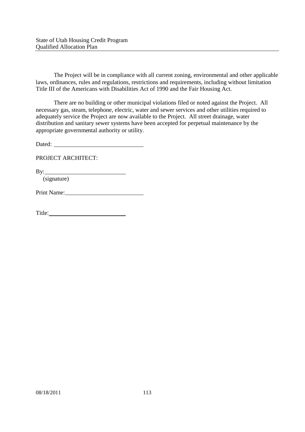The Project will be in compliance with all current zoning, environmental and other applicable laws, ordinances, rules and regulations, restrictions and requirements, including without limitation Title III of the Americans with Disabilities Act of 1990 and the Fair Housing Act.

There are no building or other municipal violations filed or noted against the Project. All necessary gas, steam, telephone, electric, water and sewer services and other utilities required to adequately service the Project are now available to the Project. All street drainage, water distribution and sanitary sewer systems have been accepted for perpetual maintenance by the appropriate governmental authority or utility.

Dated:

PROJECT ARCHITECT:

By:

(signature)

Print Name: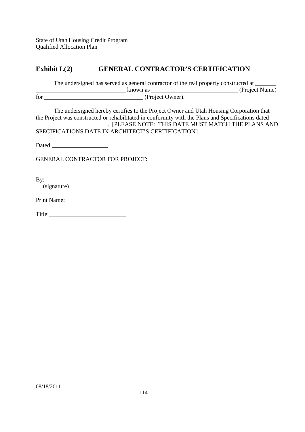# **Exhibit L(2) GENERAL CONTRACTOR'S CERTIFICATION**

The undersigned has served as general contractor of the real property constructed at \_\_\_\_\_\_\_\_\_\_\_\_\_\_\_\_\_\_\_\_\_\_\_\_\_\_\_\_\_\_ known as \_\_\_\_\_\_\_\_\_\_\_\_\_\_\_\_\_\_\_\_\_\_\_\_\_\_\_\_\_ (Project Name) for \_\_\_\_\_\_\_\_\_\_\_\_\_\_\_\_\_\_\_\_\_\_\_\_\_\_\_\_\_\_\_\_\_ (Project Owner).

The undersigned hereby certifies to the Project Owner and Utah Housing Corporation that the Project was constructed or rehabilitated in conformity with the Plans and Specifications dated . [PLEASE NOTE: THIS DATE MUST MATCH THE PLANS AND SPECIFICATIONS DATE IN ARCHITECT'S CERTIFICATION].

Dated: **Dated:** 

GENERAL CONTRACTOR FOR PROJECT:

By:

(signature)

Print Name:

Title: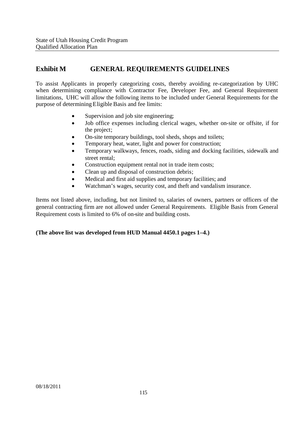# **Exhibit M GENERAL REQUIREMENTS GUIDELINES**

To assist Applicants in properly categorizing costs, thereby avoiding re-categorization by UHC when determining compliance with Contractor Fee, Developer Fee, and General Requirement limitations, UHC will allow the following items to be included under General Requirements for the purpose of determining Eligible Basis and fee limits:

- Supervision and job site engineering;
- Job office expenses including clerical wages, whether on-site or offsite, if for the project;
- On-site temporary buildings, tool sheds, shops and toilets;
- Temporary heat, water, light and power for construction;
- Temporary walkways, fences, roads, siding and docking facilities, sidewalk and street rental;
- Construction equipment rental not in trade item costs;
- Clean up and disposal of construction debris;
- Medical and first aid supplies and temporary facilities; and
- Watchman's wages, security cost, and theft and vandalism insurance.

Items not listed above, including, but not limited to, salaries of owners, partners or officers of the general contracting firm are not allowed under General Requirements. Eligible Basis from General Requirement costs is limited to 6% of on-site and building costs.

### **(The above list was developed from HUD Manual 4450.1 pages 1–4.)**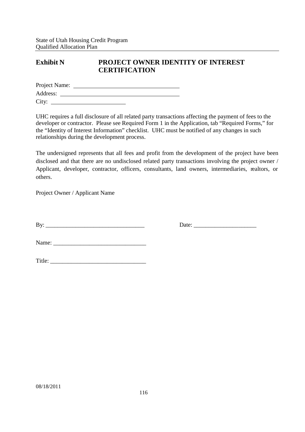## **Exhibit N PROJECT OWNER IDENTITY OF INTEREST CERTIFICATION**

| Project Name: |  |  |  |
|---------------|--|--|--|
| Address:      |  |  |  |
| City:         |  |  |  |

UHC requires a full disclosure of all related party transactions affecting the payment of fees to the developer or contractor. Please see Required Form 1 in the Application, tab "Required Forms," for the "Identity of Interest Information" checklist. UHC must be notified of any changes in such relationships during the development process.

The undersigned represents that all fees and profit from the development of the project have been disclosed and that there are no undisclosed related party transactions involving the project owner / Applicant, developer, contractor, officers, consultants, land owners, intermediaries, realtors, or others.

Project Owner / Applicant Name

By: \_\_\_\_\_\_\_\_\_\_\_\_\_\_\_\_\_\_\_\_\_\_\_\_\_\_\_\_\_\_\_\_\_ Date: \_\_\_\_\_\_\_\_\_\_\_\_\_\_\_\_\_\_\_\_\_

Name: \_\_\_\_\_\_\_\_\_\_\_\_\_\_\_\_\_\_\_\_\_\_\_\_\_\_\_\_\_\_\_

| Title:<br>. |  |
|-------------|--|
|             |  |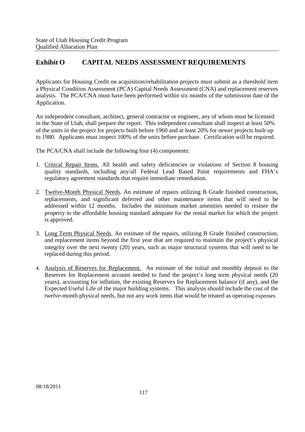# **Exhibit O CAPITAL NEEDS ASSESSMENT REQUIREMENTS**

Applicants for Housing Credit on acquisition/rehabilitation projects must submit as a threshold item a Physical Condition Assessment (PCA) Capital Needs Assessment (CNA) and replacement reserves analysis. The PCA/CNA must have been performed within six months of the submission date of the Application.

An independent consultant, architect, general contractor or engineer, any of whom must be licensed in the State of Utah, shall prepare the report. This independent consultant shall inspect at least 50% of the units in the project for projects built before 1960 and at least 20% for newer projects built up to 1980. Applicants must inspect 100% of the units before purchase. Certification will be required.

The PCA/CNA shall include the following four (4) components:

- 1. Critical Repair Items. All health and safety deficiencies or violations of Section 8 housing quality standards, including any/all Federal Lead Based Paint requirements and FHA's regulatory agreement standards that require immediate remediation.
- 2. Twelve-Month Physical Needs. An estimate of repairs utilizing B Grade finished construction, replacements, and significant deferred and other maintenance items that will need to be addressed within 12 months. Includes the minimum market amenities needed to restore the property to the affordable housing standard adequate for the rental market for which the project is approved.
- 3. Long Term Physical Needs. An estimate of the repairs, utilizing B Grade finished construction, and replacement items beyond the first year that are required to maintain the project's physical integrity over the next twenty (20) years, such as major structural systems that will need to be replaced during this period.
- 4. Analysis of Reserves for Replacement. An estimate of the initial and monthly deposit to the Reserves for Replacement account needed to fund the project's long term physical needs (20 years), accounting for inflation, the existing Reserves for Replacement balance (if any), and the Expected Useful Life of the major building systems. This analysis should include the cost of the twelve-month physical needs, but not any work items that would be treated as operating expenses.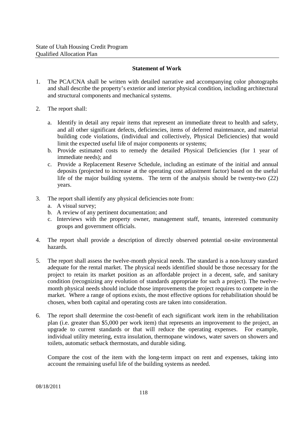#### **Statement of Work**

- 1. The PCA/CNA shall be written with detailed narrative and accompanying color photographs and shall describe the property's exterior and interior physical condition, including architectural and structural components and mechanical systems.
- 2. The report shall:
	- a. Identify in detail any repair items that represent an immediate threat to health and safety, and all other significant defects, deficiencies, items of deferred maintenance, and material building code violations, (individual and collectively, Physical Deficiencies) that would limit the expected useful life of major components or systems:
	- b. Provide estimated costs to remedy the detailed Physical Deficiencies (for 1 year of immediate needs); and
	- c. Provide a Replacement Reserve Schedule, including an estimate of the initial and annual deposits (projected to increase at the operating cost adjustment factor) based on the useful life of the major building systems. The term of the analysis should be twenty-two (22) years.
- 3. The report shall identify any physical deficiencies note from:
	- a. A visual survey;
	- b. A review of any pertinent documentation; and
	- c. Interviews with the property owner, management staff, tenants, interested community groups and government officials.
- 4. The report shall provide a description of directly observed potential on-site environmental hazards.
- 5. The report shall assess the twelve-month physical needs. The standard is a non-luxury standard adequate for the rental market. The physical needs identified should be those necessary for the project to retain its market position as an affordable project in a decent, safe, and sanitary condition (recognizing any evolution of standards appropriate for such a project). The twelvemonth physical needs should include those improvements the project requires to compete in the market. Where a range of options exists, the most effective options for rehabilitation should be chosen, when both capital and operating costs are taken into consideration.
- 6. The report shall determine the cost-benefit of each significant work item in the rehabilitation plan (i.e. greater than \$5,000 per work item) that represents an improvement to the project, an upgrade to current standards or that will reduce the operating expenses. For example, individual utility metering, extra insulation, thermopane windows, water savers on showers and toilets, automatic setback thermostats, and durable siding.

Compare the cost of the item with the long-term impact on rent and expenses, taking into account the remaining useful life of the building systems as needed.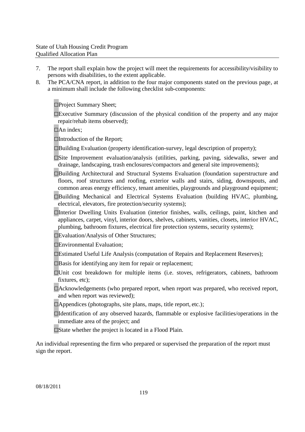- 7. The report shall explain how the project will meet the requirements for accessibility/visibility to persons with disabilities, to the extent applicable.
- 8. The PCA/CNA report, in addition to the four major components stated on the previous page, at a minimum shall include the following checklist sub-components:

□Project Summary Sheet:

 $\square$ Executive Summary (discussion of the physical condition of the property and any major repair/rehab items observed);

 $\Box$ An index:

□Introduction of the Report;

 $\square$ Building Evaluation (property identification-survey, legal description of property);

- □Site Improvement evaluation/analysis (utilities, parking, paving, sidewalks, sewer and drainage, landscaping, trash enclosures/compactors and general site improvements);
- □Building Architectural and Structural Systems Evaluation (foundation superstructure and floors, roof structures and roofing, exterior walls and stairs, siding, downspouts, and common areas energy efficiency, tenant amenities, playgrounds and playground equipment;
- □Building Mechanical and Electrical Systems Evaluation (building HVAC, plumbing, electrical, elevators, fire protection/security systems);
- □Interior Dwelling Units Evaluation (interior finishes, walls, ceilings, paint, kitchen and appliances, carpet, vinyl, interior doors, shelves, cabinets, vanities, closets, interior HVAC, plumbing, bathroom fixtures, electrical fire protection systems, security systems);

□Evaluation/Analysis of Other Structures;

□Environmental Evaluation;

- □Estimated Useful Life Analysis (computation of Repairs and Replacement Reserves);
- $\Box$ Basis for identifying any item for repair or replacement;
- □Unit cost breakdown for multiple items (i.e. stoves, refrigerators, cabinets, bathroom fixtures, etc):
- □Acknowledgements (who prepared report, when report was prepared, who received report, and when report was reviewed);
- $\Box$ Appendices (photographs, site plans, maps, title report, etc.);
- □Identification of any observed hazards, flammable or explosive facilities/operations in the immediate area of the project; and
- $\square$ State whether the project is located in a Flood Plain.

An individual representing the firm who prepared or supervised the preparation of the report must sign the report.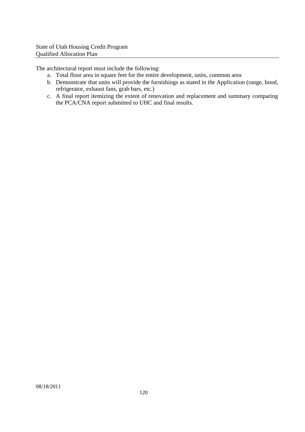The architectural report must include the following:

- a. Total floor area in square feet for the entire development, units, common area
- b. Demonstrate that units will provide the furnishings as stated in the Application (range, hood, refrigerator, exhaust fans, grab bars, etc.)
- c. A final report itemizing the extent of renovation and replacement and summary comparing the PCA/CNA report submitted to UHC and final results.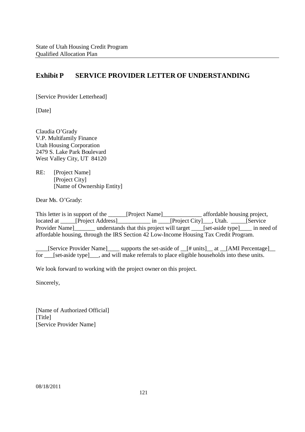# **Exhibit P SERVICE PROVIDER LETTER OF UNDERSTANDING**

[Service Provider Letterhead]

[Date]

Claudia O'Grady V.P. Multifamily Finance Utah Housing Corporation 2479 S. Lake Park Boulevard West Valley City, UT 84120

RE: [Project Name] [Project City] [Name of Ownership Entity]

Dear Ms. O'Grady:

This letter is in support of the \_\_\_\_\_[Project Name]\_\_\_\_\_\_\_\_\_\_\_\_\_\_\_ affordable housing project, located at \_\_\_\_\_[Project Address]\_\_\_\_\_\_\_\_\_\_\_\_\_ in \_\_\_\_[Project City]\_\_\_\_, Utah. \_\_\_\_\_\_[Service Provider Name | understands that this project will target \_\_\_\_[set-aside type | \_\_\_\_ in need of affordable housing, through the IRS Section 42 Low-Income Housing Tax Credit Program.

\_\_\_\_[Service Provider Name]\_\_\_\_ supports the set-aside of \_\_[# units]\_\_ at \_\_[AMI Percentage]\_\_ for \_\_\_[set-aside type]\_\_\_, and will make referrals to place eligible households into these units.

We look forward to working with the project owner on this project.

Sincerely,

[Name of Authorized Official] [Title] [Service Provider Name]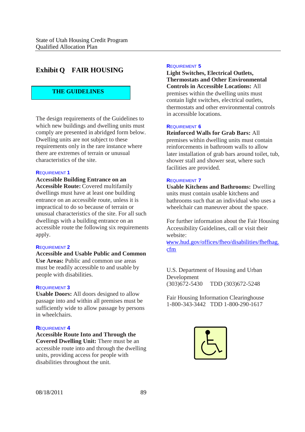# **Exhibit Q FAIR HOUSING**

## **THE GUIDELINES**

The design requirements of the Guidelines to which new buildings and dwelling units must comply are presented in abridged form below. Dwelling units are not subject to these requirements only in the rare instance where there are extremes of terrain or unusual characteristics of the site.

#### **R**EQUIREMENT **1**

**Accessible Building Entrance on an Accessible Route:** Covered multifamily dwellings must have at least one building entrance on an accessible route, unless it is impractical to do so because of terrain or unusual characteristics of the site. For all such dwellings with a building entrance on an accessible route the following six requirements apply.

#### **R**EQUIREMENT **2**

**Accessible and Usable Public and Common Use Areas:** Public and common use areas must be readily accessible to and usable by people with disabilities.

#### **R**EQUIREMENT **3**

**Usable Doors:** All doors designed to allow passage into and within all premises must be sufficiently wide to allow passage by persons in wheelchairs.

#### **R**EQUIREMENT **4**

**Accessible Route Into and Through the Covered Dwelling Unit:** There must be an accessible route into and through the dwelling units, providing access for people with disabilities throughout the unit.

#### **R**EQUIREMENT **5**

**Light Switches, Electrical Outlets, Thermostats and Other Environmental Controls in Accessible Locations:** All premises within the dwelling units must contain light switches, electrical outlets, thermostats and other environmental controls in accessible locations.

#### **R**EQUIREMENT **6**

**Reinforced Walls for Grab Bars:** All premises within dwelling units must contain reinforcements in bathroom walls to allow later installation of grab bars around toilet, tub, shower stall and shower seat, where such facilities are provided.

#### **R**EQUIREMENT **7**

**Usable Kitchens and Bathrooms:** Dwelling units must contain usable kitchens and bathrooms such that an individual who uses a wheelchair can maneuver about the space.

For further information about the Fair Housing Accessibility Guidelines, call or visit their website:

www.hud.gov/offices/fheo/disabilities/fhefhag. cfm

U.S. Department of Housing and Urban Development (303)672-5430 TDD (303)672-5248

Fair Housing Information Clearinghouse 1-800-343-3442 TDD 1-800-290-1617

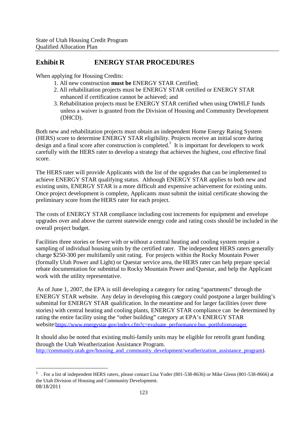# **Exhibit R ENERGY STAR PROCEDURES**

When applying for Housing Credits:

- 1. All new construction **must be** ENERGY STAR Certified;
- 2. All rehabilitation projects must be ENERGY STAR certified or ENERGY STAR enhanced if certification cannot be achieved; and
- 3. Rehabilitation projects must be ENERGY STAR certified when using OWHLF funds unless a waiver is granted from the Division of Housing and Community Development (DHCD).

Both new and rehabilitation projects must obtain an independent Home Energy Rating System (HERS) score to determine ENERGY STAR eligibility. Projects receive an initial score during design and a final score after construction is completed.<sup>1</sup> It is important for developers to work carefully with the HERS rater to develop a strategy that achieves the highest, cost effective final score.

The HERS rater will provide Applicants with the list of the upgrades that can be implemented to achieve ENERGY STAR qualifying status. Although ENERGY STAR applies to both new and existing units, ENERGY STAR is a more difficult and expensive achievement for existing units. Once project development is complete, Applicants must submit the initial certificate showing the preliminary score from the HERS rater for each project.

The costs of ENERGY STAR compliance including cost increments for equipment and envelope upgrades over and above the current statewide energy code and rating costs should be included in the overall project budget.

Facilities three stories or fewer with or without a central heating and cooling system require a sampling of individual housing units by the certified rater. The independent HERS raters generally charge \$250-300 per multifamily unit rating. For projects within the Rocky Mountain Power (formally Utah Power and Light) or Questar service area, the HERS rater can help prepare special rebate documentation for submittal to Rocky Mountain Power and Questar, and help the Applicant work with the utility representative.

As of June 1, 2007, the EPA is still developing a category for rating "apartments" through the ENERGY STAR website. Any delay in developing this category could postpone a larger building's submittal for ENERGY STAR qualification. In the meantime and for larger facilities (over three stories) with central heating and cooling plants, ENERGY STAR compliance can be determined by rating the entire facility using the "other building" category at EPA's ENERGY STAR website:https://www.energystar.gov/index.cfm?c=evaluate\_performance.bus\_portfoliomanager

It should also be noted that existing multi-family units may be eligible for retrofit grant funding through the Utah Weatherization Assistance Program. http://community.utah.gov/housing\_and\_community\_development/weatherization\_assistance\_program).

<sup>08/18/2011</sup> <sup>1</sup> . For a list of independent HERS raters, please contact Lisa Yoder (801-538-8636) or Mike Glenn (801-538-8666) at the Utah Division of Housing and Community Development.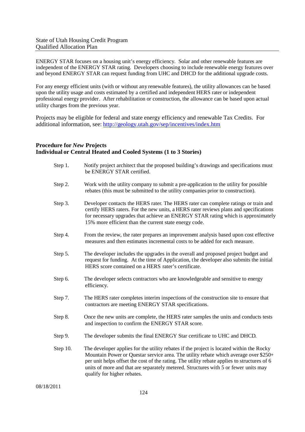ENERGY STAR focuses on a housing unit's energy efficiency. Solar and other renewable features are independent of the ENERGY STAR rating. Developers choosing to include renewable energy features over and beyond ENERGY STAR can request funding from UHC and DHCD for the additional upgrade costs.

For any energy efficient units (with or without any renewable features), the utility allowances can be based upon the utility usage and costs estimated by a certified and independent HERS rater or independent professional energy provider. After rehabilitation or construction, the allowance can be based upon actual utility charges from the previous year.

Projects may be eligible for federal and state energy efficiency and renewable Tax Credits. For additional information, see: http://geology.utah.gov/sep/incentives/index.htm

### **Procedure for** *New* **Projects Individual or Central Heated and Cooled Systems (1 to 3 Stories)**

| Step 1.  | Notify project architect that the proposed building's drawings and specifications must<br>be ENERGY STAR certified.                                                                                                                                                                                                                                                                                   |
|----------|-------------------------------------------------------------------------------------------------------------------------------------------------------------------------------------------------------------------------------------------------------------------------------------------------------------------------------------------------------------------------------------------------------|
| Step 2.  | Work with the utility company to submit a pre-application to the utility for possible<br>rebates (this must be submitted to the utility companies prior to construction).                                                                                                                                                                                                                             |
| Step 3.  | Developer contacts the HERS rater. The HERS rater can complete ratings or train and<br>certify HERS raters. For the new units, a HERS rater reviews plans and specifications<br>for necessary upgrades that achieve an ENERGY STAR rating which is approximately<br>15% more efficient than the current state energy code.                                                                            |
| Step 4.  | From the review, the rater prepares an improvement analysis based upon cost effective<br>measures and then estimates incremental costs to be added for each measure.                                                                                                                                                                                                                                  |
| Step 5.  | The developer includes the upgrades in the overall and proposed project budget and<br>request for funding. At the time of Application, the developer also submits the initial<br>HERS score contained on a HERS rater's certificate.                                                                                                                                                                  |
| Step 6.  | The developer selects contractors who are knowledgeable and sensitive to energy<br>efficiency.                                                                                                                                                                                                                                                                                                        |
| Step 7.  | The HERS rater completes interim inspections of the construction site to ensure that<br>contractors are meeting ENERGY STAR specifications.                                                                                                                                                                                                                                                           |
| Step 8.  | Once the new units are complete, the HERS rater samples the units and conducts tests<br>and inspection to confirm the ENERGY STAR score.                                                                                                                                                                                                                                                              |
| Step 9.  | The developer submits the final ENERGY Star certificate to UHC and DHCD.                                                                                                                                                                                                                                                                                                                              |
| Step 10. | The developer applies for the utility rebates if the project is located within the Rocky<br>Mountain Power or Questar service area. The utility rebate which average over \$250+<br>per unit helps offset the cost of the rating. The utility rebate applies to structures of 6<br>units of more and that are separately metered. Structures with 5 or fewer units may<br>qualify for higher rebates. |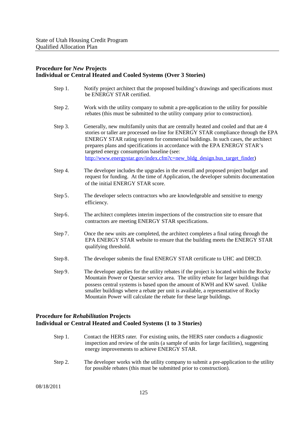#### **Procedure for** *New* **Projects Individual or Central Heated and Cooled Systems (Over 3 Stories)**

| Notify project architect that the proposed building's drawings and specifications must<br>be ENERGY STAR certified.                                                                                                                                                                                                                                                                                                                                                    |
|------------------------------------------------------------------------------------------------------------------------------------------------------------------------------------------------------------------------------------------------------------------------------------------------------------------------------------------------------------------------------------------------------------------------------------------------------------------------|
| Work with the utility company to submit a pre-application to the utility for possible<br>rebates (this must be submitted to the utility company prior to construction).                                                                                                                                                                                                                                                                                                |
| Generally, new multifamily units that are centrally heated and cooled and that are 4<br>stories or taller are processed on-line for ENERGY STAR compliance through the EPA<br>ENERGY STAR rating system for commercial buildings. In such cases, the architect<br>prepares plans and specifications in accordance with the EPA ENERGY STAR's<br>targeted energy consumption baseline (see:<br>http://www.energystar.gov/index.cfm?c=new bldg design.bus target finder) |
| The developer includes the upgrades in the overall and proposed project budget and<br>request for funding. At the time of Application, the developer submits documentation<br>of the initial ENERGY STAR score.                                                                                                                                                                                                                                                        |
| The developer selects contractors who are knowledgeable and sensitive to energy<br>efficiency.                                                                                                                                                                                                                                                                                                                                                                         |
| The architect completes interim inspections of the construction site to ensure that<br>contractors are meeting ENERGY STAR specifications.                                                                                                                                                                                                                                                                                                                             |
| Once the new units are completed, the architect completes a final rating through the<br>EPA ENERGY STAR website to ensure that the building meets the ENERGY STAR<br>qualifying threshold.                                                                                                                                                                                                                                                                             |
| The developer submits the final ENERGY STAR certificate to UHC and DHCD.                                                                                                                                                                                                                                                                                                                                                                                               |
| The developer applies for the utility rebates if the project is located within the Rocky<br>Mountain Power or Questar service area. The utility rebate for larger buildings that<br>possess central systems is based upon the amount of KWH and KW saved. Unlike<br>smaller buildings where a rebate per unit is available, a representative of Rocky<br>Mountain Power will calculate the rebate for these large buildings.                                           |
|                                                                                                                                                                                                                                                                                                                                                                                                                                                                        |

## **Procedure for** *Rehabilitation* **Projects Individual or Central Heated and Cooled Systems (1 to 3 Stories)**

- Step 1. Contact the HERS rater. For existing units, the HERS rater conducts a diagnostic inspection and review of the units (a sample of units for large facilities), suggesting energy improvements to achieve ENERGY STAR.
- Step 2. The developer works with the utility company to submit a pre-application to the utility for possible rebates (this must be submitted prior to construction).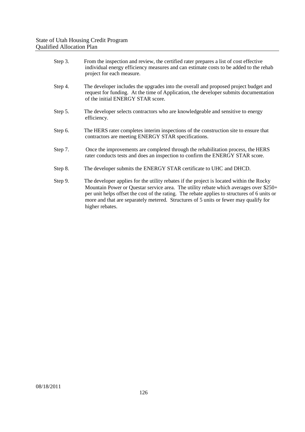| Step 3. | From the inspection and review, the certified rater prepares a list of cost effective<br>individual energy efficiency measures and can estimate costs to be added to the rehab<br>project for each measure.                                                                                                                                                                                  |
|---------|----------------------------------------------------------------------------------------------------------------------------------------------------------------------------------------------------------------------------------------------------------------------------------------------------------------------------------------------------------------------------------------------|
| Step 4. | The developer includes the upgrades into the overall and proposed project budget and<br>request for funding. At the time of Application, the developer submits documentation<br>of the initial ENERGY STAR score.                                                                                                                                                                            |
| Step 5. | The developer selects contractors who are knowledgeable and sensitive to energy<br>efficiency.                                                                                                                                                                                                                                                                                               |
| Step 6. | The HERS rater completes interim inspections of the construction site to ensure that<br>contractors are meeting ENERGY STAR specifications.                                                                                                                                                                                                                                                  |
| Step 7. | Once the improvements are completed through the rehabilitation process, the HERS<br>rater conducts tests and does an inspection to confirm the ENERGY STAR score.                                                                                                                                                                                                                            |
| Step 8. | The developer submits the ENERGY STAR certificate to UHC and DHCD.                                                                                                                                                                                                                                                                                                                           |
| Step 9. | The developer applies for the utility rebates if the project is located within the Rocky<br>Mountain Power or Questar service area. The utility rebate which averages over \$250+<br>per unit helps offset the cost of the rating. The rebate applies to structures of 6 units or<br>more and that are separately metered. Structures of 5 units or fewer may qualify for<br>higher rebates. |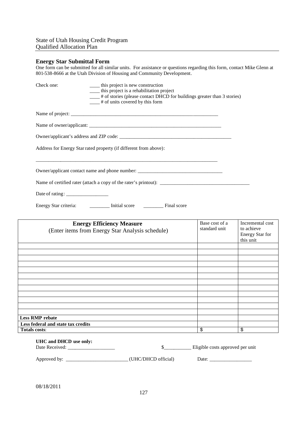## **Energy Star Submittal Form**

One form can be submitted for all similar units. For assistance or questions regarding this form, contact Mike Glenn at 801-538-8666 at the Utah Division of Housing and Community Development.

| Check one:                                              | _____ this project is new construction<br>____ this project is a rehabilitation project<br>___# of stories (please contact DHCD for buildings greater than 3 stories)<br>$\frac{1}{1}$ # of units covered by this form |                                  |                                                                       |
|---------------------------------------------------------|------------------------------------------------------------------------------------------------------------------------------------------------------------------------------------------------------------------------|----------------------------------|-----------------------------------------------------------------------|
|                                                         |                                                                                                                                                                                                                        |                                  |                                                                       |
|                                                         |                                                                                                                                                                                                                        |                                  |                                                                       |
|                                                         |                                                                                                                                                                                                                        |                                  |                                                                       |
|                                                         | Address for Energy Star rated property (if different from above):                                                                                                                                                      |                                  |                                                                       |
|                                                         | Owner/applicant contact name and phone number: _________________________________                                                                                                                                       |                                  |                                                                       |
|                                                         |                                                                                                                                                                                                                        |                                  |                                                                       |
|                                                         |                                                                                                                                                                                                                        |                                  |                                                                       |
|                                                         | Energy Star criteria: ___________ Initial score __________ Final score                                                                                                                                                 |                                  |                                                                       |
|                                                         | <b>Energy Efficiency Measure</b><br>(Enter items from Energy Star Analysis schedule)                                                                                                                                   | Base cost of a<br>standard unit  | Incremental cost<br>to achieve<br><b>Energy Star for</b><br>this unit |
|                                                         |                                                                                                                                                                                                                        |                                  |                                                                       |
|                                                         |                                                                                                                                                                                                                        |                                  |                                                                       |
|                                                         |                                                                                                                                                                                                                        |                                  |                                                                       |
|                                                         |                                                                                                                                                                                                                        |                                  |                                                                       |
|                                                         | ,我们也不会有什么。""我们的人,我们也不会有什么?""我们的人,我们也不会有什么?""我们的人,我们也不会有什么?""我们的人,我们也不会有什么?""我们的人                                                                                                                                       |                                  |                                                                       |
|                                                         |                                                                                                                                                                                                                        |                                  |                                                                       |
|                                                         |                                                                                                                                                                                                                        |                                  |                                                                       |
|                                                         |                                                                                                                                                                                                                        |                                  |                                                                       |
| <b>Less RMP rebate</b>                                  |                                                                                                                                                                                                                        |                                  |                                                                       |
| Less federal and state tax credits                      |                                                                                                                                                                                                                        |                                  |                                                                       |
| <b>Totals costs:</b>                                    |                                                                                                                                                                                                                        | \$                               | \$                                                                    |
| UHC and DHCD use only:<br>Date Received: ______________ | $\sim$                                                                                                                                                                                                                 | Eligible costs approved per unit |                                                                       |

Approved by: \_\_\_\_\_\_\_\_\_\_\_\_\_\_\_\_\_\_\_\_\_\_\_\_\_ (UHC/DHCD official) Date: \_\_\_\_\_\_\_\_\_\_\_\_\_\_\_\_\_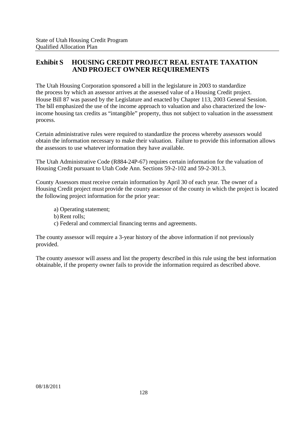## **Exhibit S HOUSING CREDIT PROJECT REAL ESTATE TAXATION AND PROJECT OWNER REQUIREMENTS**

The Utah Housing Corporation sponsored a bill in the legislature in 2003 to standardize the process by which an assessor arrives at the assessed value of a Housing Credit project. House Bill 87 was passed by the Legislature and enacted by Chapter 113, 2003 General Session. The bill emphasized the use of the income approach to valuation and also characterized the lowincome housing tax credits as "intangible" property, thus not subject to valuation in the assessment process.

Certain administrative rules were required to standardize the process whereby assessors would obtain the information necessary to make their valuation. Failure to provide this information allows the assessors to use whatever information they have available.

The Utah Administrative Code (R884-24P-67) requires certain information for the valuation of Housing Credit pursuant to Utah Code Ann. Sections 59-2-102 and 59-2-301.3.

County Assessors must receive certain information by April 30 of each year. The owner of a Housing Credit project must provide the county assessor of the county in which the project is located the following project information for the prior year:

a) Operating statement;

- b) Rent rolls;
- c) Federal and commercial financing terms and agreements.

The county assessor will require a 3-year history of the above information if not previously provided.

The county assessor will assess and list the property described in this rule using the best information obtainable, if the property owner fails to provide the information required as described above.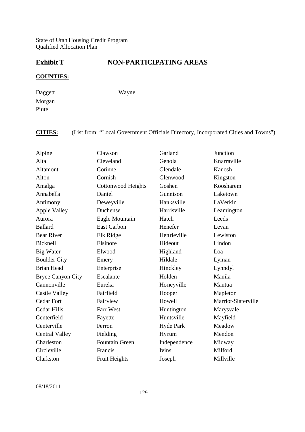# **Exhibit T NON-PARTICIPATING AREAS**

## **COUNTIES:**

Daggett Morgan Piute

Wayne

# **CITIES:** (List from: "Local Government Officials Directory, Incorporated Cities and Towns")

| Alpine                   | Clawson                   | Garland          | Junction            |
|--------------------------|---------------------------|------------------|---------------------|
| Alta                     | Cleveland                 | Genola           | Knarraville         |
|                          |                           |                  |                     |
| Altamont                 | Corinne                   | Glendale         | Kanosh              |
| Alton                    | Cornish                   | Glenwood         | Kingston            |
| Amalga                   | <b>Cottonwood Heights</b> | Goshen           | Koosharem           |
| Annabella                | Daniel                    | Gunnison         | Laketown            |
| Antimony                 | Deweyville                | Hanksville       | LaVerkin            |
| <b>Apple Valley</b>      | Duchense                  | Harrisville      | Leamington          |
| Aurora                   | Eagle Mountain            | Hatch            | Leeds               |
| <b>Ballard</b>           | <b>East Carbon</b>        | Henefer          | Levan               |
| <b>Bear River</b>        | Elk Ridge                 | Henrieville      | Lewiston            |
| Bicknell                 | Elsinore                  | Hideout          | Lindon              |
| <b>Big Water</b>         | Elwood                    | Highland         | Loa                 |
| <b>Boulder City</b>      | Emery                     | Hildale          | Lyman               |
| <b>Brian Head</b>        | Enterprise                | Hinckley         | Lynndyl             |
| <b>Bryce Canyon City</b> | Escalante                 | Holden           | Manila              |
| Cannonville              | Eureka                    | Honeyville       | Mantua              |
| <b>Castle Valley</b>     | Fairfield                 | Hooper           | Mapleton            |
| <b>Cedar Fort</b>        | Fairview                  | Howell           | Marriot-Slaterville |
| <b>Cedar Hills</b>       | Farr West                 | Huntington       | Marysvale           |
| Centerfield              | Fayette                   | Huntsville       | Mayfield            |
| Centerville              | Ferron                    | <b>Hyde Park</b> | Meadow              |
| <b>Central Valley</b>    | Fielding                  | Hyrum            | Mendon              |
| Charleston               | <b>Fountain Green</b>     | Independence     | Midway              |
| Circleville              | Francis                   | Ivins            | Milford             |
| Clarkston                | Fruit Heights             | Joseph           | Millville           |
|                          |                           |                  |                     |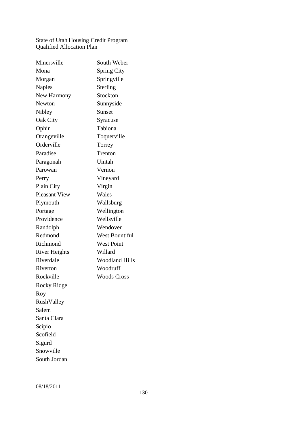#### State of Utah Housing Credit Program Qualified Allocation Plan

| Minersville          | South Weber           |
|----------------------|-----------------------|
| Mona                 | <b>Spring City</b>    |
| Morgan               | Springville           |
| <b>Naples</b>        | Sterling              |
| New Harmony          | Stockton              |
| Newton               | Sunnyside             |
| Nibley               | Sunset                |
| Oak City             | Syracuse              |
| Ophir                | Tabiona               |
| Orangeville          | Toquerville           |
| Orderville           | Torrey                |
| Paradise             | Trenton               |
| Paragonah            | Uintah                |
| Parowan              | Vernon                |
| Perry                | Vineyard              |
| Plain City           | Virgin                |
| <b>Pleasant View</b> | Wales                 |
| Plymouth             | Wallsburg             |
| Portage              | Wellington            |
| Providence           | Wellsville            |
| Randolph             | Wendover              |
| Redmond              | <b>West Bountiful</b> |
| Richmond             | <b>West Point</b>     |
| <b>River Heights</b> | Willard               |
| Riverdale            | <b>Woodland Hills</b> |
| Riverton             | Woodruff              |
| Rockville            | <b>Woods Cross</b>    |
| <b>Rocky Ridge</b>   |                       |
| Roy                  |                       |
| RushValley           |                       |
| Salem                |                       |
| Santa Clara          |                       |
| Scipio               |                       |
| Scofield             |                       |
| Sigurd               |                       |
| Snowville            |                       |
| South Jordan         |                       |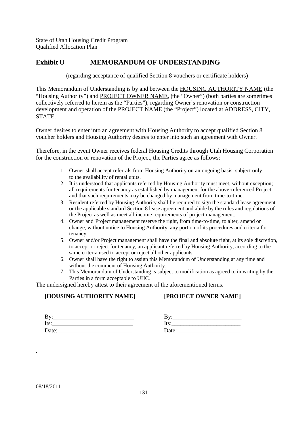## **Exhibit U MEMORANDUM OF UNDERSTANDING**

(regarding acceptance of qualified Section 8 vouchers or certificate holders)

This Memorandum of Understanding is by and between the HOUSING AUTHORITY NAME (the "Housing Authority") and PROJECT OWNER NAME, (the "Owner") (both parties are sometimes collectively referred to herein as the "Parties"), regarding Owner's renovation or construction development and operation of the PROJECT NAME (the "Project") located at ADDRESS, CITY, STATE.

Owner desires to enter into an agreement with Housing Authority to accept qualified Section 8 voucher holders and Housing Authority desires to enter into such an agreement with Owner.

Therefore, in the event Owner receives federal Housing Credits through Utah Housing Corporation for the construction or renovation of the Project, the Parties agree as follows:

- 1. Owner shall accept referrals from Housing Authority on an ongoing basis, subject only to the availability of rental units.
- 2. It is understood that applicants referred by Housing Authority must meet, without exception; all requirements for tenancy as established by management for the above-referenced Project and that such requirements may be changed by management from time-to-time.
- 3. Resident referred by Housing Authority shall be required to sign the standard lease agreement or the applicable standard Section 8 lease agreement and abide by the rules and regulations of the Project as well as meet all income requirements of project management.
- 4. Owner and Project management reserve the right, from time-to-time, to alter, amend or change, without notice to Housing Authority, any portion of its procedures and criteria for tenancy.
- 5. Owner and/or Project management shall have the final and absolute right, at its sole discretion, to accept or reject for tenancy, an applicant referred by Housing Authority, according to the same criteria used to accept or reject all other applicants.
- 6. Owner shall have the right to assign this Memorandum of Understanding at any time and without the comment of Housing Authority.
- 7. This Memorandum of Understanding is subject to modification as agreed to in writing by the Parties in a form acceptable to UHC.

The undersigned hereby attest to their agreement of the aforementioned terms.

## **[HOUSING AUTHORITY NAME]**

## **[PROJECT OWNER NAME]**

| By:   |  |  |  |
|-------|--|--|--|
| Its:  |  |  |  |
| Date: |  |  |  |

| By:   | the contract of the contract of the contract of |  |
|-------|-------------------------------------------------|--|
| Its:  |                                                 |  |
| Date: |                                                 |  |

.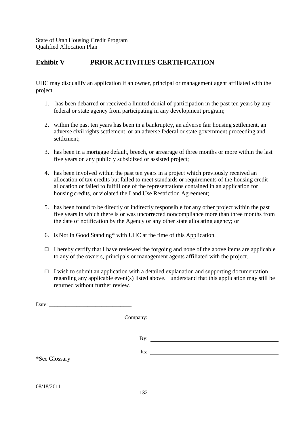# **Exhibit V PRIOR ACTIVITIES CERTIFICATION**

UHC may disqualify an application if an owner, principal or management agent affiliated with the project

- 1. has been debarred or received a limited denial of participation in the past ten years by any federal or state agency from participating in any development program;
- 2. within the past ten years has been in a bankruptcy, an adverse fair housing settlement, an adverse civil rights settlement, or an adverse federal or state government proceeding and settlement;
- 3. has been in a mortgage default, breech, or arrearage of three months or more within the last five years on any publicly subsidized or assisted project;
- 4. has been involved within the past ten years in a project which previously received an allocation of tax credits but failed to meet standards or requirements of the housing credit allocation or failed to fulfill one of the representations contained in an application for housing credits, or violated the Land Use Restriction Agreement;
- 5. has been found to be directly or indirectly responsible for any other project within the past five years in which there is or was uncorrected noncompliance more than three months from the date of notification by the Agency or any other state allocating agency; or
- 6. is Not in Good Standing\* with UHC at the time of this Application.
- $\Box$  I hereby certify that I have reviewed the forgoing and none of the above items are applicable to any of the owners, principals or management agents affiliated with the project.
- $\Box$  I wish to submit an application with a detailed explanation and supporting documentation regarding any applicable event(s) listed above. I understand that this application may still be returned without further review.

|               | By: $\qquad \qquad$ |
|---------------|---------------------|
|               | Its: $\qquad$       |
| *See Glossary |                     |
|               |                     |
|               |                     |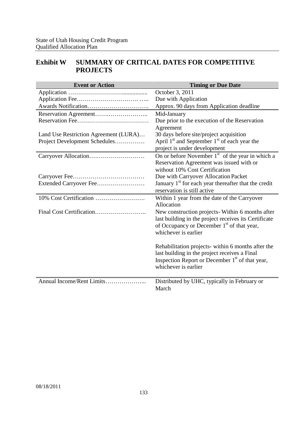# **Exhibit W SUMMARY OF CRITICAL DATES FOR COMPETITIVE PROJECTS**

| <b>Event or Action</b>                | <b>Timing or Due Date</b>                                                           |
|---------------------------------------|-------------------------------------------------------------------------------------|
|                                       | October 3, 2011                                                                     |
|                                       | Due with Application                                                                |
|                                       | Approx. 90 days from Application deadline                                           |
|                                       | Mid-January                                                                         |
|                                       | Due prior to the execution of the Reservation                                       |
|                                       | Agreement                                                                           |
| Land Use Restriction Agreement (LURA) | 30 days before site/project acquisition                                             |
| Project Development Schedules         | April $1st$ and September $1st$ of each year the                                    |
|                                       | project is under development                                                        |
|                                       | On or before November $1st$ of the year in which a                                  |
|                                       | Reservation Agreement was issued with or                                            |
|                                       | without 10% Cost Certification                                                      |
|                                       | Due with Carryover Allocation Packet                                                |
| Extended Carryover Fee                | January 1 <sup>st</sup> for each year thereafter that the credit                    |
|                                       | reservation is still active                                                         |
|                                       | Within 1 year from the date of the Carryover                                        |
|                                       | Allocation                                                                          |
|                                       | New construction projects-Within 6 months after                                     |
|                                       | last building in the project receives its Certificate                               |
|                                       | of Occupancy or December 1 <sup>st</sup> of that year,                              |
|                                       | whichever is earlier                                                                |
|                                       |                                                                                     |
|                                       | Rehabilitation projects- within 6 months after the                                  |
|                                       | last building in the project receives a Final                                       |
|                                       | Inspection Report or December 1 <sup>st</sup> of that year,<br>whichever is earlier |
|                                       |                                                                                     |
| Annual Income/Rent Limits             | Distributed by UHC, typically in February or                                        |
|                                       | March                                                                               |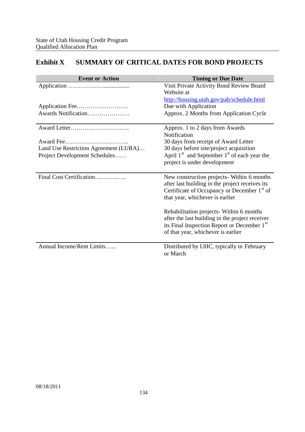# **Exhibit X SUMMARY OF CRITICAL DATES FOR BOND PROJECTS**

| <b>Event or Action</b>                | <b>Timing or Due Date</b>                                                                                                                                                                    |
|---------------------------------------|----------------------------------------------------------------------------------------------------------------------------------------------------------------------------------------------|
|                                       | Visit Private Activity Bond Review Board<br>Website at                                                                                                                                       |
|                                       | http://housing.utah.gov/pab/schedule.html                                                                                                                                                    |
|                                       | Due with Application                                                                                                                                                                         |
| Awards Notification                   | Approx. 2 Months from Application Cycle                                                                                                                                                      |
|                                       | Approx. 1 to 2 days from Awards                                                                                                                                                              |
|                                       | Notification                                                                                                                                                                                 |
| Award Fee                             | 30 days from receipt of Award Letter                                                                                                                                                         |
| Land Use Restriction Agreement (LURA) | 30 days before site/project acquisition                                                                                                                                                      |
| Project Development Schedules         | April $1st$ and September $1st$ of each year the                                                                                                                                             |
|                                       | project is under development                                                                                                                                                                 |
| Final Cost Certification              | New construction projects- Within 6 months<br>after last building in the project receives its<br>Certificate of Occupancy or December 1 <sup>st</sup> of<br>that year, whichever is earlier  |
|                                       | Rehabilitation projects- Within 6 months<br>after the last building in the project receiver<br>its Final Inspection Report or December 1 <sup>st</sup><br>of that year, whichever is earlier |
| Annual Income/Rent Limits             | Distributed by UHC, typically in February<br>or March                                                                                                                                        |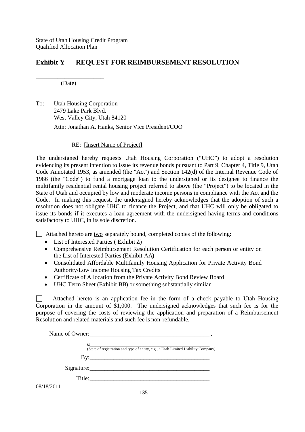## **Exhibit Y REQUEST FOR REIMBURSEMENT RESOLUTION**

\_\_\_\_\_\_\_\_\_\_\_\_\_\_\_\_\_\_\_ (Date)

To: Utah Housing Corporation 2479 Lake Park Blvd. West Valley City, Utah 84120 Attn: Jonathan A. Hanks, Senior Vice President/COO

### RE: [Insert Name of Project]

The undersigned hereby requests Utah Housing Corporation ("UHC") to adopt a resolution evidencing its present intention to issue its revenue bonds pursuant to Part 9, Chapter 4, Title 9, Utah Code Annotated 1953, as amended (the "Act") and Section 142(d) of the Internal Revenue Code of 1986 (the "Code") to fund a mortgage loan to the undersigned or its designee to finance the multifamily residential rental housing project referred to above (the "Project") to be located in the State of Utah and occupied by low and moderate income persons in compliance with the Act and the Code. In making this request, the undersigned hereby acknowledges that the adoption of such a resolution does not obligate UHC to finance the Project, and that UHC will only be obligated to issue its bonds if it executes a loan agreement with the undersigned having terms and conditions satisfactory to UHC, in its sole discretion.

 $\Box$  Attached hereto are two separately bound, completed copies of the following:

- List of Interested Parties (Exhibit Z)
- Comprehensive Reimbursement Resolution Certification for each person or entity on the List of Interested Parties (Exhibit AA)
- Consolidated Affordable Multifamily Housing Application for Private Activity Bond Authority/Low Income Housing Tax Credits
- Certificate of Allocation from the Private Activity Bond Review Board
- UHC Term Sheet (Exhibit BB) or something substantially similar

Attached hereto is an application fee in the form of a check payable to Utah Housing  $\mathbf{1}$ Corporation in the amount of \$1,000. The undersigned acknowledges that such fee is for the purpose of covering the costs of reviewing the application and preparation of a Reimbursement Resolution and related materials and such fee is non-refundable.

|            | (State of registration and type of entity, e.g., a Utah Limited Liability Company) |
|------------|------------------------------------------------------------------------------------|
|            |                                                                                    |
|            | Signature:                                                                         |
|            | Title:                                                                             |
| 08/18/2011 |                                                                                    |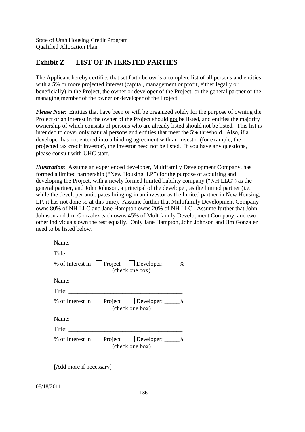# **Exhibit Z LIST OF INTERSTED PARTIES**

The Applicant hereby certifies that set forth below is a complete list of all persons and entities with a 5% or more projected interest (capital, management or profit, either legally or beneficially) in the Project, the owner or developer of the Project, or the general partner or the managing member of the owner or developer of the Project.

*Please Note*: Entities that have been or will be organized solely for the purpose of owning the Project or an interest in the owner of the Project should not be listed, and entities the majority ownership of which consists of persons who are already listed should not be listed. This list is intended to cover only natural persons and entities that meet the 5% threshold. Also, if a developer has not entered into a binding agreement with an investor (for example, the projected tax credit investor), the investor need not be listed. If you have any questions, please consult with UHC staff.

*Illustration*: Assume an experienced developer, Multifamily Development Company, has formed a limited partnership ("New Housing, LP") for the purpose of acquiring and developing the Project, with a newly formed limited liability company ("NH LLC") as the general partner, and John Johnson, a principal of the developer, as the limited partner (i.e. while the developer anticipates bringing in an investor as the limited partner in New Housing, LP, it has not done so at this time). Assume further that Multifamily Development Company owns 80% of NH LLC and Jane Hampton owns 20% of NH LLC. Assume further that John Johnson and Jim Gonzalez each owns 45% of Multifamily Development Company, and two other individuals own the rest equally. Only Jane Hampton, John Johnson and Jim Gonzalez need to be listed below.

| % of Interest in $\Box$ Project $\Box$ Developer: $\Box$ %<br>(check one box) |  |
|-------------------------------------------------------------------------------|--|
|                                                                               |  |
|                                                                               |  |
| % of Interest in Project Developer: _____%<br>(check one box)                 |  |
|                                                                               |  |
|                                                                               |  |
| % of Interest in Project Developer: _____%<br>(check one box)                 |  |

[Add more if necessary]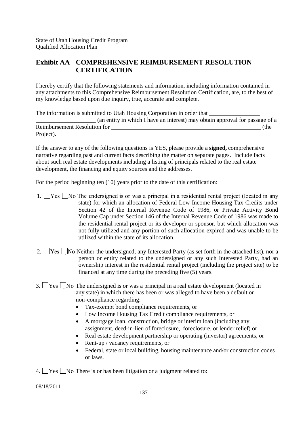# **Exhibit AA COMPREHENSIVE REIMBURSEMENT RESOLUTION CERTIFICATION**

I hereby certify that the following statements and information, including information contained in any attachments to this Comprehensive Reimbursement Resolution Certification, are, to the best of my knowledge based upon due inquiry, true, accurate and complete.

The information is submitted to Utah Housing Corporation in order that \_\_\_\_\_\_\_\_\_\_\_\_\_\_\_\_\_\_\_\_ (an entity in which I have an interest) may obtain approval for passage of a Reimbursement Resolution for  $($ the Project).

If the answer to any of the following questions is YES, please provide a **signed,** comprehensive narrative regarding past and current facts describing the matter on separate pages. Include facts about such real estate developments including a listing of principals related to the real estate development, the financing and equity sources and the addresses.

For the period beginning ten (10) years prior to the date of this certification:

- 1.  $\Box$  Yes  $\Box$  No The undersigned is or was a principal in a residential rental project (located in any state) for which an allocation of Federal Low Income Housing Tax Credits under Section 42 of the Internal Revenue Code of 1986, or Private Activity Bond Volume Cap under Section 146 of the Internal Revenue Code of 1986 was made to the residential rental project or its developer or sponsor, but which allocation was not fully utilized and any portion of such allocation expired and was unable to be utilized within the state of its allocation.
- 2.  $\Box$  Yes  $\Box$  No Neither the undersigned, any Interested Party (as set forth in the attached list), nor a person or entity related to the undersigned or any such Interested Party, had an ownership interest in the residential rental project (including the project site) to be financed at any time during the preceding five (5) years.
- 3. Yes No The undersigned is or was a principal in a real estate development (located in any state) in which there has been or was alleged to have been a default or non-compliance regarding:
	- Tax-exempt bond compliance requirements, or
	- Low Income Housing Tax Credit compliance requirements, or
	- A mortgage loan, construction, bridge or interim loan (including any assignment, deed-in-lieu of foreclosure, foreclosure, or lender relief) or
	- Real estate development partnership or operating (investor) agreements, or
	- Rent-up / vacancy requirements, or
	- Federal, state or local building, housing maintenance and/or construction codes or laws.
- 4.  $\Box$  Yes  $\Box$  No There is or has been litigation or a judgment related to: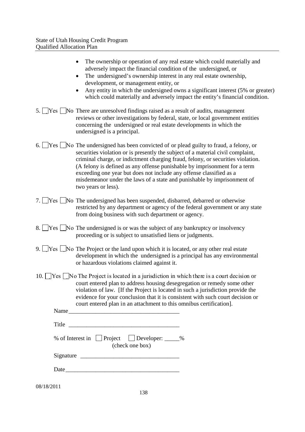| • The ownership or operation of any real estate which could materially and                   |
|----------------------------------------------------------------------------------------------|
| adversely impact the financial condition of the undersigned, or                              |
| • The undersigned's ownership interest in any real estate ownership,                         |
| development, or management entity, or                                                        |
| • Any entity in which the undersigned owns a significant interest $(5\% \text{ or greater})$ |
| which could materially and adversely impact the entity's financial condition.                |

- 5.  $\Box$  Yes  $\Box$  No There are unresolved findings raised as a result of audits, management reviews or other investigations by federal, state, or local government entities concerning the undersigned or real estate developments in which the undersigned is a principal.
- 6. Yes No The undersigned has been convicted of or plead guilty to fraud, a felony, or securities violation or is presently the subject of a material civil complaint, criminal charge, or indictment charging fraud, felony, or securities violation. (A felony is defined as any offense punishable by imprisonment for a term exceeding one year but does not include any offense classified as a misdemeanor under the laws of a state and punishable by imprisonment of two years or less).
- 7. Yes No The undersigned has been suspended, disbarred, debarred or otherwise restricted by any department or agency of the federal government or any state from doing business with such department or agency.
- 8. Yes No The undersigned is or was the subject of any bankruptcy or insolvency proceeding or is subject to unsatisfied liens or judgments.
- 9. Yes No The Project or the land upon which it is located, or any other real estate development in which the undersigned is a principal has any environmental or hazardous violations claimed against it.
- 10.  $\Box$  Yes  $\Box$  No The Project is located in a jurisdiction in which there is a court decision or court entered plan to address housing desegregation or remedy some other violation of law. [If the Project is located in such a jurisdiction provide the evidence for your conclusion that it is consistent with such court decision or court entered plan in an attachment to this omnibus certification].

| Name                                         |    |
|----------------------------------------------|----|
| Title                                        |    |
| % of Interest in Forect<br>$\Box$ Developer: | Ο, |

| $\mu$ $\Box$ $\mu$ $\mu$<br>$\Box$ Developei. |
|-----------------------------------------------|
| (check one box)                               |

| Signature |  |
|-----------|--|
|           |  |

Date\_\_\_\_\_\_\_\_\_\_\_\_\_\_\_\_\_\_\_\_\_\_\_\_\_\_\_\_\_\_\_\_\_\_\_\_\_\_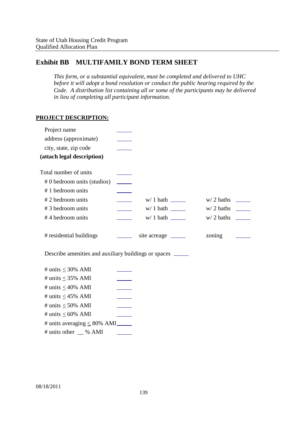# **Exhibit BB MULTIFAMILY BOND TERM SHEET**

*This form, or a substantial equivalent, must be completed and delivered to UHC before it will adopt a bond resolution or conduct the public hearing required by the Code. A distribution list containing all or some of the participants may be delivered in lieu of completing all participant information.*

## **PROJECT DESCRIPTION:**

| Project name                                                 |                          |                       |        |  |
|--------------------------------------------------------------|--------------------------|-----------------------|--------|--|
| address (approximate)                                        |                          |                       |        |  |
| city, state, zip code                                        |                          |                       |        |  |
| (attach legal description)                                   |                          |                       |        |  |
| Total number of units                                        |                          |                       |        |  |
| # 0 bedroom units (studios)                                  |                          |                       |        |  |
| #1 bedroom units                                             |                          |                       |        |  |
| #2 bedroom units                                             |                          |                       |        |  |
| #3 bedroom units                                             | $\overline{\phantom{a}}$ |                       |        |  |
| #4 bedroom units                                             |                          |                       |        |  |
| # residential buildings                                      |                          | site acreage ________ | zoning |  |
| Describe amenities and auxiliary buildings or spaces _______ |                          |                       |        |  |
| # units $\leq$ 30% AMI                                       |                          |                       |        |  |
| # units $\leq$ 35% AMI                                       |                          |                       |        |  |
| # units $\leq$ 40% AMI                                       |                          |                       |        |  |
| # units $\leq$ 45% AMI                                       |                          |                       |        |  |
| # units $\leq 50\%$ AMI                                      |                          |                       |        |  |
| # units $\leq 60\%$ AMI                                      |                          |                       |        |  |
| # units averaging $\leq 80\%$ AMI                            |                          |                       |        |  |
| # units other __ % AMI                                       |                          |                       |        |  |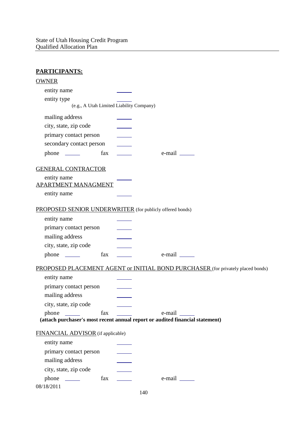| <b>PARTICIPANTS:</b>                                                          |     |                                                                                 |
|-------------------------------------------------------------------------------|-----|---------------------------------------------------------------------------------|
| <b>OWNER</b>                                                                  |     |                                                                                 |
| entity name                                                                   |     |                                                                                 |
| entity type                                                                   |     |                                                                                 |
| (e.g., A Utah Limited Liability Company)                                      |     |                                                                                 |
| mailing address                                                               |     |                                                                                 |
| city, state, zip code                                                         |     |                                                                                 |
| primary contact person                                                        |     |                                                                                 |
| secondary contact person                                                      |     |                                                                                 |
| fax<br>$phone \_\_$                                                           |     | $e$ -mail $\_\_\_\_\_\_\_\_\_\$                                                 |
| <b>GENERAL CONTRACTOR</b>                                                     |     |                                                                                 |
| entity name                                                                   |     |                                                                                 |
| <b>APARTMENT MANAGMENT</b>                                                    |     |                                                                                 |
| entity name                                                                   |     |                                                                                 |
| PROPOSED SENIOR UNDERWRITER (for publicly offered bonds)                      |     |                                                                                 |
| entity name                                                                   |     |                                                                                 |
| primary contact person                                                        |     |                                                                                 |
| mailing address                                                               |     |                                                                                 |
| city, state, zip code                                                         |     |                                                                                 |
| fax                                                                           |     |                                                                                 |
|                                                                               |     | PROPOSED PLACEMENT AGENT or INITIAL BOND PURCHASER (for privately placed bonds) |
| entity name                                                                   |     |                                                                                 |
| primary contact person                                                        |     |                                                                                 |
| mailing address                                                               |     |                                                                                 |
| city, state, zip code                                                         |     |                                                                                 |
| fax<br>phone<br><b>Contract Contract</b>                                      |     | e-mail                                                                          |
| (attach purchaser's most recent annual report or audited financial statement) |     |                                                                                 |
| FINANCIAL ADVISOR (if applicable)                                             |     |                                                                                 |
| entity name                                                                   |     |                                                                                 |
| primary contact person                                                        |     |                                                                                 |
| mailing address                                                               |     |                                                                                 |
| city, state, zip code                                                         |     |                                                                                 |
| $phone \_\_$<br>fax                                                           |     |                                                                                 |
| 08/18/2011                                                                    |     |                                                                                 |
|                                                                               | 140 |                                                                                 |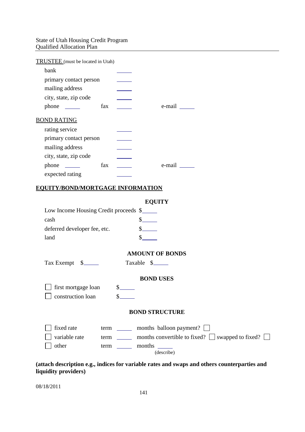#### State of Utah Housing Credit Program Qualified Allocation Plan <u> 1980 - Johann Barbara, martxa a</u>

| TRUSTEE (must be located in Utah) |     |                    |
|-----------------------------------|-----|--------------------|
| bank                              |     |                    |
| primary contact person            |     |                    |
| mailing address                   |     |                    |
| city, state, zip code             |     |                    |
| $phone \_\_$                      | fax | e-mail             |
| <b>BOND RATING</b>                |     |                    |
| rating service                    |     |                    |
| primary contact person            |     |                    |
| mailing address                   |     |                    |
| city, state, zip code             |     |                    |
| $phone \_\_$                      | fax | e-mail <u>____</u> |
| expected rating                   |     |                    |
| .                                 |     |                    |

#### **EQUITY/BOND/MORTGAGE INFORMATION**

| EOUIT |
|-------|
|-------|

| Low Income Housing Credit proceeds \$ |  |
|---------------------------------------|--|
| cash                                  |  |
| deferred developer fee, etc.          |  |
| land                                  |  |

#### **AMOUNT OF BONDS**

Tax Exempt \$\_\_\_\_\_\_\_ Taxable \$\_\_\_\_\_

#### **BOND USES**

first mortgage loan \$ construction loan \$

#### **BOND STRUCTURE**

| $\vert$ fixed rate | term | months balloon payment?                                      |
|--------------------|------|--------------------------------------------------------------|
| variable rate      | term | months convertible to fixed? $\Box$ swapped to fixed? $\Box$ |
| other              | term | months                                                       |
|                    |      | (describe)                                                   |

**(attach description e.g., indices for variable rates and swaps and others counterparties and liquidity providers)**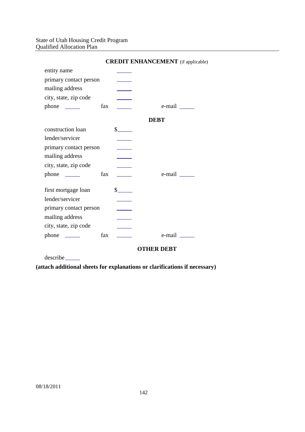#### State of Utah Housing Credit Program Qualified Allocation Plan

|                        |     |                                                                                                                                                                                                                                                                                                                                                                              | <b>CREDIT ENHANCEMENT</b> (if applicable |
|------------------------|-----|------------------------------------------------------------------------------------------------------------------------------------------------------------------------------------------------------------------------------------------------------------------------------------------------------------------------------------------------------------------------------|------------------------------------------|
| entity name            |     |                                                                                                                                                                                                                                                                                                                                                                              |                                          |
| primary contact person |     |                                                                                                                                                                                                                                                                                                                                                                              |                                          |
| mailing address        |     |                                                                                                                                                                                                                                                                                                                                                                              |                                          |
| city, state, zip code  |     |                                                                                                                                                                                                                                                                                                                                                                              |                                          |
| $phone \_\_$           | fax |                                                                                                                                                                                                                                                                                                                                                                              | e-mail ______                            |
|                        |     |                                                                                                                                                                                                                                                                                                                                                                              | <b>DEBT</b>                              |
| construction loan      |     | $\frac{\S_{\frac{1}{2}}}{\S_{\frac{1}{2}}}{\S_{\frac{1}{2}}}{\S_{\frac{1}{2}}}{\S_{\frac{1}{2}}}{\S_{\frac{1}{2}}}{\S_{\frac{1}{2}}}{\S_{\frac{1}{2}}}{\S_{\frac{1}{2}}}{\S_{\frac{1}{2}}}{\S_{\frac{1}{2}}}{\S_{\frac{1}{2}}}{\S_{\frac{1}{2}}}{\S_{\frac{1}{2}}}{\S_{\frac{1}{2}}}{\S_{\frac{1}{2}}}{\S_{\frac{1}{2}}}{\S_{\frac{1}{2}}}{\S_{\frac{1}{2}}}{\S_{\frac{1}{2$ |                                          |
| lender/servicer        |     |                                                                                                                                                                                                                                                                                                                                                                              |                                          |
| primary contact person |     |                                                                                                                                                                                                                                                                                                                                                                              |                                          |
| mailing address        |     |                                                                                                                                                                                                                                                                                                                                                                              |                                          |
| city, state, zip code  |     |                                                                                                                                                                                                                                                                                                                                                                              |                                          |
| $phone \_\_$           | fax |                                                                                                                                                                                                                                                                                                                                                                              | $e$ -mail $\_\_\_\_\$                    |
| first mortgage loan    |     | $s$ <sub>_____</sub>                                                                                                                                                                                                                                                                                                                                                         |                                          |
| lender/servicer        |     |                                                                                                                                                                                                                                                                                                                                                                              |                                          |
| primary contact person |     |                                                                                                                                                                                                                                                                                                                                                                              |                                          |
| mailing address        |     |                                                                                                                                                                                                                                                                                                                                                                              |                                          |
| city, state, zip code  |     |                                                                                                                                                                                                                                                                                                                                                                              |                                          |
|                        | fax |                                                                                                                                                                                                                                                                                                                                                                              | e-mail ______                            |
|                        |     |                                                                                                                                                                                                                                                                                                                                                                              | <b>OTHER DEBT</b>                        |

**CREDIT ENHANCEMENT** (if applicable)

describe

**(attach additional sheets for explanations or clarifications if necessary)**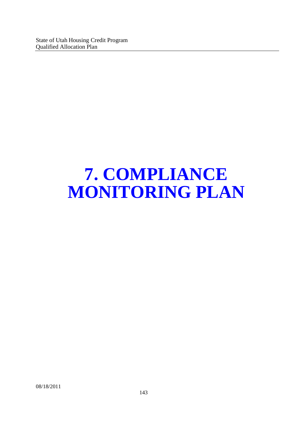## **7. COMPLIANCE MONITORING PLAN**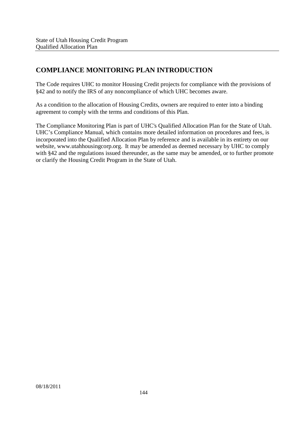## **COMPLIANCE MONITORING PLAN INTRODUCTION**

The Code requires UHC to monitor Housing Credit projects for compliance with the provisions of §42 and to notify the IRS of any noncompliance of which UHC becomes aware.

As a condition to the allocation of Housing Credits, owners are required to enter into a binding agreement to comply with the terms and conditions of this Plan.

The Compliance Monitoring Plan is part of UHC's Qualified Allocation Plan for the State of Utah. UHC's Compliance Manual, which contains more detailed information on procedures and fees, is incorporated into the Qualified Allocation Plan by reference and is available in its entirety on our website, www.utahhousingcorp.org. It may be amended as deemed necessary by UHC to comply with §42 and the regulations issued thereunder, as the same may be amended, or to further promote or clarify the Housing Credit Program in the State of Utah.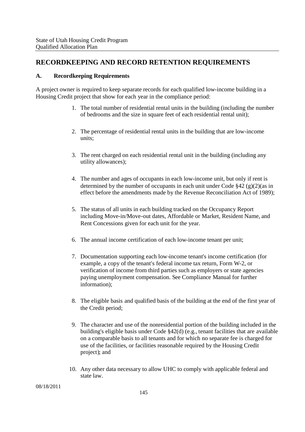### **RECORDKEEPING AND RECORD RETENTION REQUIREMENTS**

#### **A. Recordkeeping Requirements**

A project owner is required to keep separate records for each qualified low-income building in a Housing Credit project that show for each year in the compliance period:

- 1. The total number of residential rental units in the building (including the number of bedrooms and the size in square feet of each residential rental unit);
- 2. The percentage of residential rental units in the building that are low-income units;
- 3. The rent charged on each residential rental unit in the building (including any utility allowances);
- 4. The number and ages of occupants in each low-income unit, but only if rent is determined by the number of occupants in each unit under Code  $\S 42$  (g)(2)(as in effect before the amendments made by the Revenue Reconciliation Act of 1989);
- 5. The status of all units in each building tracked on the Occupancy Report including Move-in/Move-out dates, Affordable or Market, Resident Name, and Rent Concessions given for each unit for the year.
- 6. The annual income certification of each low-income tenant per unit;
- 7. Documentation supporting each low-income tenant's income certification (for example, a copy of the tenant's federal income tax return, Form W-2, or verification of income from third parties such as employers or state agencies paying unemployment compensation. See Compliance Manual for further information);
- 8. The eligible basis and qualified basis of the building at the end of the first year of the Credit period;
- 9. The character and use of the nonresidential portion of the building included in the building's eligible basis under Code §42(d) (e.g., tenant facilities that are available on a comparable basis to all tenants and for which no separate fee is charged for use of the facilities, or facilities reasonable required by the Housing Credit project); and
- 10. Any other data necessary to allow UHC to comply with applicable federal and state law.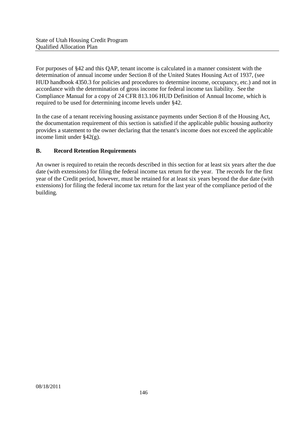For purposes of §42 and this QAP, tenant income is calculated in a manner consistent with the determination of annual income under Section 8 of the United States Housing Act of 1937, (see HUD handbook 4350.3 for policies and procedures to determine income, occupancy, etc.) and not in accordance with the determination of gross income for federal income tax liability. See the Compliance Manual for a copy of 24 CFR 813.106 HUD Definition of Annual Income, which is required to be used for determining income levels under §42.

In the case of a tenant receiving housing assistance payments under Section 8 of the Housing Act, the documentation requirement of this section is satisfied if the applicable public housing authority provides a statement to the owner declaring that the tenant's income does not exceed the applicable income limit under §42(g).

#### **B. Record Retention Requirements**

An owner is required to retain the records described in this section for at least six years after the due date (with extensions) for filing the federal income tax return for the year. The records for the first year of the Credit period, however, must be retained for at least six years beyond the due date (with extensions) for filing the federal income tax return for the last year of the compliance period of the building.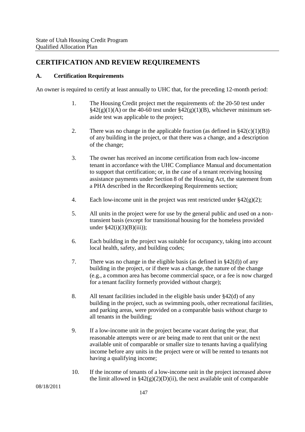### **CERTIFICATION AND REVIEW REQUIREMENTS**

#### **A. Certification Requirements**

An owner is required to certify at least annually to UHC that, for the preceding 12-month period:

- 1. The Housing Credit project met the requirements of: the 20-50 test under  $\S42(g)(1)(A)$  or the  $\overline{40-60}$  test under  $\S42(g)(1)(B)$ , whichever minimum setaside test was applicable to the project;
- 2. There was no change in the applicable fraction (as defined in  $\S42(c)(1)(B)$ ) of any building in the project, or that there was a change, and a description of the change;
- 3. The owner has received an income certification from each low-income tenant in accordance with the UHC Compliance Manual and documentation to support that certification; or, in the case of a tenant receiving housing assistance payments under Section 8 of the Housing Act, the statement from a PHA described in the Recordkeeping Requirements section;
- 4. Each low-income unit in the project was rent restricted under  $\S 42(g)(2)$ ;
- 5. All units in the project were for use by the general public and used on a nontransient basis (except for transitional housing for the homeless provided under  $$42(i)(3)(B)(iii)$ ;
- 6. Each building in the project was suitable for occupancy, taking into account local health, safety, and building codes;
- 7. There was no change in the eligible basis (as defined in §42(d)) of any building in the project, or if there was a change, the nature of the change (e.g., a common area has become commercial space, or a fee is now charged for a tenant facility formerly provided without charge);
- 8. All tenant facilities included in the eligible basis under §42(d) of any building in the project, such as swimming pools, other recreational facilities, and parking areas, were provided on a comparable basis without charge to all tenants in the building;
- 9. If a low-income unit in the project became vacant during the year, that reasonable attempts were or are being made to rent that unit or the next available unit of comparable or smaller size to tenants having a qualifying income before any units in the project were or will be rented to tenants not having a qualifying income;
- 10. If the income of tenants of a low-income unit in the project increased above the limit allowed in  $\S42(g)(2)(D)(ii)$ , the next available unit of comparable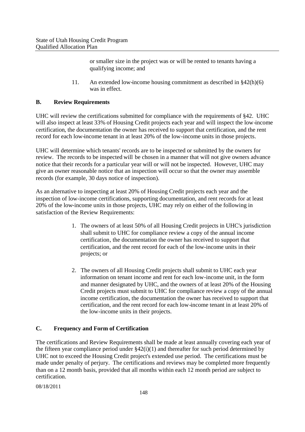or smaller size in the project was or will be rented to tenants having a qualifying income; and

11. An extended low-income housing commitment as described in §42(h)(6) was in effect.

#### **B. Review Requirements**

UHC will review the certifications submitted for compliance with the requirements of §42. UHC will also inspect at least 33% of Housing Credit projects each year and will inspect the low-income certification, the documentation the owner has received to support that certification, and the rent record for each low-income tenant in at least 20% of the low-income units in those projects.

UHC will determine which tenants' records are to be inspected or submitted by the owners for review. The records to be inspected will be chosen in a manner that will not give owners advance notice that their records for a particular year will or will not be inspected. However, UHC may give an owner reasonable notice that an inspection will occur so that the owner may assemble records (for example, 30 days notice of inspection).

As an alternative to inspecting at least 20% of Housing Credit projects each year and the inspection of low-income certifications, supporting documentation, and rent records for at least 20% of the low-income units in those projects, UHC may rely on either of the following in satisfaction of the Review Requirements:

- 1. The owners of at least 50% of all Housing Credit projects in UHC's jurisdiction shall submit to UHC for compliance review a copy of the annual income certification, the documentation the owner has received to support that certification, and the rent record for each of the low-income units in their projects; or
- 2. The owners of all Housing Credit projects shall submit to UHC each year information on tenant income and rent for each low-income unit, in the form and manner designated by UHC, and the owners of at least 20% of the Housing Credit projects must submit to UHC for compliance review a copy of the annual income certification, the documentation the owner has received to support that certification, and the rent record for each low-income tenant in at least 20% of the low-income units in their projects.

#### **C. Frequency and Form of Certification**

The certifications and Review Requirements shall be made at least annually covering each year of the fifteen year compliance period under §42(i)(1) and thereafter for such period determined by UHC not to exceed the Housing Credit project's extended use period. The certifications must be made under penalty of perjury. The certifications and reviews may be completed more frequently than on a 12 month basis, provided that all months within each 12 month period are subject to certification.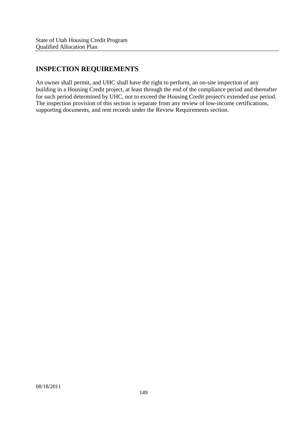## **INSPECTION REQUIREMENTS**

An owner shall permit, and UHC shall have the right to perform, an on-site inspection of any building in a Housing Credit project, at least through the end of the compliance period and thereafter for such period determined by UHC, not to exceed the Housing Credit project's extended use period. The inspection provision of this section is separate from any review of low-income certifications, supporting documents, and rent records under the Review Requirements section.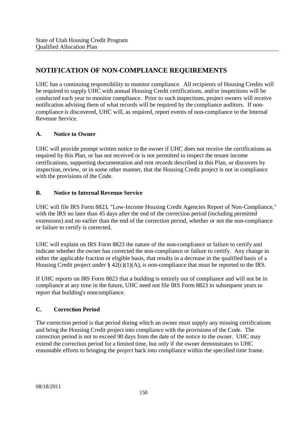## **NOTIFICATION OF NON-COMPLIANCE REQUIREMENTS**

UHC has a continuing responsibility to monitor compliance. All recipients of Housing Credits will be required to supply UHC with annual Housing Credit certifications, and/or inspections will be conducted each year to monitor compliance. Prior to such inspections, project owners will receive notification advising them of what records will be required by the compliance auditors. If noncompliance is discovered, UHC will, as required, report events of non-compliance to the Internal Revenue Service.

#### **A. Notice to Owner**

UHC will provide prompt written notice to the owner if UHC does not receive the certifications as required by this Plan, or has not received or is not permitted to inspect the tenant income certifications, supporting documentation and rent records described in this Plan, or discovers by inspection, review, or in some other manner, that the Housing Credit project is not in compliance with the provisions of the Code.

#### **B. Notice to Internal Revenue Service**

UHC will file IRS Form 8823, "Low-Income Housing Credit Agencies Report of Non-Compliance," with the IRS no later than 45 days after the end of the correction period (including permitted extensions) and no earlier than the end of the correction period, whether or not the non-compliance or failure to certify is corrected.

UHC will explain on IRS Form 8823 the nature of the non-compliance or failure to certify and indicate whether the owner has corrected the non-compliance or failure to certify. Any change in either the applicable fraction or eligible basis, that results in a decrease in the qualified basis of a Housing Credit project under  $\S 42(c)(1)(A)$ , is non-compliance that must be reported to the IRS.

If UHC reports on IRS Form 8823 that a building is entirely out of compliance and will not be in compliance at any time in the future, UHC need not file IRS Form 8823 in subsequent years to report that building's noncompliance.

#### **C. Correction Period**

The correction period is that period during which an owner must supply any missing certifications and bring the Housing Credit project into compliance with the provisions of the Code. The correction period is not to exceed 90 days from the date of the notice to the owner. UHC may extend the correction period for a limited time, but only if the owner demonstrates to UHC reasonable efforts to bringing the project back into compliance within the specified time frame.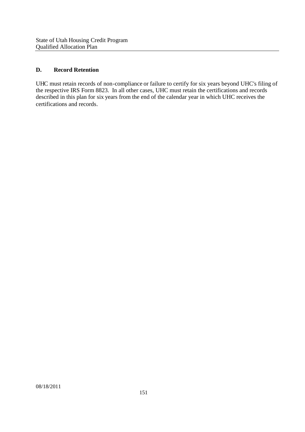#### **D. Record Retention**

UHC must retain records of non-compliance or failure to certify for six years beyond UHC's filing of the respective IRS Form 8823. In all other cases, UHC must retain the certifications and records described in this plan for six years from the end of the calendar year in which UHC receives the certifications and records.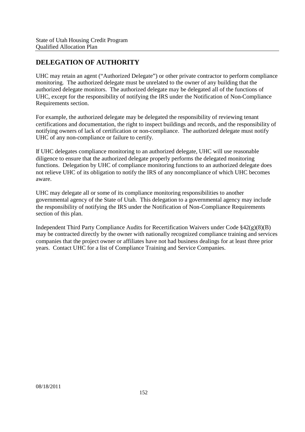## **DELEGATION OF AUTHORITY**

UHC may retain an agent ("Authorized Delegate") or other private contractor to perform compliance monitoring. The authorized delegate must be unrelated to the owner of any building that the authorized delegate monitors. The authorized delegate may be delegated all of the functions of UHC, except for the responsibility of notifying the IRS under the Notification of Non-Compliance Requirements section.

For example, the authorized delegate may be delegated the responsibility of reviewing tenant certifications and documentation, the right to inspect buildings and records, and the responsibility of notifying owners of lack of certification or non-compliance. The authorized delegate must notify UHC of any non-compliance or failure to certify.

If UHC delegates compliance monitoring to an authorized delegate, UHC will use reasonable diligence to ensure that the authorized delegate properly performs the delegated monitoring functions. Delegation by UHC of compliance monitoring functions to an authorized delegate does not relieve UHC of its obligation to notify the IRS of any noncompliance of which UHC becomes aware.

UHC may delegate all or some of its compliance monitoring responsibilities to another governmental agency of the State of Utah. This delegation to a governmental agency may include the responsibility of notifying the IRS under the Notification of Non-Compliance Requirements section of this plan.

Independent Third Party Compliance Audits for Recertification Waivers under Code §42(g)(8)(B) may be contracted directly by the owner with nationally recognized compliance training and services companies that the project owner or affiliates have not had business dealings for at least three prior years. Contact UHC for a list of Compliance Training and Service Companies.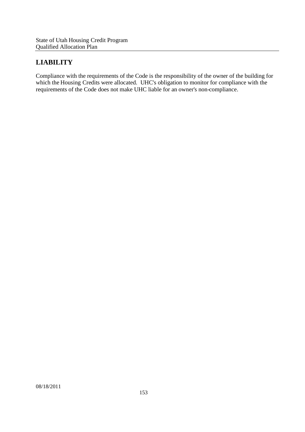## **LIABILITY**

Compliance with the requirements of the Code is the responsibility of the owner of the building for which the Housing Credits were allocated. UHC's obligation to monitor for compliance with the requirements of the Code does not make UHC liable for an owner's non-compliance.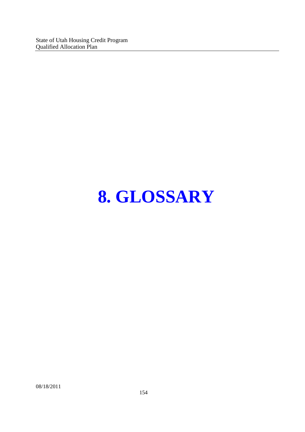State of Utah Housing Credit Program Qualified Allocation Plan

# **8. GLOSSARY**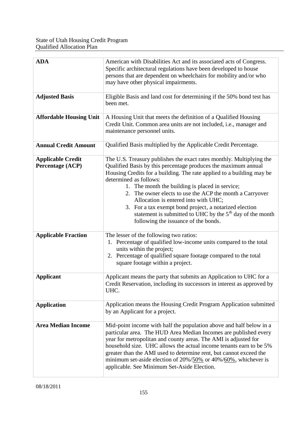| <b>ADA</b>                                   | American with Disabilities Act and its associated acts of Congress.<br>Specific architectural regulations have been developed to house<br>persons that are dependent on wheelchairs for mobility and/or who<br>may have other physical impairments.                                                                                                                                                                                                                                                                                                               |
|----------------------------------------------|-------------------------------------------------------------------------------------------------------------------------------------------------------------------------------------------------------------------------------------------------------------------------------------------------------------------------------------------------------------------------------------------------------------------------------------------------------------------------------------------------------------------------------------------------------------------|
| <b>Adjusted Basis</b>                        | Eligible Basis and land cost for determining if the 50% bond test has<br>been met.                                                                                                                                                                                                                                                                                                                                                                                                                                                                                |
| <b>Affordable Housing Unit</b>               | A Housing Unit that meets the definition of a Qualified Housing<br>Credit Unit. Common area units are not included, i.e., manager and<br>maintenance personnel units.                                                                                                                                                                                                                                                                                                                                                                                             |
| <b>Annual Credit Amount</b>                  | Qualified Basis multiplied by the Applicable Credit Percentage.                                                                                                                                                                                                                                                                                                                                                                                                                                                                                                   |
| <b>Applicable Credit</b><br>Percentage (ACP) | The U.S. Treasury publishes the exact rates monthly. Multiplying the<br>Qualified Basis by this percentage produces the maximum annual<br>Housing Credits for a building. The rate applied to a building may be<br>determined as follows:<br>1. The month the building is placed in service;<br>2. The owner elects to use the ACP the month a Carryover<br>Allocation is entered into with UHC;<br>3. For a tax exempt bond project, a notarized election<br>statement is submitted to UHC by the $5th$ day of the month<br>following the issuance of the bonds. |
| <b>Applicable Fraction</b>                   | The lesser of the following two ratios:<br>1. Percentage of qualified low-income units compared to the total<br>units within the project;<br>2. Percentage of qualified square footage compared to the total<br>square footage within a project.                                                                                                                                                                                                                                                                                                                  |
| <b>Applicant</b>                             | Applicant means the party that submits an Application to UHC for a<br>Credit Reservation, including its successors in interest as approved by<br>UHC.                                                                                                                                                                                                                                                                                                                                                                                                             |
| <b>Application</b>                           | Application means the Housing Credit Program Application submitted<br>by an Applicant for a project.                                                                                                                                                                                                                                                                                                                                                                                                                                                              |
| <b>Area Median Income</b>                    | Mid-point income with half the population above and half below in a<br>particular area. The HUD Area Median Incomes are published every<br>year for metropolitan and county areas. The AMI is adjusted for<br>household size. UHC allows the actual income tenants earn to be 5%<br>greater than the AMI used to determine rent, but cannot exceed the<br>minimum set-aside election of 20%/50% or 40%/60%, whichever is<br>applicable. See Minimum Set-Aside Election.                                                                                           |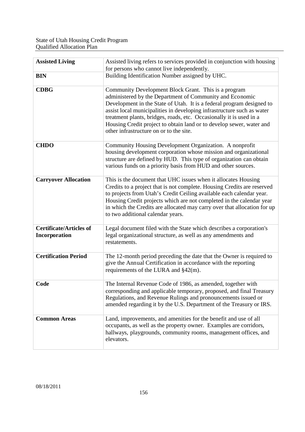| <b>Assisted Living</b>                          | Assisted living refers to services provided in conjunction with housing<br>for persons who cannot live independently.                                                                                                                                                                                                                                                                                                                                         |
|-------------------------------------------------|---------------------------------------------------------------------------------------------------------------------------------------------------------------------------------------------------------------------------------------------------------------------------------------------------------------------------------------------------------------------------------------------------------------------------------------------------------------|
| <b>BIN</b>                                      | Building Identification Number assigned by UHC.                                                                                                                                                                                                                                                                                                                                                                                                               |
| <b>CDBG</b>                                     | Community Development Block Grant. This is a program<br>administered by the Department of Community and Economic<br>Development in the State of Utah. It is a federal program designed to<br>assist local municipalities in developing infrastructure such as water<br>treatment plants, bridges, roads, etc. Occasionally it is used in a<br>Housing Credit project to obtain land or to develop sewer, water and<br>other infrastructure on or to the site. |
| <b>CHDO</b>                                     | Community Housing Development Organization. A nonprofit<br>housing development corporation whose mission and organizational<br>structure are defined by HUD. This type of organization can obtain<br>various funds on a priority basis from HUD and other sources.                                                                                                                                                                                            |
| <b>Carryover Allocation</b>                     | This is the document that UHC issues when it allocates Housing<br>Credits to a project that is not complete. Housing Credits are reserved<br>to projects from Utah's Credit Ceiling available each calendar year.<br>Housing Credit projects which are not completed in the calendar year<br>in which the Credits are allocated may carry over that allocation for up<br>to two additional calendar years.                                                    |
| <b>Certificate/Articles of</b><br>Incorporation | Legal document filed with the State which describes a corporation's<br>legal organizational structure, as well as any amendments and<br>restatements.                                                                                                                                                                                                                                                                                                         |
| <b>Certification Period</b>                     | The 12-month period preceding the date that the Owner is required to<br>give the Annual Certification in accordance with the reporting<br>requirements of the LURA and $\S42(m)$ .                                                                                                                                                                                                                                                                            |
| Code                                            | The Internal Revenue Code of 1986, as amended, together with<br>corresponding and applicable temporary, proposed, and final Treasury<br>Regulations, and Revenue Rulings and pronouncements issued or<br>amended regarding it by the U.S. Department of the Treasury or IRS.                                                                                                                                                                                  |
| <b>Common Areas</b>                             | Land, improvements, and amenities for the benefit and use of all<br>occupants, as well as the property owner. Examples are corridors,<br>hallways, playgrounds, community rooms, management offices, and<br>elevators.                                                                                                                                                                                                                                        |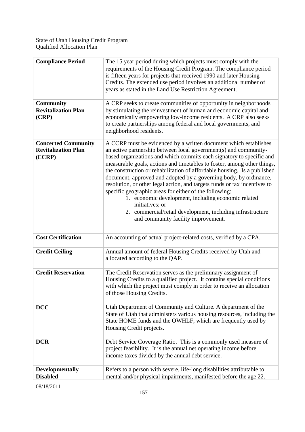| measurable goals, actions and timetables to foster, among other things,  |
|--------------------------------------------------------------------------|
| the construction or rehabilitation of affordable housing. Is a published |
|                                                                          |
|                                                                          |
|                                                                          |
|                                                                          |
|                                                                          |
|                                                                          |
|                                                                          |
|                                                                          |
|                                                                          |
|                                                                          |
|                                                                          |
|                                                                          |
|                                                                          |
|                                                                          |
|                                                                          |
|                                                                          |
|                                                                          |
| State of Utah that administers various housing resources, including the  |
|                                                                          |
|                                                                          |
|                                                                          |
|                                                                          |
|                                                                          |
|                                                                          |
|                                                                          |
|                                                                          |
| based organizations and which commits each signatory to specific and     |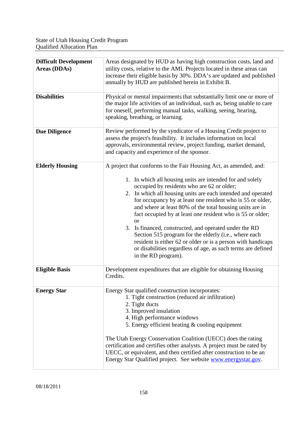| <b>Difficult Development</b><br>Areas (DDAs) | Areas designated by HUD as having high construction costs, land and<br>utility costs, relative to the AMI. Projects located in these areas can<br>increase their eligible basis by 30%. DDA's are updated and published<br>annually by HUD are published herein in Exhibit B.                                                                                                                                                                                                                                                                                                                                                                                                                                               |
|----------------------------------------------|-----------------------------------------------------------------------------------------------------------------------------------------------------------------------------------------------------------------------------------------------------------------------------------------------------------------------------------------------------------------------------------------------------------------------------------------------------------------------------------------------------------------------------------------------------------------------------------------------------------------------------------------------------------------------------------------------------------------------------|
| <b>Disabilities</b>                          | Physical or mental impairments that substantially limit one or more of<br>the major life activities of an individual, such as, being unable to care<br>for oneself, performing manual tasks, walking, seeing, hearing,<br>speaking, breathing, or learning.                                                                                                                                                                                                                                                                                                                                                                                                                                                                 |
| <b>Due Diligence</b>                         | Review performed by the syndicator of a Housing Credit project to<br>assess the project's feasibility. It includes information on local<br>approvals, environmental review, project funding, market demand,<br>and capacity and experience of the sponsor.                                                                                                                                                                                                                                                                                                                                                                                                                                                                  |
| <b>Elderly Housing</b>                       | A project that conforms to the Fair Housing Act, as amended, and:<br>1. In which all housing units are intended for and solely<br>occupied by residents who are 62 or older;<br>2. In which all housing units are each intended and operated<br>for occupancy by at least one resident who is 55 or older,<br>and where at least 80% of the total housing units are in<br>fact occupied by at least one resident who is 55 or older;<br><b>or</b><br>3. Is financed, constructed, and operated under the RD<br>Section 515 program for the elderly (i.e., where each<br>resident is either 62 or older or is a person with handicaps<br>or disabilities regardless of age, as such terms are defined<br>in the RD program). |
| <b>Eligible Basis</b>                        | Development expenditures that are eligible for obtaining Housing<br>Credits.                                                                                                                                                                                                                                                                                                                                                                                                                                                                                                                                                                                                                                                |
| <b>Energy Star</b>                           | Energy Star qualified construction incorporates:<br>1. Tight construction (reduced air infiltration)<br>2. Tight ducts<br>3. Improved insulation<br>4. High performance windows<br>5. Energy efficient heating & cooling equipment<br>The Utah Energy Conservation Coalition (UECC) does the rating<br>certification and certifies other analysts. A project must be rated by<br>UECC, or equivalent, and then certified after construction to be an<br>Energy Star Qualified project. See website <b>www.energystar.gov.</b>                                                                                                                                                                                               |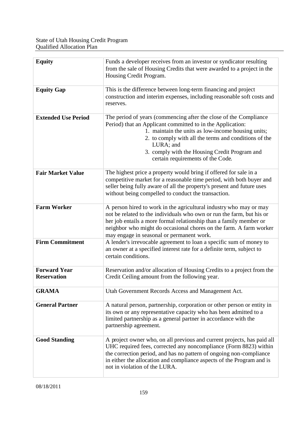| <b>Equity</b>                             | Funds a developer receives from an investor or syndicator resulting<br>from the sale of Housing Credits that were awarded to a project in the<br>Housing Credit Program.                                                                                                                                                                          |
|-------------------------------------------|---------------------------------------------------------------------------------------------------------------------------------------------------------------------------------------------------------------------------------------------------------------------------------------------------------------------------------------------------|
| <b>Equity Gap</b>                         | This is the difference between long-term financing and project<br>construction and interim expenses, including reasonable soft costs and<br>reserves.                                                                                                                                                                                             |
| <b>Extended Use Period</b>                | The period of years (commencing after the close of the Compliance<br>Period) that an Applicant committed to in the Application:<br>1. maintain the units as low-income housing units;<br>2. to comply with all the terms and conditions of the<br>LURA; and<br>3. comply with the Housing Credit Program and<br>certain requirements of the Code. |
| <b>Fair Market Value</b>                  | The highest price a property would bring if offered for sale in a<br>competitive market for a reasonable time period, with both buyer and<br>seller being fully aware of all the property's present and future uses<br>without being compelled to conduct the transaction.                                                                        |
| <b>Farm Worker</b>                        | A person hired to work in the agricultural industry who may or may<br>not be related to the individuals who own or run the farm, but his or<br>her job entails a more formal relationship than a family member or<br>neighbor who might do occasional chores on the farm. A farm worker<br>may engage in seasonal or permanent work.              |
| <b>Firm Commitment</b>                    | A lender's irrevocable agreement to loan a specific sum of money to<br>an owner at a specified interest rate for a definite term, subject to<br>certain conditions.                                                                                                                                                                               |
| <b>Forward Year</b><br><b>Reservation</b> | Reservation and/or allocation of Housing Credits to a project from the<br>Credit Ceiling amount from the following year.                                                                                                                                                                                                                          |
| <b>GRAMA</b>                              | Utah Government Records Access and Management Act.                                                                                                                                                                                                                                                                                                |
| <b>General Partner</b>                    | A natural person, partnership, corporation or other person or entity in<br>its own or any representative capacity who has been admitted to a<br>limited partnership as a general partner in accordance with the<br>partnership agreement.                                                                                                         |
| <b>Good Standing</b>                      | A project owner who, on all previous and current projects, has paid all<br>UHC required fees, corrected any noncompliance (Form 8823) within<br>the correction period, and has no pattern of ongoing non-compliance<br>in either the allocation and compliance aspects of the Program and is<br>not in violation of the LURA.                     |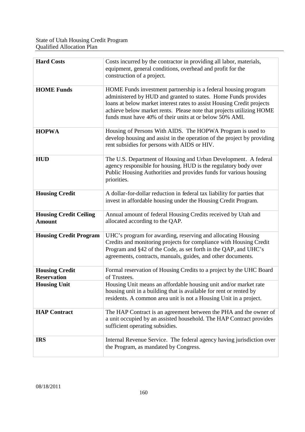| <b>Hard Costs</b>                              | Costs incurred by the contractor in providing all labor, materials,<br>equipment, general conditions, overhead and profit for the<br>construction of a project.                                                                                                                                                                               |
|------------------------------------------------|-----------------------------------------------------------------------------------------------------------------------------------------------------------------------------------------------------------------------------------------------------------------------------------------------------------------------------------------------|
| <b>HOME Funds</b>                              | HOME Funds investment partnership is a federal housing program<br>administered by HUD and granted to states. Home Funds provides<br>loans at below market interest rates to assist Housing Credit projects<br>achieve below market rents. Please note that projects utilizing HOME<br>funds must have 40% of their units at or below 50% AMI. |
| <b>HOPWA</b>                                   | Housing of Persons With AIDS. The HOPWA Program is used to<br>develop housing and assist in the operation of the project by providing<br>rent subsidies for persons with AIDS or HIV.                                                                                                                                                         |
| <b>HUD</b>                                     | The U.S. Department of Housing and Urban Development. A federal<br>agency responsible for housing. HUD is the regulatory body over<br>Public Housing Authorities and provides funds for various housing<br>priorities.                                                                                                                        |
| <b>Housing Credit</b>                          | A dollar-for-dollar reduction in federal tax liability for parties that<br>invest in affordable housing under the Housing Credit Program.                                                                                                                                                                                                     |
| <b>Housing Credit Ceiling</b><br><b>Amount</b> | Annual amount of federal Housing Credits received by Utah and<br>allocated according to the QAP.                                                                                                                                                                                                                                              |
| <b>Housing Credit Program</b>                  | UHC's program for awarding, reserving and allocating Housing<br>Credits and monitoring projects for compliance with Housing Credit<br>Program and §42 of the Code, as set forth in the QAP, and UHC's<br>agreements, contracts, manuals, guides, and other documents.                                                                         |
| <b>Housing Credit</b><br><b>Reservation</b>    | Formal reservation of Housing Credits to a project by the UHC Board<br>of Trustees.                                                                                                                                                                                                                                                           |
| <b>Housing Unit</b>                            | Housing Unit means an affordable housing unit and/or market rate<br>housing unit in a building that is available for rent or rented by<br>residents. A common area unit is not a Housing Unit in a project.                                                                                                                                   |
| <b>HAP Contract</b>                            | The HAP Contract is an agreement between the PHA and the owner of<br>a unit occupied by an assisted household. The HAP Contract provides<br>sufficient operating subsidies.                                                                                                                                                                   |
| <b>IRS</b>                                     | Internal Revenue Service. The federal agency having jurisdiction over<br>the Program, as mandated by Congress.                                                                                                                                                                                                                                |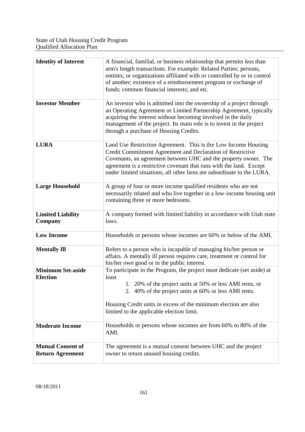| <b>Identity of Interest</b>                         | A financial, familial, or business relationship that permits less than<br>arm's length transactions. For example: Related Parties; persons,<br>entities, or organizations affiliated with or controlled by or in control<br>of another; existence of a reimbursement program or exchange of<br>funds; common financial interests; and etc.       |
|-----------------------------------------------------|--------------------------------------------------------------------------------------------------------------------------------------------------------------------------------------------------------------------------------------------------------------------------------------------------------------------------------------------------|
| <b>Investor Member</b>                              | An investor who is admitted into the ownership of a project through<br>an Operating Agreement or Limited Partnership Agreement, typically<br>acquiring the interest without becoming involved in the daily<br>management of the project. Its main role is to invest in the project<br>through a purchase of Housing Credits.                     |
| <b>LURA</b>                                         | Land Use Restriction Agreement. This is the Low Income Housing<br>Credit Commitment Agreement and Declaration of Restrictive<br>Covenants, an agreement between UHC and the property owner. The<br>agreement is a restrictive covenant that runs with the land. Except<br>under limited situations, all other liens are subordinate to the LURA. |
| <b>Large Household</b>                              | A group of four or more income qualified residents who are not<br>necessarily related and who live together in a low-income housing unit<br>containing three or more bedrooms.                                                                                                                                                                   |
| <b>Limited Liability</b><br>Company                 | A company formed with limited liability in accordance with Utah state<br>laws.                                                                                                                                                                                                                                                                   |
| <b>Low Income</b>                                   | Households or persons whose incomes are 60% or below of the AMI.                                                                                                                                                                                                                                                                                 |
| <b>Mentally Ill</b>                                 | Refers to a person who is incapable of managing his/her person or<br>affairs. A mentally ill person requires care, treatment or control for<br>his/her own good or in the public interest.                                                                                                                                                       |
| <b>Minimum Set-aside</b><br><b>Election</b>         | To participate in the Program, the project must dedicate (set aside) at<br>least<br>1. 20% of the project units at 50% or less AMI rents, or<br>2. 40% of the project units at 60% or less AMI rents.<br>Housing Credit units in excess of the minimum election are also<br>limited to the applicable election limit.                            |
| <b>Moderate Income</b>                              | Households or persons whose incomes are from 60% to 80% of the<br>AMI.                                                                                                                                                                                                                                                                           |
| <b>Mutual Consent of</b><br><b>Return Agreement</b> | The agreement is a mutual consent between UHC and the project<br>owner to return unused housing credits.                                                                                                                                                                                                                                         |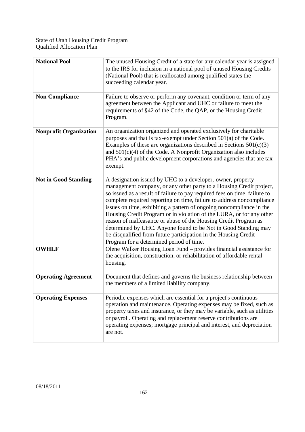| <b>National Pool</b>          | The unused Housing Credit of a state for any calendar year is assigned<br>to the IRS for inclusion in a national pool of unused Housing Credits<br>(National Pool) that is reallocated among qualified states the<br>succeeding calendar year.                                                                                                                                                                                                                                                                                                                                                                                                                                               |
|-------------------------------|----------------------------------------------------------------------------------------------------------------------------------------------------------------------------------------------------------------------------------------------------------------------------------------------------------------------------------------------------------------------------------------------------------------------------------------------------------------------------------------------------------------------------------------------------------------------------------------------------------------------------------------------------------------------------------------------|
| <b>Non-Compliance</b>         | Failure to observe or perform any covenant, condition or term of any<br>agreement between the Applicant and UHC or failure to meet the<br>requirements of §42 of the Code, the QAP, or the Housing Credit<br>Program.                                                                                                                                                                                                                                                                                                                                                                                                                                                                        |
| <b>Nonprofit Organization</b> | An organization organized and operated exclusively for charitable<br>purposes and that is tax-exempt under Section 501(a) of the Code.<br>Examples of these are organizations described in Sections $501(c)(3)$<br>and $501(c)(4)$ of the Code. A Nonprofit Organization also includes<br>PHA's and public development corporations and agencies that are tax<br>exempt.                                                                                                                                                                                                                                                                                                                     |
| <b>Not in Good Standing</b>   | A designation issued by UHC to a developer, owner, property<br>management company, or any other party to a Housing Credit project,<br>so issued as a result of failure to pay required fees on time, failure to<br>complete required reporting on time, failure to address noncompliance<br>issues on time, exhibiting a pattern of ongoing noncompliance in the<br>Housing Credit Program or in violation of the LURA, or for any other<br>reason of malfeasance or abuse of the Housing Credit Program as<br>determined by UHC. Anyone found to be Not in Good Standing may<br>be disqualified from future participation in the Housing Credit<br>Program for a determined period of time. |
| <b>OWHLF</b>                  | Olene Walker Housing Loan Fund – provides financial assistance for<br>the acquisition, construction, or rehabilitation of affordable rental<br>housing.                                                                                                                                                                                                                                                                                                                                                                                                                                                                                                                                      |
| <b>Operating Agreement</b>    | Document that defines and governs the business relationship between<br>the members of a limited liability company.                                                                                                                                                                                                                                                                                                                                                                                                                                                                                                                                                                           |
| <b>Operating Expenses</b>     | Periodic expenses which are essential for a project's continuous<br>operation and maintenance. Operating expenses may be fixed, such as<br>property taxes and insurance, or they may be variable, such as utilities<br>or payroll. Operating and replacement reserve contributions are<br>operating expenses; mortgage principal and interest, and depreciation<br>are not.                                                                                                                                                                                                                                                                                                                  |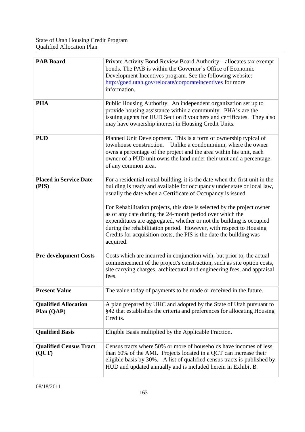| <b>PAB Board</b>                          | Private Activity Bond Review Board Authority - allocates tax exempt<br>bonds. The PAB is within the Governor's Office of Economic<br>Development Incentives program. See the following website:<br>http://goed.utah.gov/relocate/corporateincentives for more<br>information.                                                                                                                                                                                                                                                                                                                   |
|-------------------------------------------|-------------------------------------------------------------------------------------------------------------------------------------------------------------------------------------------------------------------------------------------------------------------------------------------------------------------------------------------------------------------------------------------------------------------------------------------------------------------------------------------------------------------------------------------------------------------------------------------------|
| <b>PHA</b>                                | Public Housing Authority. An independent organization set up to<br>provide housing assistance within a community. PHA's are the<br>issuing agents for HUD Section 8 vouchers and certificates. They also<br>may have ownership interest in Housing Credit Units.                                                                                                                                                                                                                                                                                                                                |
| <b>PUD</b>                                | Planned Unit Development. This is a form of ownership typical of<br>townhouse construction. Unlike a condominium, where the owner<br>owns a percentage of the project and the area within his unit, each<br>owner of a PUD unit owns the land under their unit and a percentage<br>of any common area.                                                                                                                                                                                                                                                                                          |
| <b>Placed in Service Date</b><br>(PIS)    | For a residential rental building, it is the date when the first unit in the<br>building is ready and available for occupancy under state or local law,<br>usually the date when a Certificate of Occupancy is issued.<br>For Rehabilitation projects, this date is selected by the project owner<br>as of any date during the 24-month period over which the<br>expenditures are aggregated, whether or not the building is occupied<br>during the rehabilitation period. However, with respect to Housing<br>Credits for acquisition costs, the PIS is the date the building was<br>acquired. |
| <b>Pre-development Costs</b>              | Costs which are incurred in conjunction with, but prior to, the actual<br>commencement of the project's construction, such as site option costs,<br>site carrying charges, architectural and engineering fees, and appraisal<br>fees.                                                                                                                                                                                                                                                                                                                                                           |
| <b>Present Value</b>                      | The value today of payments to be made or received in the future.                                                                                                                                                                                                                                                                                                                                                                                                                                                                                                                               |
| <b>Qualified Allocation</b><br>Plan (QAP) | A plan prepared by UHC and adopted by the State of Utah pursuant to<br>§42 that establishes the criteria and preferences for allocating Housing<br>Credits.                                                                                                                                                                                                                                                                                                                                                                                                                                     |
| <b>Qualified Basis</b>                    | Eligible Basis multiplied by the Applicable Fraction.                                                                                                                                                                                                                                                                                                                                                                                                                                                                                                                                           |
| <b>Qualified Census Tract</b><br>(QCT)    | Census tracts where 50% or more of households have incomes of less<br>than 60% of the AMI. Projects located in a QCT can increase their<br>eligible basis by 30%. A list of qualified census tracts is published by<br>HUD and updated annually and is included herein in Exhibit B.                                                                                                                                                                                                                                                                                                            |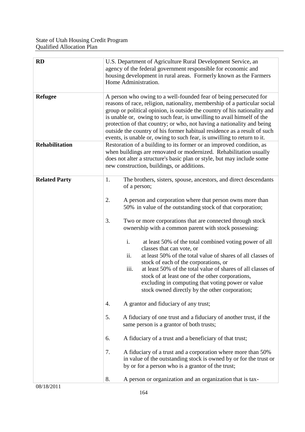| RD                    | U.S. Department of Agriculture Rural Development Service, an<br>agency of the federal government responsible for economic and<br>housing development in rural areas. Formerly known as the Farmers<br>Home Administration.                                                                                                                                                                                                                                                                                                                                                                                                                                                                                                                                                                                                                                                                                                                                                                                                                                                                                                                                                                                                                                                                                  |
|-----------------------|-------------------------------------------------------------------------------------------------------------------------------------------------------------------------------------------------------------------------------------------------------------------------------------------------------------------------------------------------------------------------------------------------------------------------------------------------------------------------------------------------------------------------------------------------------------------------------------------------------------------------------------------------------------------------------------------------------------------------------------------------------------------------------------------------------------------------------------------------------------------------------------------------------------------------------------------------------------------------------------------------------------------------------------------------------------------------------------------------------------------------------------------------------------------------------------------------------------------------------------------------------------------------------------------------------------|
| <b>Refugee</b>        | A person who owing to a well-founded fear of being persecuted for<br>reasons of race, religion, nationality, membership of a particular social<br>group or political opinion, is outside the country of his nationality and<br>is unable or, owing to such fear, is unwilling to avail himself of the<br>protection of that country; or who, not having a nationality and being<br>outside the country of his former habitual residence as a result of such<br>events, is unable or, owing to such fear, is unwilling to return to it.                                                                                                                                                                                                                                                                                                                                                                                                                                                                                                                                                                                                                                                                                                                                                                      |
| <b>Rehabilitation</b> | Restoration of a building to its former or an improved condition, as<br>when buildings are renovated or modernized. Rehabilitation usually<br>does not alter a structure's basic plan or style, but may include some<br>new construction, buildings, or additions.                                                                                                                                                                                                                                                                                                                                                                                                                                                                                                                                                                                                                                                                                                                                                                                                                                                                                                                                                                                                                                          |
| <b>Related Party</b>  | 1.<br>The brothers, sisters, spouse, ancestors, and direct descendants<br>of a person;<br>2.<br>A person and corporation where that person owns more than<br>50% in value of the outstanding stock of that corporation;<br>3.<br>Two or more corporations that are connected through stock<br>ownership with a common parent with stock possessing:<br>i.<br>at least 50% of the total combined voting power of all<br>classes that can vote, or<br>at least 50% of the total value of shares of all classes of<br>ii.<br>stock of each of the corporations, or<br>at least 50% of the total value of shares of all classes of<br>iii.<br>stock of at least one of the other corporations,<br>excluding in computing that voting power or value<br>stock owned directly by the other corporation;<br>A grantor and fiduciary of any trust;<br>4.<br>5.<br>A fiduciary of one trust and a fiduciary of another trust, if the<br>same person is a grantor of both trusts;<br>A fiduciary of a trust and a beneficiary of that trust;<br>6.<br>A fiduciary of a trust and a corporation where more than 50%<br>7.<br>in value of the outstanding stock is owned by or for the trust or<br>by or for a person who is a grantor of the trust;<br>8.<br>A person or organization and an organization that is tax- |
| 08/18/2011            |                                                                                                                                                                                                                                                                                                                                                                                                                                                                                                                                                                                                                                                                                                                                                                                                                                                                                                                                                                                                                                                                                                                                                                                                                                                                                                             |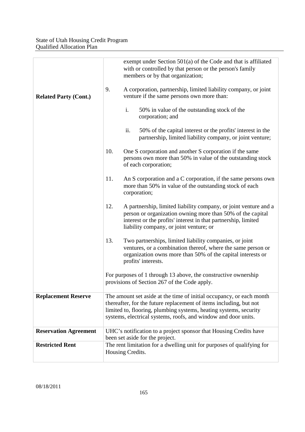| <b>Related Party (Cont.)</b> | exempt under Section 501(a) of the Code and that is affiliated<br>with or controlled by that person or the person's family<br>members or by that organization;<br>9.<br>A corporation, partnership, limited liability company, or joint<br>venture if the same persons own more than:<br>i.<br>50% in value of the outstanding stock of the<br>corporation; and |
|------------------------------|-----------------------------------------------------------------------------------------------------------------------------------------------------------------------------------------------------------------------------------------------------------------------------------------------------------------------------------------------------------------|
|                              | ii.<br>50% of the capital interest or the profits' interest in the<br>partnership, limited liability company, or joint venture;                                                                                                                                                                                                                                 |
|                              | 10.<br>One S corporation and another S corporation if the same<br>persons own more than 50% in value of the outstanding stock<br>of each corporation;                                                                                                                                                                                                           |
|                              | 11.<br>An S corporation and a C corporation, if the same persons own<br>more than 50% in value of the outstanding stock of each<br>corporation;                                                                                                                                                                                                                 |
|                              | 12.<br>A partnership, limited liability company, or joint venture and a<br>person or organization owning more than 50% of the capital<br>interest or the profits' interest in that partnership, limited<br>liability company, or joint venture; or                                                                                                              |
|                              | 13.<br>Two partnerships, limited liability companies, or joint<br>ventures, or a combination thereof, where the same person or<br>organization owns more than 50% of the capital interests or<br>profits' interests.                                                                                                                                            |
|                              | For purposes of 1 through 13 above, the constructive ownership<br>provisions of Section 267 of the Code apply.                                                                                                                                                                                                                                                  |
| <b>Replacement Reserve</b>   | The amount set aside at the time of initial occupancy, or each month<br>thereafter, for the future replacement of items including, but not<br>limited to, flooring, plumbing systems, heating systems, security<br>systems, electrical systems, roofs, and window and door units.                                                                               |
| <b>Reservation Agreement</b> | UHC's notification to a project sponsor that Housing Credits have<br>been set aside for the project.                                                                                                                                                                                                                                                            |
| <b>Restricted Rent</b>       | The rent limitation for a dwelling unit for purposes of qualifying for<br>Housing Credits.                                                                                                                                                                                                                                                                      |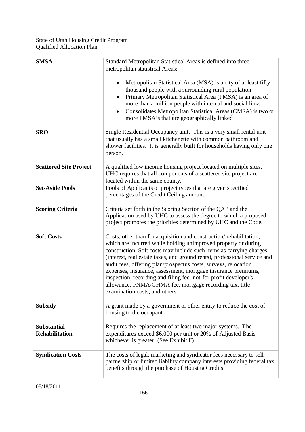| <b>SMSA</b>                                 | Standard Metropolitan Statistical Areas is defined into three<br>metropolitan statistical Areas:                                                                                                                                                                                                                                                                                                                                                                                                                                                                                              |
|---------------------------------------------|-----------------------------------------------------------------------------------------------------------------------------------------------------------------------------------------------------------------------------------------------------------------------------------------------------------------------------------------------------------------------------------------------------------------------------------------------------------------------------------------------------------------------------------------------------------------------------------------------|
|                                             | Metropolitan Statistical Area (MSA) is a city of at least fifty<br>thousand people with a surrounding rural population<br>Primary Metropolitan Statistical Area (PMSA) is an area of<br>more than a million people with internal and social links<br>Consolidates Metropolitan Statistical Areas (CMSA) is two or<br>$\bullet$<br>more PMSA's that are geographically linked                                                                                                                                                                                                                  |
| <b>SRO</b>                                  | Single Residential Occupancy unit. This is a very small rental unit<br>that usually has a small kitchenette with common bathroom and<br>shower facilities. It is generally built for households having only one<br>person.                                                                                                                                                                                                                                                                                                                                                                    |
| <b>Scattered Site Project</b>               | A qualified low income housing project located on multiple sites.<br>UHC requires that all components of a scattered site project are<br>located within the same county.                                                                                                                                                                                                                                                                                                                                                                                                                      |
| <b>Set-Aside Pools</b>                      | Pools of Applicants or project types that are given specified<br>percentages of the Credit Ceiling amount.                                                                                                                                                                                                                                                                                                                                                                                                                                                                                    |
| <b>Scoring Criteria</b>                     | Criteria set forth in the Scoring Section of the QAP and the<br>Application used by UHC to assess the degree to which a proposed<br>project promotes the priorities determined by UHC and the Code.                                                                                                                                                                                                                                                                                                                                                                                           |
| <b>Soft Costs</b>                           | Costs, other than for acquisition and construction/rehabilitation,<br>which are incurred while holding unimproved property or during<br>construction. Soft costs may include such items as carrying charges<br>(interest, real estate taxes, and ground rents), professional service and<br>audit fees, offering plan/prospectus costs, surveys, relocation<br>expenses, insurance, assessment, mortgage insurance premiums,<br>inspection, recording and filing fee, not-for-profit developer's<br>allowance, FNMA/GHMA fee, mortgage recording tax, title<br>examination costs, and others. |
| <b>Subsidy</b>                              | A grant made by a government or other entity to reduce the cost of<br>housing to the occupant.                                                                                                                                                                                                                                                                                                                                                                                                                                                                                                |
| <b>Substantial</b><br><b>Rehabilitation</b> | Requires the replacement of at least two major systems. The<br>expenditures exceed \$6,000 per unit or 20% of Adjusted Basis,<br>whichever is greater. (See Exhibit F).                                                                                                                                                                                                                                                                                                                                                                                                                       |
| <b>Syndication Costs</b>                    | The costs of legal, marketing and syndicator fees necessary to sell<br>partnership or limited liability company interests providing federal tax<br>benefits through the purchase of Housing Credits.                                                                                                                                                                                                                                                                                                                                                                                          |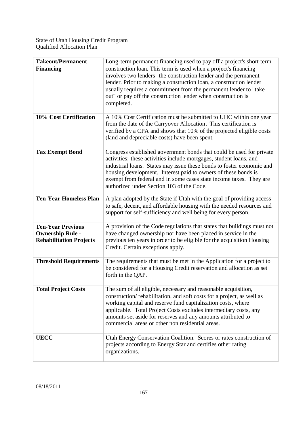| <b>Takeout/Permanent</b><br><b>Financing</b>                                          | Long-term permanent financing used to pay off a project's short-term<br>construction loan. This term is used when a project's financing<br>involves two lenders- the construction lender and the permanent<br>lender. Prior to making a construction loan, a construction lender<br>usually requires a commitment from the permanent lender to "take<br>out" or pay off the construction lender when construction is<br>completed. |
|---------------------------------------------------------------------------------------|------------------------------------------------------------------------------------------------------------------------------------------------------------------------------------------------------------------------------------------------------------------------------------------------------------------------------------------------------------------------------------------------------------------------------------|
| 10% Cost Certification                                                                | A 10% Cost Certification must be submitted to UHC within one year<br>from the date of the Carryover Allocation. This certification is<br>verified by a CPA and shows that 10% of the projected eligible costs<br>(land and depreciable costs) have been spent.                                                                                                                                                                     |
| <b>Tax Exempt Bond</b>                                                                | Congress established government bonds that could be used for private<br>activities; these activities include mortgages, student loans, and<br>industrial loans. States may issue these bonds to foster economic and<br>housing development. Interest paid to owners of these bonds is<br>exempt from federal and in some cases state income taxes. They are<br>authorized under Section 103 of the Code.                           |
| <b>Ten-Year Homeless Plan</b>                                                         | A plan adopted by the State if Utah with the goal of providing access<br>to safe, decent, and affordable housing with the needed resources and<br>support for self-sufficiency and well being for every person.                                                                                                                                                                                                                    |
| <b>Ten-Year Previous</b><br><b>Ownership Rule -</b><br><b>Rehabilitation Projects</b> | A provision of the Code regulations that states that buildings must not<br>have changed ownership nor have been placed in service in the<br>previous ten years in order to be eligible for the acquisition Housing<br>Credit. Certain exceptions apply.                                                                                                                                                                            |
| <b>Threshold Requirements</b>                                                         | The requirements that must be met in the Application for a project to<br>be considered for a Housing Credit reservation and allocation as set<br>forth in the QAP.                                                                                                                                                                                                                                                                 |
| <b>Total Project Costs</b>                                                            | The sum of all eligible, necessary and reasonable acquisition,<br>construction/rehabilitation, and soft costs for a project, as well as<br>working capital and reserve fund capitalization costs, where<br>applicable. Total Project Costs excludes intermediary costs, any<br>amounts set aside for reserves and any amounts attributed to<br>commercial areas or other non residential areas.                                    |
| <b>UECC</b>                                                                           | Utah Energy Conservation Coalition. Scores or rates construction of<br>projects according to Energy Star and certifies other rating<br>organizations.                                                                                                                                                                                                                                                                              |